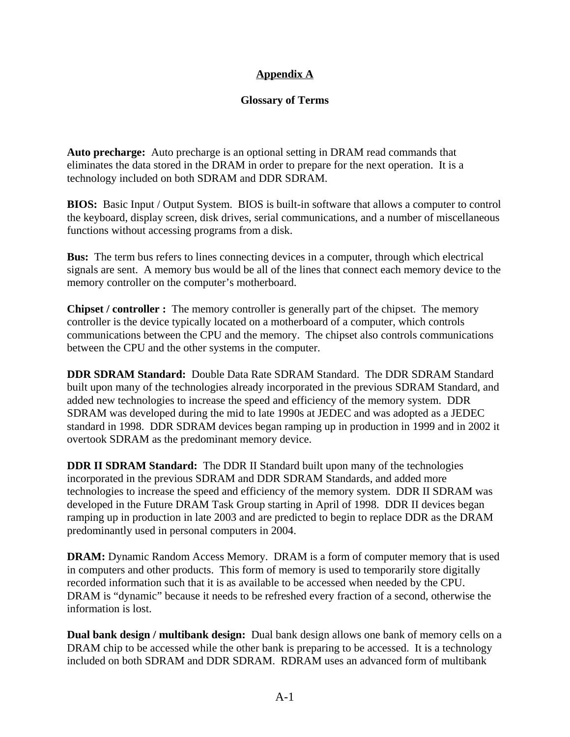#### **Appendix A**

#### **Glossary of Terms**

**Auto precharge:** Auto precharge is an optional setting in DRAM read commands that eliminates the data stored in the DRAM in order to prepare for the next operation. It is a technology included on both SDRAM and DDR SDRAM.

**BIOS:** Basic Input / Output System. BIOS is built-in software that allows a computer to control the keyboard, display screen, disk drives, serial communications, and a number of miscellaneous functions without accessing programs from a disk.

**Bus:** The term bus refers to lines connecting devices in a computer, through which electrical signals are sent. A memory bus would be all of the lines that connect each memory device to the memory controller on the computer's motherboard.

**Chipset / controller :** The memory controller is generally part of the chipset. The memory controller is the device typically located on a motherboard of a computer, which controls communications between the CPU and the memory. The chipset also controls communications between the CPU and the other systems in the computer.

**DDR SDRAM Standard:** Double Data Rate SDRAM Standard. The DDR SDRAM Standard built upon many of the technologies already incorporated in the previous SDRAM Standard, and added new technologies to increase the speed and efficiency of the memory system. DDR SDRAM was developed during the mid to late 1990s at JEDEC and was adopted as a JEDEC standard in 1998. DDR SDRAM devices began ramping up in production in 1999 and in 2002 it overtook SDRAM as the predominant memory device.

**DDR II SDRAM Standard:** The DDR II Standard built upon many of the technologies incorporated in the previous SDRAM and DDR SDRAM Standards, and added more technologies to increase the speed and efficiency of the memory system. DDR II SDRAM was developed in the Future DRAM Task Group starting in April of 1998. DDR II devices began ramping up in production in late 2003 and are predicted to begin to replace DDR as the DRAM predominantly used in personal computers in 2004.

**DRAM:** Dynamic Random Access Memory. DRAM is a form of computer memory that is used in computers and other products. This form of memory is used to temporarily store digitally recorded information such that it is as available to be accessed when needed by the CPU. DRAM is "dynamic" because it needs to be refreshed every fraction of a second, otherwise the information is lost.

**Dual bank design / multibank design:** Dual bank design allows one bank of memory cells on a DRAM chip to be accessed while the other bank is preparing to be accessed. It is a technology included on both SDRAM and DDR SDRAM. RDRAM uses an advanced form of multibank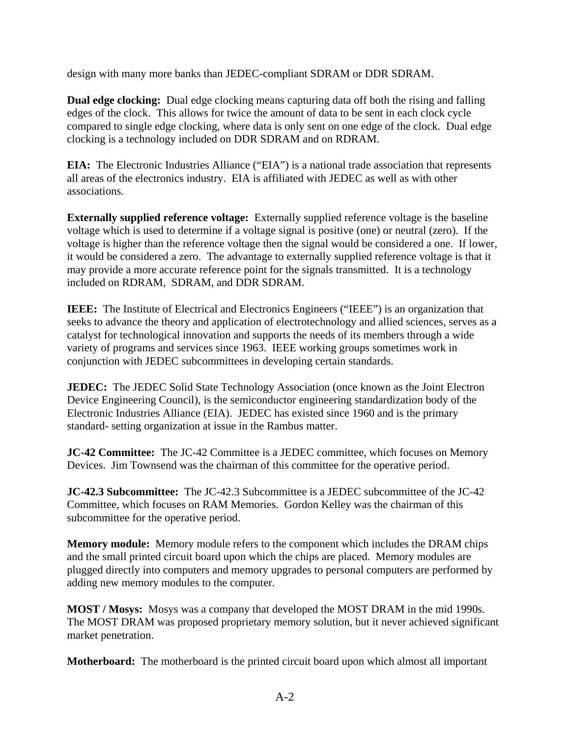design with many more banks than JEDEC-compliant SDRAM or DDR SDRAM.

**Dual edge clocking:** Dual edge clocking means capturing data off both the rising and falling edges of the clock. This allows for twice the amount of data to be sent in each clock cycle compared to single edge clocking, where data is only sent on one edge of the clock. Dual edge clocking is a technology included on DDR SDRAM and on RDRAM.

**EIA:** The Electronic Industries Alliance ("EIA") is a national trade association that represents all areas of the electronics industry. EIA is affiliated with JEDEC as well as with other associations.

**Externally supplied reference voltage:** Externally supplied reference voltage is the baseline voltage which is used to determine if a voltage signal is positive (one) or neutral (zero). If the voltage is higher than the reference voltage then the signal would be considered a one. If lower, it would be considered a zero. The advantage to externally supplied reference voltage is that it may provide a more accurate reference point for the signals transmitted. It is a technology included on RDRAM, SDRAM, and DDR SDRAM.

**IEEE:** The Institute of Electrical and Electronics Engineers ("IEEE") is an organization that seeks to advance the theory and application of electrotechnology and allied sciences, serves as a catalyst for technological innovation and supports the needs of its members through a wide variety of programs and services since 1963. IEEE working groups sometimes work in conjunction with JEDEC subcommittees in developing certain standards.

**JEDEC:** The JEDEC Solid State Technology Association (once known as the Joint Electron Device Engineering Council), is the semiconductor engineering standardization body of the Electronic Industries Alliance (EIA). JEDEC has existed since 1960 and is the primary standard- setting organization at issue in the Rambus matter.

**JC-42 Committee:** The JC-42 Committee is a JEDEC committee, which focuses on Memory Devices. Jim Townsend was the chairman of this committee for the operative period.

**JC-42.3 Subcommittee:** The JC-42.3 Subcommittee is a JEDEC subcommittee of the JC-42 Committee, which focuses on RAM Memories. Gordon Kelley was the chairman of this subcommittee for the operative period.

**Memory module:** Memory module refers to the component which includes the DRAM chips and the small printed circuit board upon which the chips are placed. Memory modules are plugged directly into computers and memory upgrades to personal computers are performed by adding new memory modules to the computer.

**MOST / Mosys:** Mosys was a company that developed the MOST DRAM in the mid 1990s. The MOST DRAM was proposed proprietary memory solution, but it never achieved significant market penetration.

**Motherboard:** The motherboard is the printed circuit board upon which almost all important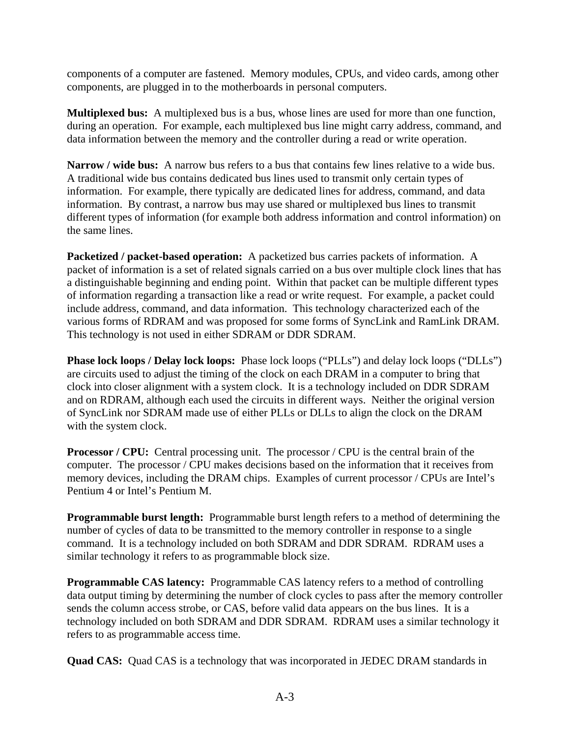components of a computer are fastened. Memory modules, CPUs, and video cards, among other components, are plugged in to the motherboards in personal computers.

**Multiplexed bus:** A multiplexed bus is a bus, whose lines are used for more than one function, during an operation. For example, each multiplexed bus line might carry address, command, and data information between the memory and the controller during a read or write operation.

**Narrow / wide bus:** A narrow bus refers to a bus that contains few lines relative to a wide bus. A traditional wide bus contains dedicated bus lines used to transmit only certain types of information. For example, there typically are dedicated lines for address, command, and data information. By contrast, a narrow bus may use shared or multiplexed bus lines to transmit different types of information (for example both address information and control information) on the same lines.

**Packetized / packet-based operation:** A packetized bus carries packets of information. A packet of information is a set of related signals carried on a bus over multiple clock lines that has a distinguishable beginning and ending point. Within that packet can be multiple different types of information regarding a transaction like a read or write request. For example, a packet could include address, command, and data information. This technology characterized each of the various forms of RDRAM and was proposed for some forms of SyncLink and RamLink DRAM. This technology is not used in either SDRAM or DDR SDRAM.

**Phase lock loops / Delay lock loops:** Phase lock loops ("PLLs") and delay lock loops ("DLLs") are circuits used to adjust the timing of the clock on each DRAM in a computer to bring that clock into closer alignment with a system clock. It is a technology included on DDR SDRAM and on RDRAM, although each used the circuits in different ways. Neither the original version of SyncLink nor SDRAM made use of either PLLs or DLLs to align the clock on the DRAM with the system clock.

**Processor / CPU:** Central processing unit. The processor / CPU is the central brain of the computer. The processor / CPU makes decisions based on the information that it receives from memory devices, including the DRAM chips. Examples of current processor / CPUs are Intel's Pentium 4 or Intel's Pentium M.

**Programmable burst length:** Programmable burst length refers to a method of determining the number of cycles of data to be transmitted to the memory controller in response to a single command. It is a technology included on both SDRAM and DDR SDRAM. RDRAM uses a similar technology it refers to as programmable block size.

**Programmable CAS latency:** Programmable CAS latency refers to a method of controlling data output timing by determining the number of clock cycles to pass after the memory controller sends the column access strobe, or CAS, before valid data appears on the bus lines. It is a technology included on both SDRAM and DDR SDRAM. RDRAM uses a similar technology it refers to as programmable access time.

**Quad CAS:** Quad CAS is a technology that was incorporated in JEDEC DRAM standards in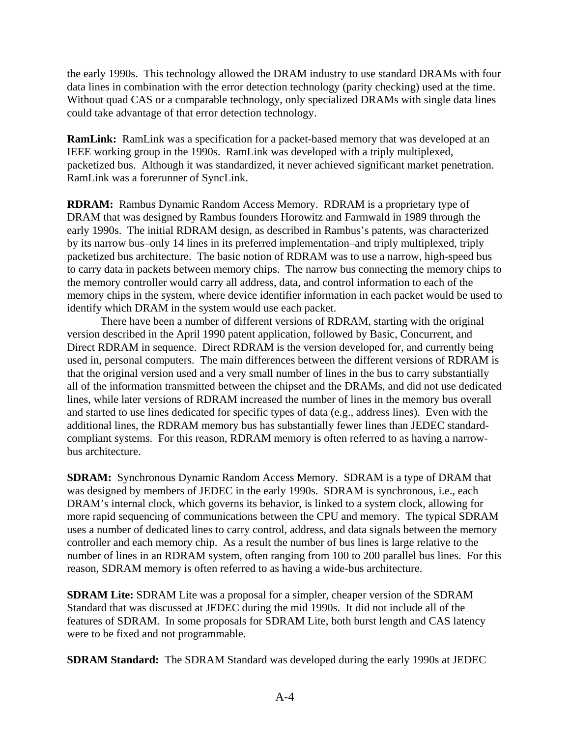the early 1990s. This technology allowed the DRAM industry to use standard DRAMs with four data lines in combination with the error detection technology (parity checking) used at the time. Without quad CAS or a comparable technology, only specialized DRAMs with single data lines could take advantage of that error detection technology.

**RamLink:** RamLink was a specification for a packet-based memory that was developed at an IEEE working group in the 1990s. RamLink was developed with a triply multiplexed, packetized bus. Although it was standardized, it never achieved significant market penetration. RamLink was a forerunner of SyncLink.

**RDRAM:** Rambus Dynamic Random Access Memory. RDRAM is a proprietary type of DRAM that was designed by Rambus founders Horowitz and Farmwald in 1989 through the early 1990s. The initial RDRAM design, as described in Rambus's patents, was characterized by its narrow bus–only 14 lines in its preferred implementation–and triply multiplexed, triply packetized bus architecture. The basic notion of RDRAM was to use a narrow, high-speed bus to carry data in packets between memory chips. The narrow bus connecting the memory chips to the memory controller would carry all address, data, and control information to each of the memory chips in the system, where device identifier information in each packet would be used to identify which DRAM in the system would use each packet.

There have been a number of different versions of RDRAM, starting with the original version described in the April 1990 patent application, followed by Basic, Concurrent, and Direct RDRAM in sequence. Direct RDRAM is the version developed for, and currently being used in, personal computers. The main differences between the different versions of RDRAM is that the original version used and a very small number of lines in the bus to carry substantially all of the information transmitted between the chipset and the DRAMs, and did not use dedicated lines, while later versions of RDRAM increased the number of lines in the memory bus overall and started to use lines dedicated for specific types of data (e.g., address lines). Even with the additional lines, the RDRAM memory bus has substantially fewer lines than JEDEC standardcompliant systems. For this reason, RDRAM memory is often referred to as having a narrowbus architecture.

**SDRAM:** Synchronous Dynamic Random Access Memory. SDRAM is a type of DRAM that was designed by members of JEDEC in the early 1990s. SDRAM is synchronous, i.e., each DRAM's internal clock, which governs its behavior, is linked to a system clock, allowing for more rapid sequencing of communications between the CPU and memory. The typical SDRAM uses a number of dedicated lines to carry control, address, and data signals between the memory controller and each memory chip. As a result the number of bus lines is large relative to the number of lines in an RDRAM system, often ranging from 100 to 200 parallel bus lines. For this reason, SDRAM memory is often referred to as having a wide-bus architecture.

**SDRAM Lite:** SDRAM Lite was a proposal for a simpler, cheaper version of the SDRAM Standard that was discussed at JEDEC during the mid 1990s. It did not include all of the features of SDRAM. In some proposals for SDRAM Lite, both burst length and CAS latency were to be fixed and not programmable.

**SDRAM Standard:** The SDRAM Standard was developed during the early 1990s at JEDEC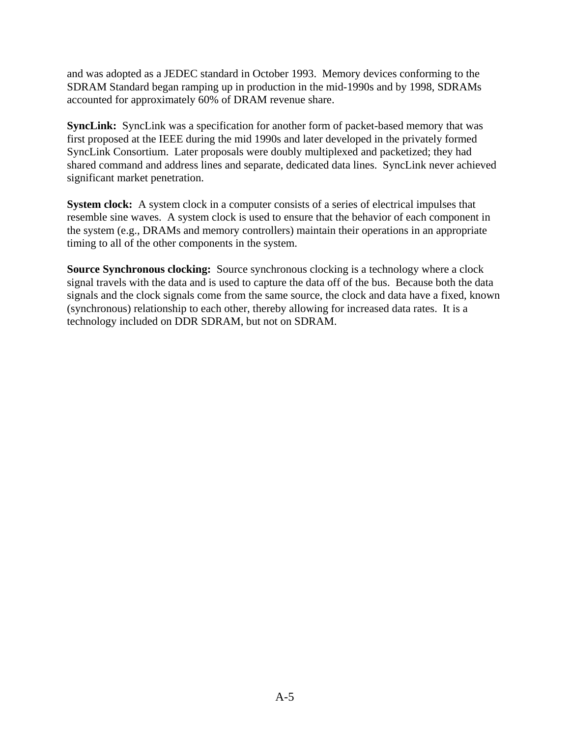and was adopted as a JEDEC standard in October 1993. Memory devices conforming to the SDRAM Standard began ramping up in production in the mid-1990s and by 1998, SDRAMs accounted for approximately 60% of DRAM revenue share.

**SyncLink:** SyncLink was a specification for another form of packet-based memory that was first proposed at the IEEE during the mid 1990s and later developed in the privately formed SyncLink Consortium. Later proposals were doubly multiplexed and packetized; they had shared command and address lines and separate, dedicated data lines. SyncLink never achieved significant market penetration.

**System clock:** A system clock in a computer consists of a series of electrical impulses that resemble sine waves. A system clock is used to ensure that the behavior of each component in the system (e.g., DRAMs and memory controllers) maintain their operations in an appropriate timing to all of the other components in the system.

**Source Synchronous clocking:** Source synchronous clocking is a technology where a clock signal travels with the data and is used to capture the data off of the bus. Because both the data signals and the clock signals come from the same source, the clock and data have a fixed, known (synchronous) relationship to each other, thereby allowing for increased data rates. It is a technology included on DDR SDRAM, but not on SDRAM.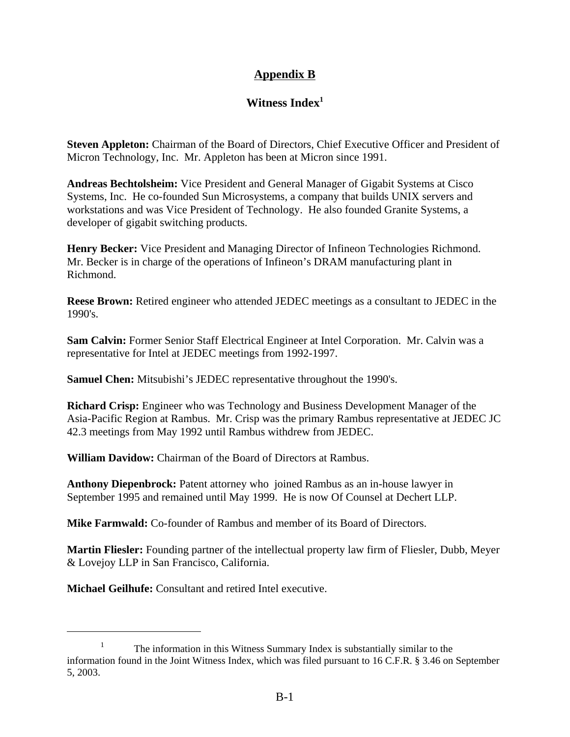# **Appendix B**

## **Witness Index1**

**Steven Appleton:** Chairman of the Board of Directors, Chief Executive Officer and President of Micron Technology, Inc. Mr. Appleton has been at Micron since 1991.

**Andreas Bechtolsheim:** Vice President and General Manager of Gigabit Systems at Cisco Systems, Inc. He co-founded Sun Microsystems, a company that builds UNIX servers and workstations and was Vice President of Technology. He also founded Granite Systems, a developer of gigabit switching products.

**Henry Becker:** Vice President and Managing Director of Infineon Technologies Richmond. Mr. Becker is in charge of the operations of Infineon's DRAM manufacturing plant in Richmond.

**Reese Brown:** Retired engineer who attended JEDEC meetings as a consultant to JEDEC in the 1990's.

**Sam Calvin:** Former Senior Staff Electrical Engineer at Intel Corporation. Mr. Calvin was a representative for Intel at JEDEC meetings from 1992-1997.

**Samuel Chen:** Mitsubishi's JEDEC representative throughout the 1990's.

**Richard Crisp:** Engineer who was Technology and Business Development Manager of the Asia-Pacific Region at Rambus. Mr. Crisp was the primary Rambus representative at JEDEC JC 42.3 meetings from May 1992 until Rambus withdrew from JEDEC.

**William Davidow:** Chairman of the Board of Directors at Rambus.

**Anthony Diepenbrock:** Patent attorney who joined Rambus as an in-house lawyer in September 1995 and remained until May 1999. He is now Of Counsel at Dechert LLP.

**Mike Farmwald:** Co-founder of Rambus and member of its Board of Directors.

**Martin Fliesler:** Founding partner of the intellectual property law firm of Fliesler, Dubb, Meyer & Lovejoy LLP in San Francisco, California.

**Michael Geilhufe:** Consultant and retired Intel executive.

<sup>&</sup>lt;sup>1</sup> The information in this Witness Summary Index is substantially similar to the information found in the Joint Witness Index, which was filed pursuant to 16 C.F.R. § 3.46 on September 5, 2003.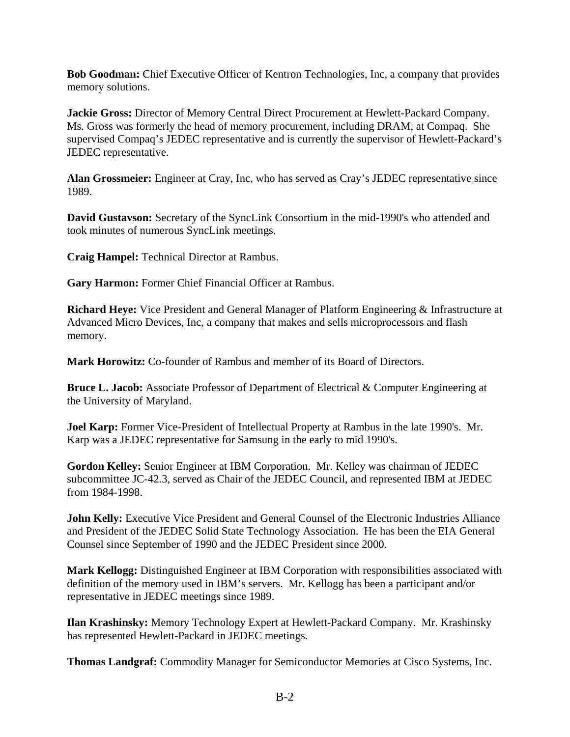**Bob Goodman:** Chief Executive Officer of Kentron Technologies, Inc, a company that provides memory solutions.

**Jackie Gross:** Director of Memory Central Direct Procurement at Hewlett-Packard Company. Ms. Gross was formerly the head of memory procurement, including DRAM, at Compaq. She supervised Compaq's JEDEC representative and is currently the supervisor of Hewlett-Packard's JEDEC representative.

**Alan Grossmeier:** Engineer at Cray, Inc, who has served as Cray's JEDEC representative since 1989.

**David Gustavson:** Secretary of the SyncLink Consortium in the mid-1990's who attended and took minutes of numerous SyncLink meetings.

**Craig Hampel:** Technical Director at Rambus.

**Gary Harmon:** Former Chief Financial Officer at Rambus.

**Richard Heye:** Vice President and General Manager of Platform Engineering & Infrastructure at Advanced Micro Devices, Inc, a company that makes and sells microprocessors and flash memory.

**Mark Horowitz:** Co-founder of Rambus and member of its Board of Directors.

**Bruce L. Jacob:** Associate Professor of Department of Electrical & Computer Engineering at the University of Maryland.

**Joel Karp:** Former Vice-President of Intellectual Property at Rambus in the late 1990's. Mr. Karp was a JEDEC representative for Samsung in the early to mid 1990's.

**Gordon Kelley:** Senior Engineer at IBM Corporation. Mr. Kelley was chairman of JEDEC subcommittee JC-42.3, served as Chair of the JEDEC Council, and represented IBM at JEDEC from 1984-1998.

**John Kelly:** Executive Vice President and General Counsel of the Electronic Industries Alliance and President of the JEDEC Solid State Technology Association. He has been the EIA General Counsel since September of 1990 and the JEDEC President since 2000.

**Mark Kellogg:** Distinguished Engineer at IBM Corporation with responsibilities associated with definition of the memory used in IBM's servers. Mr. Kellogg has been a participant and/or representative in JEDEC meetings since 1989.

**Ilan Krashinsky:** Memory Technology Expert at Hewlett-Packard Company. Mr. Krashinsky has represented Hewlett-Packard in JEDEC meetings.

**Thomas Landgraf:** Commodity Manager for Semiconductor Memories at Cisco Systems, Inc.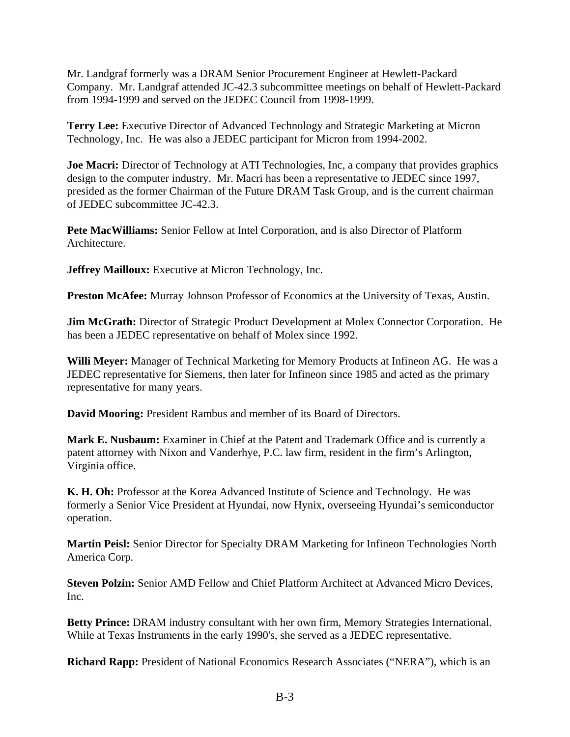Mr. Landgraf formerly was a DRAM Senior Procurement Engineer at Hewlett-Packard Company. Mr. Landgraf attended JC-42.3 subcommittee meetings on behalf of Hewlett-Packard from 1994-1999 and served on the JEDEC Council from 1998-1999.

**Terry Lee:** Executive Director of Advanced Technology and Strategic Marketing at Micron Technology, Inc. He was also a JEDEC participant for Micron from 1994-2002.

**Joe Macri:** Director of Technology at ATI Technologies, Inc, a company that provides graphics design to the computer industry. Mr. Macri has been a representative to JEDEC since 1997, presided as the former Chairman of the Future DRAM Task Group, and is the current chairman of JEDEC subcommittee JC-42.3.

**Pete MacWilliams:** Senior Fellow at Intel Corporation, and is also Director of Platform Architecture.

**Jeffrey Mailloux:** Executive at Micron Technology, Inc.

**Preston McAfee:** Murray Johnson Professor of Economics at the University of Texas, Austin.

**Jim McGrath:** Director of Strategic Product Development at Molex Connector Corporation. He has been a JEDEC representative on behalf of Molex since 1992.

**Willi Meyer:** Manager of Technical Marketing for Memory Products at Infineon AG. He was a JEDEC representative for Siemens, then later for Infineon since 1985 and acted as the primary representative for many years.

**David Mooring:** President Rambus and member of its Board of Directors.

**Mark E. Nusbaum:** Examiner in Chief at the Patent and Trademark Office and is currently a patent attorney with Nixon and Vanderhye, P.C. law firm, resident in the firm's Arlington, Virginia office.

**K. H. Oh:** Professor at the Korea Advanced Institute of Science and Technology. He was formerly a Senior Vice President at Hyundai, now Hynix, overseeing Hyundai's semiconductor operation.

**Martin Peisl:** Senior Director for Specialty DRAM Marketing for Infineon Technologies North America Corp.

**Steven Polzin:** Senior AMD Fellow and Chief Platform Architect at Advanced Micro Devices, Inc.

**Betty Prince:** DRAM industry consultant with her own firm, Memory Strategies International. While at Texas Instruments in the early 1990's, she served as a JEDEC representative.

**Richard Rapp:** President of National Economics Research Associates ("NERA"), which is an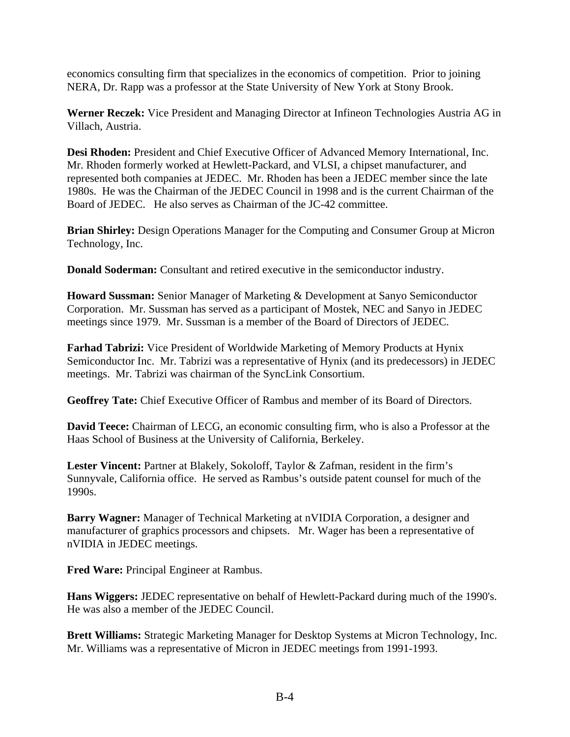economics consulting firm that specializes in the economics of competition. Prior to joining NERA, Dr. Rapp was a professor at the State University of New York at Stony Brook.

**Werner Reczek:** Vice President and Managing Director at Infineon Technologies Austria AG in Villach, Austria.

**Desi Rhoden:** President and Chief Executive Officer of Advanced Memory International, Inc. Mr. Rhoden formerly worked at Hewlett-Packard, and VLSI, a chipset manufacturer, and represented both companies at JEDEC. Mr. Rhoden has been a JEDEC member since the late 1980s. He was the Chairman of the JEDEC Council in 1998 and is the current Chairman of the Board of JEDEC. He also serves as Chairman of the JC-42 committee.

**Brian Shirley:** Design Operations Manager for the Computing and Consumer Group at Micron Technology, Inc.

**Donald Soderman:** Consultant and retired executive in the semiconductor industry.

**Howard Sussman:** Senior Manager of Marketing & Development at Sanyo Semiconductor Corporation. Mr. Sussman has served as a participant of Mostek, NEC and Sanyo in JEDEC meetings since 1979. Mr. Sussman is a member of the Board of Directors of JEDEC.

**Farhad Tabrizi:** Vice President of Worldwide Marketing of Memory Products at Hynix Semiconductor Inc. Mr. Tabrizi was a representative of Hynix (and its predecessors) in JEDEC meetings. Mr. Tabrizi was chairman of the SyncLink Consortium.

**Geoffrey Tate:** Chief Executive Officer of Rambus and member of its Board of Directors.

**David Teece:** Chairman of LECG, an economic consulting firm, who is also a Professor at the Haas School of Business at the University of California, Berkeley.

**Lester Vincent:** Partner at Blakely, Sokoloff, Taylor & Zafman, resident in the firm's Sunnyvale, California office. He served as Rambus's outside patent counsel for much of the 1990s.

**Barry Wagner:** Manager of Technical Marketing at nVIDIA Corporation, a designer and manufacturer of graphics processors and chipsets. Mr. Wager has been a representative of nVIDIA in JEDEC meetings.

**Fred Ware:** Principal Engineer at Rambus.

**Hans Wiggers:** JEDEC representative on behalf of Hewlett-Packard during much of the 1990's. He was also a member of the JEDEC Council.

**Brett Williams:** Strategic Marketing Manager for Desktop Systems at Micron Technology, Inc. Mr. Williams was a representative of Micron in JEDEC meetings from 1991-1993.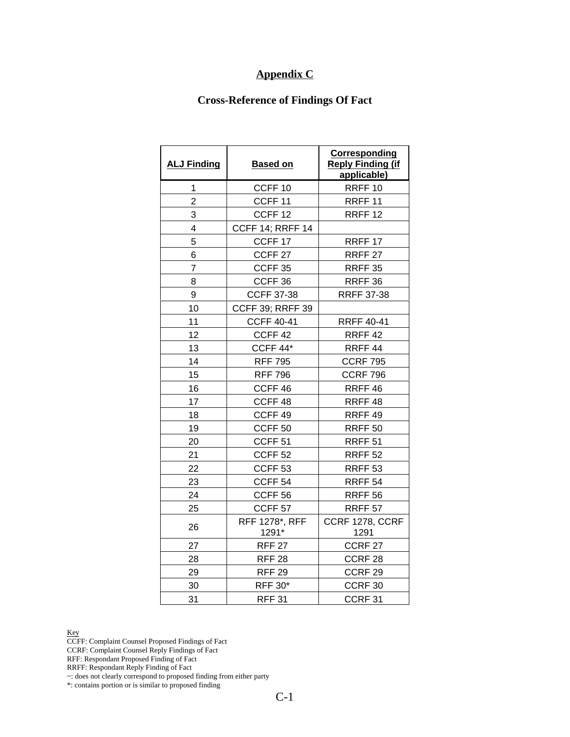## **Appendix C**

## **Cross-Reference of Findings Of Fact**

| <b>ALJ Finding</b> | <b>Based on</b>         | <b>Corresponding</b><br><b>Reply Finding (if</b><br>applicable) |
|--------------------|-------------------------|-----------------------------------------------------------------|
| 1                  | CCFF <sub>10</sub>      | RRFF <sub>10</sub>                                              |
| $\overline{2}$     | CCFF <sub>11</sub>      | RRFF <sub>11</sub>                                              |
| 3                  | CCFF <sub>12</sub>      | RRFF <sub>12</sub>                                              |
| 4                  | <b>CCFF 14; RRFF 14</b> |                                                                 |
| 5                  | CCFF <sub>17</sub>      | RRFF <sub>17</sub>                                              |
| 6                  | CCFF <sub>27</sub>      | RRFF <sub>27</sub>                                              |
| 7                  | CCFF <sub>35</sub>      | RRFF 35                                                         |
| 8                  | CCFF <sub>36</sub>      | RRFF 36                                                         |
| 9                  | <b>CCFF 37-38</b>       | <b>RRFF 37-38</b>                                               |
| 10                 | <b>CCFF 39; RRFF 39</b> |                                                                 |
| 11                 | <b>CCFF 40-41</b>       | <b>RRFF 40-41</b>                                               |
| 12                 | CCFF <sub>42</sub>      | RRFF <sub>42</sub>                                              |
| 13                 | CCFF 44*                | RRFF <sub>44</sub>                                              |
| 14                 | <b>RFF 795</b>          | <b>CCRF 795</b>                                                 |
| 15                 | <b>RFF 796</b>          | <b>CCRF 796</b>                                                 |
| 16                 | CCFF <sub>46</sub>      | RRFF <sub>46</sub>                                              |
| 17                 | CCFF <sub>48</sub>      | RRFF <sub>48</sub>                                              |
| 18                 | CCFF <sub>49</sub>      | RRFF <sub>49</sub>                                              |
| 19                 | CCFF <sub>50</sub>      | RRFF <sub>50</sub>                                              |
| 20                 | CCFF <sub>51</sub>      | RRFF <sub>51</sub>                                              |
| 21                 | CCFF <sub>52</sub>      | <b>RRFF 52</b>                                                  |
| 22                 | CCFF <sub>53</sub>      | <b>RRFF 53</b>                                                  |
| 23                 | CCFF <sub>54</sub>      | RRFF <sub>54</sub>                                              |
| 24                 | CCFF <sub>56</sub>      | <b>RRFF 56</b>                                                  |
| 25                 | CCFF <sub>57</sub>      | RRFF <sub>57</sub>                                              |
| 26                 | RFF 1278*, RFF<br>1291* | CCRF 1278, CCRF<br>1291                                         |
| 27                 | <b>RFF 27</b>           | CCRF <sub>27</sub>                                              |
| 28                 | <b>RFF 28</b>           | CCRF <sub>28</sub>                                              |
| 29                 | <b>RFF 29</b>           | CCRF <sub>29</sub>                                              |
| 30                 | <b>RFF 30*</b>          | CCRF <sub>30</sub>                                              |
| 31                 | <b>RFF 31</b>           | CCRF <sub>31</sub>                                              |

Key

CCFF: Complaint Counsel Proposed Findings of Fact

CCRF: Complaint Counsel Reply Findings of Fact

RFF: Respondant Proposed Finding of Fact

RRFF: Respondant Reply Finding of Fact

~: does not clearly correspond to proposed finding from either party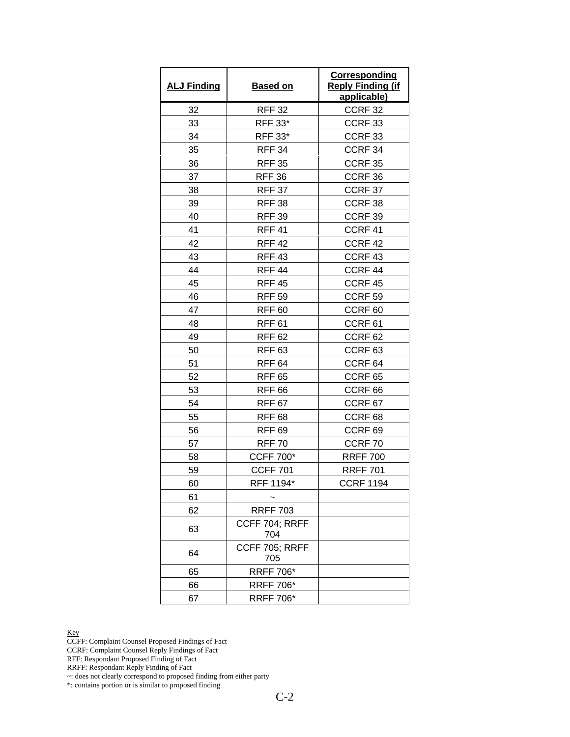| <b>ALJ Finding</b> | <b>Based on</b>              | Corresponding<br><b>Reply Finding (if</b><br><u>applicable)</u> |
|--------------------|------------------------------|-----------------------------------------------------------------|
| 32                 | <b>RFF 32</b>                | CCRF <sub>32</sub>                                              |
| 33                 | RFF 33*                      | CCRF <sub>33</sub>                                              |
| 34                 | <b>RFF 33*</b>               | CCRF <sub>33</sub>                                              |
| 35                 | <b>RFF 34</b>                | CCRF 34                                                         |
| 36                 | <b>RFF 35</b>                | CCRF 35                                                         |
| 37                 | <b>RFF 36</b>                | CCRF 36                                                         |
| 38                 | <b>RFF 37</b>                | CCRF 37                                                         |
| 39                 | <b>RFF 38</b>                | CCRF38                                                          |
| 40                 | <b>RFF 39</b>                | CCRF 39                                                         |
| 41                 | <b>RFF 41</b>                | CCRF 41                                                         |
| 42                 | <b>RFF 42</b>                | CCRF 42                                                         |
| 43                 | <b>RFF 43</b>                | CCRF 43                                                         |
| 44                 | <b>RFF 44</b>                | CCRF 44                                                         |
| 45                 | <b>RFF 45</b>                | CCRF 45                                                         |
| 46                 | <b>RFF 59</b>                | CCRF <sub>59</sub>                                              |
| 47                 | <b>RFF 60</b>                | CCRF <sub>60</sub>                                              |
| 48                 | <b>RFF 61</b>                | CCRF <sub>61</sub>                                              |
| 49                 | <b>RFF 62</b>                | CCRF <sub>62</sub>                                              |
| 50                 | <b>RFF 63</b>                | CCRF <sub>63</sub>                                              |
| 51                 | <b>RFF 64</b>                | CCRF <sub>64</sub>                                              |
| 52                 | <b>RFF 65</b>                | CCRF <sub>65</sub>                                              |
| 53                 | <b>RFF 66</b>                | CCRF <sub>66</sub>                                              |
| 54                 | <b>RFF 67</b>                | CCRF <sub>67</sub>                                              |
| 55                 | <b>RFF 68</b>                | CCRF <sub>68</sub>                                              |
| 56                 | <b>RFF 69</b>                | CCRF <sub>69</sub>                                              |
| 57                 | <b>RFF 70</b>                | CCRF70                                                          |
| 58                 | <b>CCFF 700*</b>             | <b>RRFF 700</b>                                                 |
| 59                 | <b>CCFF 701</b>              | <b>RRFF 701</b>                                                 |
| 60                 | RFF 1194*                    | <b>CCRF 1194</b>                                                |
| 61                 |                              |                                                                 |
| 62                 | <b>RRFF 703</b>              |                                                                 |
| 63                 | CCFF 704; RRFF<br>704        |                                                                 |
| 64                 | <b>CCFF 705; RRFF</b><br>705 |                                                                 |
| 65                 | <b>RRFF 706*</b>             |                                                                 |
| 66                 | <b>RRFF 706*</b>             |                                                                 |
| 67                 | <b>RRFF 706*</b>             |                                                                 |

CCFF: Complaint Counsel Proposed Findings of Fact

CCRF: Complaint Counsel Reply Findings of Fact

RFF: Respondant Proposed Finding of Fact

RRFF: Respondant Reply Finding of Fact

~: does not clearly correspond to proposed finding from either party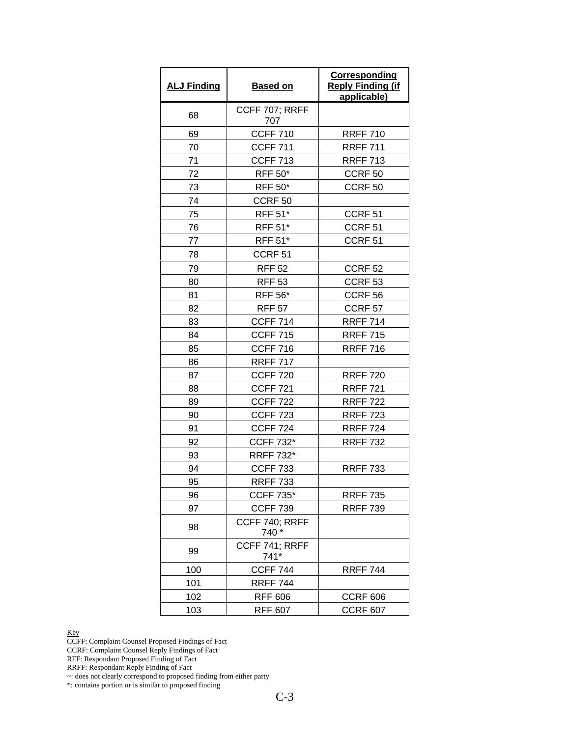| <b>ALJ Finding</b> | <b>Based on</b>         | <b>Corresponding</b><br><b>Reply Finding (if</b><br>applicable) |
|--------------------|-------------------------|-----------------------------------------------------------------|
| 68                 | CCFF 707; RRFF<br>707   |                                                                 |
| 69                 | <b>CCFF 710</b>         | <b>RRFF 710</b>                                                 |
| 70                 | <b>CCFF 711</b>         | <b>RRFF 711</b>                                                 |
| 71                 | <b>CCFF 713</b>         | <b>RRFF 713</b>                                                 |
| 72                 | <b>RFF 50*</b>          | CCRF <sub>50</sub>                                              |
| 73                 | <b>RFF 50*</b>          | CCRF <sub>50</sub>                                              |
| 74                 | CCRF <sub>50</sub>      |                                                                 |
| 75                 | <b>RFF 51*</b>          | CCRF <sub>51</sub>                                              |
| 76                 | <b>RFF 51*</b>          | CCRF <sub>51</sub>                                              |
| 77                 | <b>RFF 51*</b>          | CCRF <sub>51</sub>                                              |
| 78                 | CCRF <sub>51</sub>      |                                                                 |
| 79                 | <b>RFF 52</b>           | CCRF <sub>52</sub>                                              |
| 80                 | <b>RFF 53</b>           | CCRF <sub>53</sub>                                              |
| 81                 | <b>RFF 56*</b>          | CCRF <sub>56</sub>                                              |
| 82                 | <b>RFF 57</b>           | CCRF <sub>57</sub>                                              |
| 83                 | <b>CCFF 714</b>         | <b>RRFF 714</b>                                                 |
| 84                 | <b>CCFF 715</b>         | <b>RRFF 715</b>                                                 |
| 85                 | <b>CCFF 716</b>         | <b>RRFF 716</b>                                                 |
| 86                 | <b>RRFF 717</b>         |                                                                 |
| 87                 | <b>CCFF 720</b>         | <b>RRFF 720</b>                                                 |
| 88                 | <b>CCFF 721</b>         | <b>RRFF 721</b>                                                 |
| 89                 | <b>CCFF 722</b>         | <b>RRFF 722</b>                                                 |
| 90                 | <b>CCFF 723</b>         | <b>RRFF 723</b>                                                 |
| 91                 | <b>CCFF 724</b>         | <b>RRFF 724</b>                                                 |
| 92                 | <b>CCFF 732*</b>        | <b>RRFF 732</b>                                                 |
| 93                 | <b>RRFF 732*</b>        |                                                                 |
| 94                 | <b>CCFF 733</b>         | <b>RRFF 733</b>                                                 |
| 95                 | <b>RRFF 733</b>         |                                                                 |
| 96                 | <b>CCFF 735*</b>        | <b>RRFF 735</b>                                                 |
| 97                 | <b>CCFF 739</b>         | <b>RRFF 739</b>                                                 |
| 98                 | CCFF 740; RRFF<br>740 * |                                                                 |
| 99                 | CCFF 741; RRFF<br>741*  |                                                                 |
| 100                | <b>CCFF 744</b>         | <b>RRFF 744</b>                                                 |
| 101                | <b>RRFF 744</b>         |                                                                 |
| 102                | <b>RFF 606</b>          | <b>CCRF 606</b>                                                 |
| 103                | <b>RFF 607</b>          | <b>CCRF 607</b>                                                 |

CCFF: Complaint Counsel Proposed Findings of Fact

CCRF: Complaint Counsel Reply Findings of Fact

RFF: Respondant Proposed Finding of Fact

RRFF: Respondant Reply Finding of Fact

~: does not clearly correspond to proposed finding from either party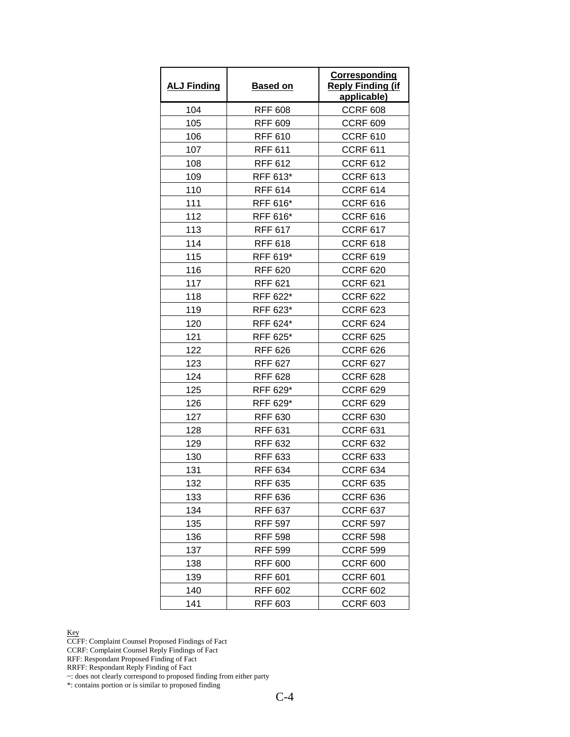| <b>ALJ Finding</b> | <b>Based on</b> | Corresponding<br><b>Reply Finding (if</b><br>applicable) |
|--------------------|-----------------|----------------------------------------------------------|
| 104                | <b>RFF 608</b>  | <b>CCRF 608</b>                                          |
| 105                | <b>RFF 609</b>  | <b>CCRF 609</b>                                          |
| 106                | <b>RFF 610</b>  | <b>CCRF 610</b>                                          |
| 107                | <b>RFF 611</b>  | <b>CCRF 611</b>                                          |
| 108                | <b>RFF 612</b>  | <b>CCRF 612</b>                                          |
| 109                | RFF 613*        | <b>CCRF 613</b>                                          |
| 110                | <b>RFF 614</b>  | <b>CCRF 614</b>                                          |
| 111                | RFF 616*        | <b>CCRF 616</b>                                          |
| 112                | RFF 616*        | <b>CCRF 616</b>                                          |
| 113                | <b>RFF 617</b>  | <b>CCRF 617</b>                                          |
| 114                | <b>RFF 618</b>  | <b>CCRF 618</b>                                          |
| 115                | RFF 619*        | <b>CCRF 619</b>                                          |
| 116                | <b>RFF 620</b>  | <b>CCRF 620</b>                                          |
| 117                | <b>RFF 621</b>  | <b>CCRF 621</b>                                          |
| 118                | RFF 622*        | <b>CCRF 622</b>                                          |
| 119                | RFF 623*        | <b>CCRF 623</b>                                          |
| 120                | RFF 624*        | <b>CCRF 624</b>                                          |
| 121                | RFF 625*        | <b>CCRF 625</b>                                          |
| 122                | <b>RFF 626</b>  | <b>CCRF 626</b>                                          |
| 123                | <b>RFF 627</b>  | <b>CCRF 627</b>                                          |
| 124                | <b>RFF 628</b>  | <b>CCRF 628</b>                                          |
| 125                | RFF 629*        | <b>CCRF 629</b>                                          |
| 126                | RFF 629*        | <b>CCRF 629</b>                                          |
| 127                | RFF 630         | <b>CCRF 630</b>                                          |
| 128                | <b>RFF 631</b>  | <b>CCRF 631</b>                                          |
| 129                | <b>RFF 632</b>  | <b>CCRF 632</b>                                          |
| 130                | <b>RFF 633</b>  | <b>CCRF 633</b>                                          |
| 131                | <b>RFF 634</b>  | <b>CCRF 634</b>                                          |
| 132                | <b>RFF 635</b>  | <b>CCRF 635</b>                                          |
| 133                | RFF 636         | <b>CCRF 636</b>                                          |
| 134                | <b>RFF 637</b>  | <b>CCRF 637</b>                                          |
| 135                | <b>RFF 597</b>  | <b>CCRF 597</b>                                          |
| 136                | <b>RFF 598</b>  | <b>CCRF 598</b>                                          |
| 137                | <b>RFF 599</b>  | <b>CCRF 599</b>                                          |
| 138                | <b>RFF 600</b>  | <b>CCRF 600</b>                                          |
| 139                | <b>RFF 601</b>  | <b>CCRF 601</b>                                          |
| 140                | RFF 602         | <b>CCRF 602</b>                                          |
| 141                | <b>RFF 603</b>  | <b>CCRF 603</b>                                          |

CCFF: Complaint Counsel Proposed Findings of Fact

CCRF: Complaint Counsel Reply Findings of Fact

RFF: Respondant Proposed Finding of Fact

RRFF: Respondant Reply Finding of Fact

~: does not clearly correspond to proposed finding from either party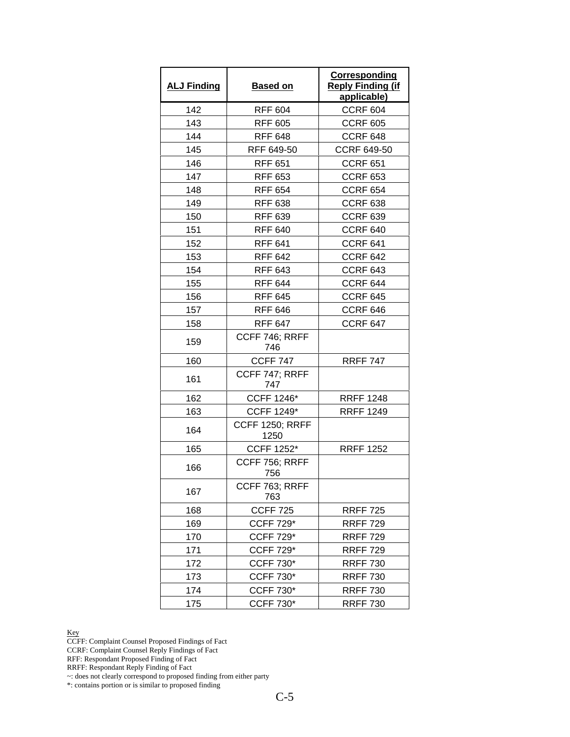| <b>ALJ Finding</b> | <b>Based on</b>                | <b>Corresponding</b><br><b>Reply Finding (if</b><br>applicable) |
|--------------------|--------------------------------|-----------------------------------------------------------------|
| 142                | <b>RFF 604</b>                 | <b>CCRF 604</b>                                                 |
| 143                | <b>RFF 605</b>                 | <b>CCRF 605</b>                                                 |
| 144                | <b>RFF 648</b>                 | <b>CCRF 648</b>                                                 |
| 145                | RFF 649-50                     | <b>CCRF 649-50</b>                                              |
| 146                | <b>RFF 651</b>                 | <b>CCRF 651</b>                                                 |
| 147                | <b>RFF 653</b>                 | <b>CCRF 653</b>                                                 |
| 148                | <b>RFF 654</b>                 | <b>CCRF 654</b>                                                 |
| 149                | <b>RFF 638</b>                 | <b>CCRF 638</b>                                                 |
| 150                | <b>RFF 639</b>                 | <b>CCRF 639</b>                                                 |
| 151                | <b>RFF 640</b>                 | <b>CCRF 640</b>                                                 |
| 152                | <b>RFF 641</b>                 | <b>CCRF 641</b>                                                 |
| 153                | <b>RFF 642</b>                 | <b>CCRF 642</b>                                                 |
| 154                | <b>RFF 643</b>                 | <b>CCRF 643</b>                                                 |
| 155                | <b>RFF 644</b>                 | <b>CCRF 644</b>                                                 |
| 156                | <b>RFF 645</b>                 | <b>CCRF 645</b>                                                 |
| 157                | <b>RFF 646</b>                 | CCRF 646                                                        |
| 158                | <b>RFF 647</b>                 | <b>CCRF 647</b>                                                 |
| 159                | CCFF 746; RRFF<br>746          |                                                                 |
| 160                | <b>CCFF 747</b>                | <b>RRFF 747</b>                                                 |
| 161                | CCFF 747; RRFF<br>747          |                                                                 |
| 162                | <b>CCFF 1246*</b>              | <b>RRFF 1248</b>                                                |
| 163                | CCFF 1249*                     | <b>RRFF 1249</b>                                                |
| 164                | <b>CCFF 1250; RRFF</b><br>1250 |                                                                 |
| 165                | <b>CCFF 1252*</b>              | <b>RRFF 1252</b>                                                |
| 166                | CCFF 756; RRFF<br>756          |                                                                 |
| 167                | CCFF 763; RRFF<br>763          |                                                                 |
| 168                | <b>CCFF 725</b>                | <b>RRFF 725</b>                                                 |
| 169                | <b>CCFF 729*</b>               | <b>RRFF 729</b>                                                 |
| 170                | <b>CCFF 729*</b>               | <b>RRFF 729</b>                                                 |
| 171                | <b>CCFF 729*</b>               | <b>RRFF 729</b>                                                 |
| 172                | <b>CCFF 730*</b>               | <b>RRFF 730</b>                                                 |
| 173                | <b>CCFF 730*</b>               | <b>RRFF 730</b>                                                 |
| 174                | <b>CCFF 730*</b>               | <b>RRFF 730</b>                                                 |
| 175                | <b>CCFF 730*</b>               | <b>RRFF 730</b>                                                 |

CCFF: Complaint Counsel Proposed Findings of Fact

CCRF: Complaint Counsel Reply Findings of Fact

RFF: Respondant Proposed Finding of Fact

RRFF: Respondant Reply Finding of Fact

~: does not clearly correspond to proposed finding from either party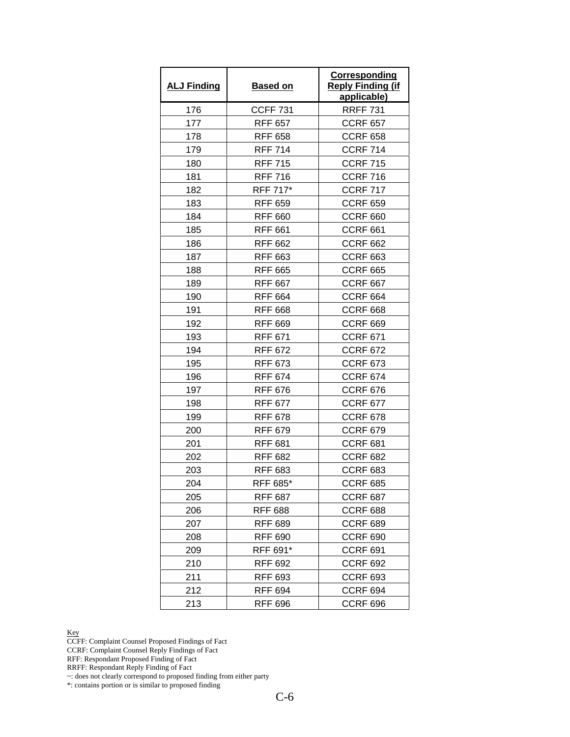| <b>ALJ Finding</b> | <b>Based on</b> | Corresponding<br><b>Reply Finding (if</b><br>applicable) |
|--------------------|-----------------|----------------------------------------------------------|
| 176                | <b>CCFF 731</b> | <b>RRFF 731</b>                                          |
| 177                | <b>RFF 657</b>  | <b>CCRF 657</b>                                          |
| 178                | <b>RFF 658</b>  | <b>CCRF 658</b>                                          |
| 179                | <b>RFF 714</b>  | <b>CCRF 714</b>                                          |
| 180                | <b>RFF 715</b>  | <b>CCRF 715</b>                                          |
| 181                | <b>RFF 716</b>  | <b>CCRF 716</b>                                          |
| 182                | RFF 717*        | <b>CCRF 717</b>                                          |
| 183                | <b>RFF 659</b>  | <b>CCRF 659</b>                                          |
| 184                | <b>RFF 660</b>  | <b>CCRF 660</b>                                          |
| 185                | <b>RFF 661</b>  | <b>CCRF 661</b>                                          |
| 186                | <b>RFF 662</b>  | <b>CCRF 662</b>                                          |
| 187                | <b>RFF 663</b>  | <b>CCRF 663</b>                                          |
| 188                | <b>RFF 665</b>  | <b>CCRF 665</b>                                          |
| 189                | <b>RFF 667</b>  | <b>CCRF 667</b>                                          |
| 190                | <b>RFF 664</b>  | <b>CCRF 664</b>                                          |
| 191                | <b>RFF 668</b>  | <b>CCRF 668</b>                                          |
| 192                | <b>RFF 669</b>  | <b>CCRF 669</b>                                          |
| 193                | <b>RFF 671</b>  | <b>CCRF 671</b>                                          |
| 194                | RFF 672         | <b>CCRF 672</b>                                          |
| 195                | <b>RFF 673</b>  | <b>CCRF 673</b>                                          |
| 196                | <b>RFF 674</b>  | <b>CCRF 674</b>                                          |
| 197                | <b>RFF 676</b>  | <b>CCRF 676</b>                                          |
| 198                | <b>RFF 677</b>  | <b>CCRF 677</b>                                          |
| 199                | RFF 678         | <b>CCRF 678</b>                                          |
| 200                | <b>RFF 679</b>  | <b>CCRF 679</b>                                          |
| 201                | <b>RFF 681</b>  | <b>CCRF 681</b>                                          |
| 202                | <b>RFF 682</b>  | <b>CCRF 682</b>                                          |
| 203                | <b>RFF 683</b>  | <b>CCRF 683</b>                                          |
| 204                | RFF 685*        | <b>CCRF 685</b>                                          |
| 205                | <b>RFF 687</b>  | <b>CCRF 687</b>                                          |
| 206                | <b>RFF 688</b>  | <b>CCRF 688</b>                                          |
| 207                | <b>RFF 689</b>  | <b>CCRF 689</b>                                          |
| 208                | <b>RFF 690</b>  | <b>CCRF 690</b>                                          |
| 209                | RFF 691*        | <b>CCRF 691</b>                                          |
| 210                | <b>RFF 692</b>  | <b>CCRF 692</b>                                          |
| 211                | <b>RFF 693</b>  | <b>CCRF 693</b>                                          |
| 212                | RFF 694         | <b>CCRF 694</b>                                          |
| 213                | <b>RFF 696</b>  | <b>CCRF 696</b>                                          |

CCFF: Complaint Counsel Proposed Findings of Fact

CCRF: Complaint Counsel Reply Findings of Fact

RFF: Respondant Proposed Finding of Fact

RRFF: Respondant Reply Finding of Fact

~: does not clearly correspond to proposed finding from either party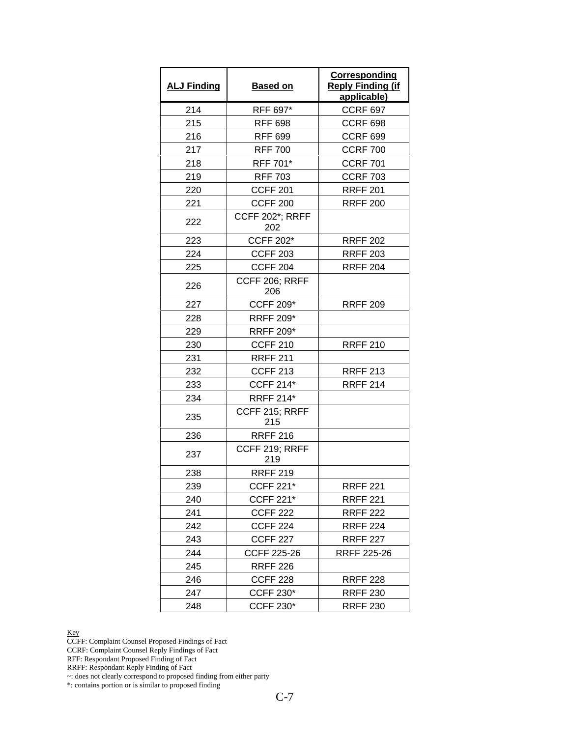| <b>ALJ Finding</b> | <b>Based on</b>               | Corresponding<br><b>Reply Finding (if</b><br>applicable) |
|--------------------|-------------------------------|----------------------------------------------------------|
| 214                | RFF 697*                      | <b>CCRF 697</b>                                          |
| 215                | <b>RFF 698</b>                | <b>CCRF 698</b>                                          |
| 216                | <b>RFF 699</b>                | <b>CCRF 699</b>                                          |
| 217                | <b>RFF 700</b>                | <b>CCRF 700</b>                                          |
| 218                | RFF 701*                      | <b>CCRF 701</b>                                          |
| 219                | <b>RFF 703</b>                | <b>CCRF 703</b>                                          |
| 220                | <b>CCFF 201</b>               | <b>RRFF 201</b>                                          |
| 221                | <b>CCFF 200</b>               | <b>RRFF 200</b>                                          |
| 222                | <b>CCFF 202*; RRFF</b><br>202 |                                                          |
| 223                | <b>CCFF 202*</b>              | <b>RRFF 202</b>                                          |
| 224                | <b>CCFF 203</b>               | <b>RRFF 203</b>                                          |
| 225                | <b>CCFF 204</b>               | <b>RRFF 204</b>                                          |
| 226                | CCFF 206; RRFF<br>206         |                                                          |
| 227                | <b>CCFF 209*</b>              | <b>RRFF 209</b>                                          |
| 228                | <b>RRFF 209*</b>              |                                                          |
| 229                | <b>RRFF 209*</b>              |                                                          |
| 230                | <b>CCFF 210</b>               | <b>RRFF 210</b>                                          |
| 231                | <b>RRFF 211</b>               |                                                          |
| 232                | <b>CCFF 213</b>               | <b>RRFF 213</b>                                          |
| 233                | <b>CCFF 214*</b>              | <b>RRFF 214</b>                                          |
| 234                | <b>RRFF 214*</b>              |                                                          |
| 235                | CCFF 215; RRFF<br>215         |                                                          |
| 236                | <b>RRFF 216</b>               |                                                          |
| 237                | CCFF 219; RRFF<br>219         |                                                          |
| 238                | <b>RRFF 219</b>               |                                                          |
| 239                | <b>CCFF 221*</b>              | <b>RRFF 221</b>                                          |
| 240                | <b>CCFF 221*</b>              | <b>RRFF 221</b>                                          |
| 241                | <b>CCFF 222</b>               | <b>RRFF 222</b>                                          |
| 242                | <b>CCFF 224</b>               | <b>RRFF 224</b>                                          |
| 243                | <b>CCFF 227</b>               | <b>RRFF 227</b>                                          |
| 244                | <b>CCFF 225-26</b>            | RRFF 225-26                                              |
| 245                | <b>RRFF 226</b>               |                                                          |
| 246                | CCFF 228                      | <b>RRFF 228</b>                                          |
| 247                | <b>CCFF 230*</b>              | <b>RRFF 230</b>                                          |
| 248                | CCFF 230*                     | <b>RRFF 230</b>                                          |

CCFF: Complaint Counsel Proposed Findings of Fact

CCRF: Complaint Counsel Reply Findings of Fact

RFF: Respondant Proposed Finding of Fact

RRFF: Respondant Reply Finding of Fact

~: does not clearly correspond to proposed finding from either party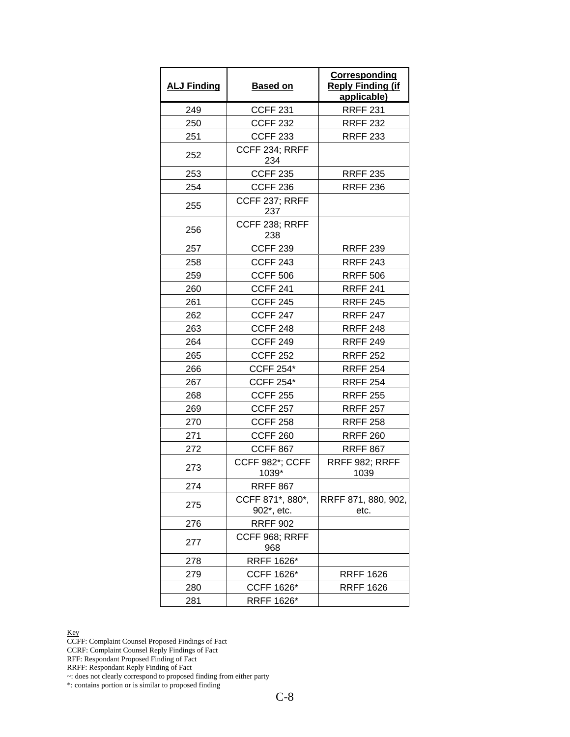| <b>ALJ Finding</b> | <b>Based on</b>                             | <b>Corresponding</b><br><b>Reply Finding (if</b><br>applicable) |
|--------------------|---------------------------------------------|-----------------------------------------------------------------|
| 249                | <b>CCFF 231</b>                             | <b>RRFF 231</b>                                                 |
| 250                | <b>CCFF 232</b>                             | <b>RRFF 232</b>                                                 |
| 251                | <b>CCFF 233</b>                             | <b>RRFF 233</b>                                                 |
| 252                | CCFF 234; RRFF<br>234                       |                                                                 |
| 253                | <b>CCFF 235</b>                             | <b>RRFF 235</b>                                                 |
| 254                | <b>CCFF 236</b>                             | <b>RRFF 236</b>                                                 |
| 255                | CCFF 237; RRFF<br>237                       |                                                                 |
| 256                | CCFF 238; RRFF<br>238                       |                                                                 |
| 257                | <b>CCFF 239</b>                             | <b>RRFF 239</b>                                                 |
| 258                | <b>CCFF 243</b>                             | <b>RRFF 243</b>                                                 |
| 259                | <b>CCFF 506</b>                             | <b>RRFF 506</b>                                                 |
| 260                | <b>CCFF 241</b>                             | <b>RRFF 241</b>                                                 |
| 261                | <b>CCFF 245</b>                             | <b>RRFF 245</b>                                                 |
| 262                | <b>CCFF 247</b>                             | <b>RRFF 247</b>                                                 |
| 263                | CCFF <sub>248</sub>                         | <b>RRFF 248</b>                                                 |
| 264                | <b>CCFF 249</b>                             | <b>RRFF 249</b>                                                 |
| 265                | <b>CCFF 252</b>                             | <b>RRFF 252</b>                                                 |
| 266                | <b>CCFF 254*</b>                            | <b>RRFF 254</b>                                                 |
| 267                | <b>CCFF 254*</b>                            | <b>RRFF 254</b>                                                 |
| 268                | <b>CCFF 255</b>                             | <b>RRFF 255</b>                                                 |
| 269                | <b>CCFF 257</b>                             | <b>RRFF 257</b>                                                 |
| 270                | <b>CCFF 258</b>                             | <b>RRFF 258</b>                                                 |
| 271                | <b>CCFF 260</b>                             | <b>RRFF 260</b>                                                 |
| 272                | <b>CCFF 867</b>                             | <b>RRFF 867</b>                                                 |
| 273                | CCFF 982*; CCFF<br>1039*                    | RRFF 982; RRFF<br>1039                                          |
| 274                | <b>RRFF 867</b>                             |                                                                 |
| 275                | CCFF 871*, 880*,<br>902 <sup>*</sup> , etc. | RRFF 871, 880, 902,<br>etc.                                     |
| 276                | <b>RRFF 902</b>                             |                                                                 |
| 277                | CCFF 968; RRFF<br>968                       |                                                                 |
| 278                | RRFF 1626*                                  |                                                                 |
| 279                | CCFF 1626*                                  | <b>RRFF 1626</b>                                                |
| 280                | CCFF 1626*                                  | <b>RRFF 1626</b>                                                |
| 281                | RRFF 1626*                                  |                                                                 |

CCFF: Complaint Counsel Proposed Findings of Fact

CCRF: Complaint Counsel Reply Findings of Fact

RFF: Respondant Proposed Finding of Fact

RRFF: Respondant Reply Finding of Fact

~: does not clearly correspond to proposed finding from either party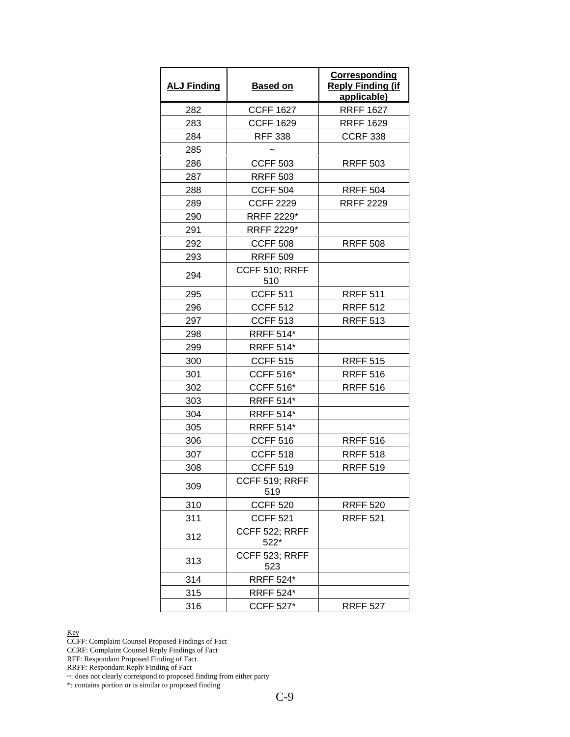| <b>ALJ Finding</b> | <b>Based on</b>          | <b>Corresponding</b><br><b>Reply Finding (if</b><br>applicable) |
|--------------------|--------------------------|-----------------------------------------------------------------|
| 282                | <b>CCFF 1627</b>         | <b>RRFF 1627</b>                                                |
| 283                | <b>CCFF 1629</b>         | <b>RRFF 1629</b>                                                |
| 284                | <b>RFF 338</b>           | <b>CCRF 338</b>                                                 |
| 285                |                          |                                                                 |
| 286                | <b>CCFF 503</b>          | <b>RRFF 503</b>                                                 |
| 287                | <b>RRFF 503</b>          |                                                                 |
| 288                | <b>CCFF 504</b>          | <b>RRFF 504</b>                                                 |
| 289                | <b>CCFF 2229</b>         | <b>RRFF 2229</b>                                                |
| 290                | RRFF 2229*               |                                                                 |
| 291                | RRFF 2229*               |                                                                 |
| 292                | <b>CCFF 508</b>          | <b>RRFF 508</b>                                                 |
| 293                | <b>RRFF 509</b>          |                                                                 |
| 294                | CCFF 510; RRFF<br>510    |                                                                 |
| 295                | <b>CCFF 511</b>          | <b>RRFF 511</b>                                                 |
| 296                | <b>CCFF 512</b>          | <b>RRFF 512</b>                                                 |
| 297                | <b>CCFF 513</b>          | <b>RRFF 513</b>                                                 |
| 298                | <b>RRFF 514*</b>         |                                                                 |
| 299                | <b>RRFF 514*</b>         |                                                                 |
| 300                | <b>CCFF 515</b>          | <b>RRFF 515</b>                                                 |
| 301                | <b>CCFF 516*</b>         | <b>RRFF 516</b>                                                 |
| 302                | <b>CCFF 516*</b>         | <b>RRFF 516</b>                                                 |
| 303                | <b>RRFF 514*</b>         |                                                                 |
| 304                | <b>RRFF 514*</b>         |                                                                 |
| 305                | <b>RRFF 514*</b>         |                                                                 |
| 306                | <b>CCFF 516</b>          | <b>RRFF 516</b>                                                 |
| 307                | <b>CCFF 518</b>          | <b>RRFF 518</b>                                                 |
| 308                | <b>CCFF 519</b>          | <b>RRFF 519</b>                                                 |
| 309                | CCFF 519; RRFF<br>519    |                                                                 |
| 310                | <b>CCFF 520</b>          | <b>RRFF 520</b>                                                 |
| 311                | <b>CCFF 521</b>          | <b>RRFF 521</b>                                                 |
| 312                | CCFF 522; RRFF<br>$522*$ |                                                                 |
| 313                | CCFF 523; RRFF<br>523    |                                                                 |
| 314                | <b>RRFF 524*</b>         |                                                                 |
| 315                | <b>RRFF 524*</b>         |                                                                 |
| 316                | <b>CCFF 527*</b>         | <b>RRFF 527</b>                                                 |

CCFF: Complaint Counsel Proposed Findings of Fact

CCRF: Complaint Counsel Reply Findings of Fact

RFF: Respondant Proposed Finding of Fact

RRFF: Respondant Reply Finding of Fact

~: does not clearly correspond to proposed finding from either party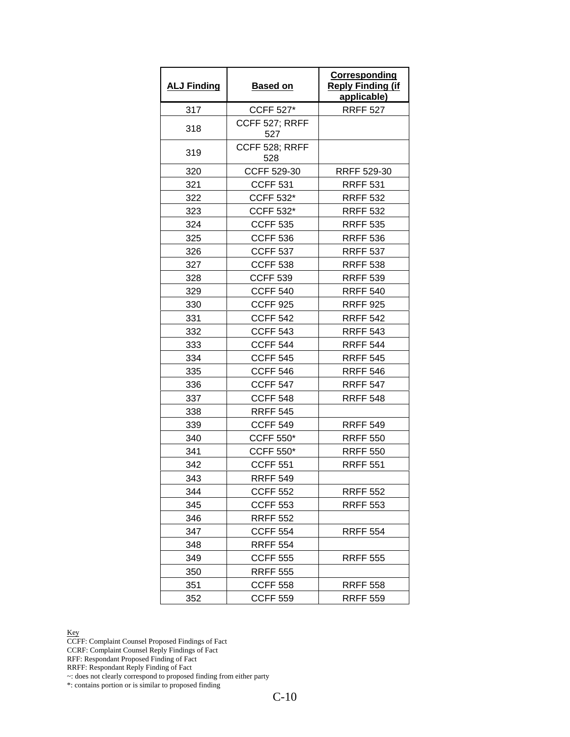| <b>ALJ Finding</b> | <b>Based on</b>       | <b>Corresponding</b><br><b>Reply Finding (if</b><br>applicable) |
|--------------------|-----------------------|-----------------------------------------------------------------|
| 317                | <b>CCFF 527*</b>      | <b>RRFF 527</b>                                                 |
| 318                | CCFF 527; RRFF<br>527 |                                                                 |
| 319                | CCFF 528; RRFF<br>528 |                                                                 |
| 320                | CCFF 529-30           | RRFF 529-30                                                     |
| 321                | <b>CCFF 531</b>       | <b>RRFF 531</b>                                                 |
| 322                | <b>CCFF 532*</b>      | <b>RRFF 532</b>                                                 |
| 323                | <b>CCFF 532*</b>      | <b>RRFF 532</b>                                                 |
| 324                | <b>CCFF 535</b>       | <b>RRFF 535</b>                                                 |
| 325                | <b>CCFF 536</b>       | <b>RRFF 536</b>                                                 |
| 326                | <b>CCFF 537</b>       | <b>RRFF 537</b>                                                 |
| 327                | <b>CCFF 538</b>       | <b>RRFF 538</b>                                                 |
| 328                | <b>CCFF 539</b>       | <b>RRFF 539</b>                                                 |
| 329                | <b>CCFF 540</b>       | <b>RRFF 540</b>                                                 |
| 330                | <b>CCFF 925</b>       | <b>RRFF 925</b>                                                 |
| 331                | <b>CCFF 542</b>       | <b>RRFF 542</b>                                                 |
| 332                | <b>CCFF 543</b>       | <b>RRFF 543</b>                                                 |
| 333                | <b>CCFF 544</b>       | <b>RRFF 544</b>                                                 |
| 334                | <b>CCFF 545</b>       | <b>RRFF 545</b>                                                 |
| 335                | <b>CCFF 546</b>       | <b>RRFF 546</b>                                                 |
| 336                | <b>CCFF 547</b>       | <b>RRFF 547</b>                                                 |
| 337                | <b>CCFF 548</b>       | <b>RRFF 548</b>                                                 |
| 338                | <b>RRFF 545</b>       |                                                                 |
| 339                | <b>CCFF 549</b>       | <b>RRFF 549</b>                                                 |
| 340                | <b>CCFF 550*</b>      | <b>RRFF 550</b>                                                 |
| 341                | <b>CCFF 550*</b>      | <b>RRFF 550</b>                                                 |
| 342                | <b>CCFF 551</b>       | <b>RRFF 551</b>                                                 |
| 343                | <b>RRFF 549</b>       |                                                                 |
| 344                | <b>CCFF 552</b>       | <b>RRFF 552</b>                                                 |
| 345                | <b>CCFF 553</b>       | <b>RRFF 553</b>                                                 |
| 346                | <b>RRFF 552</b>       |                                                                 |
| 347                | <b>CCFF 554</b>       | <b>RRFF 554</b>                                                 |
| 348                | <b>RRFF 554</b>       |                                                                 |
| 349                | <b>CCFF 555</b>       | <b>RRFF 555</b>                                                 |
| 350                | <b>RRFF 555</b>       |                                                                 |
| 351                | <b>CCFF 558</b>       | <b>RRFF 558</b>                                                 |
| 352                | <b>CCFF 559</b>       | <b>RRFF 559</b>                                                 |

CCFF: Complaint Counsel Proposed Findings of Fact

CCRF: Complaint Counsel Reply Findings of Fact

RFF: Respondant Proposed Finding of Fact

RRFF: Respondant Reply Finding of Fact

~: does not clearly correspond to proposed finding from either party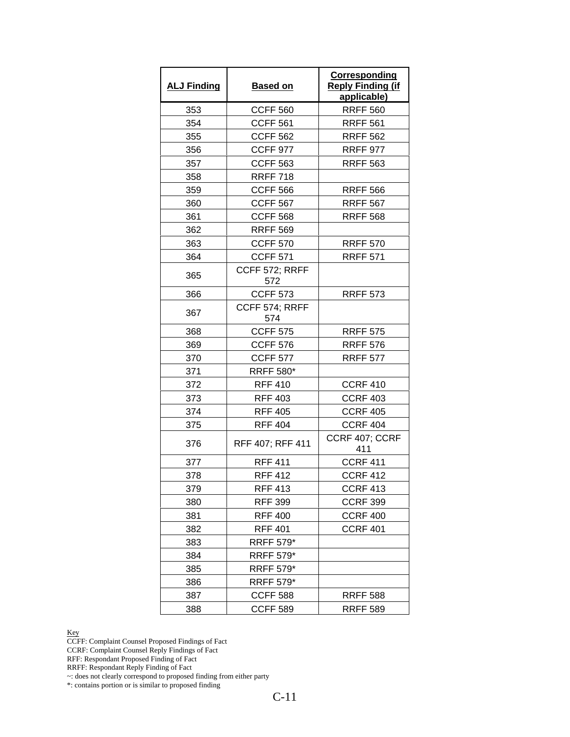| <b>ALJ Finding</b> | <b>Based on</b>       | <b>Corresponding</b><br><b>Reply Finding (if</b><br>applicable) |
|--------------------|-----------------------|-----------------------------------------------------------------|
| 353                | <b>CCFF 560</b>       | <b>RRFF 560</b>                                                 |
| 354                | <b>CCFF 561</b>       | <b>RRFF 561</b>                                                 |
| 355                | <b>CCFF 562</b>       | <b>RRFF 562</b>                                                 |
| 356                | <b>CCFF 977</b>       | <b>RRFF 977</b>                                                 |
| 357                | <b>CCFF 563</b>       | <b>RRFF 563</b>                                                 |
| 358                | <b>RRFF 718</b>       |                                                                 |
| 359                | <b>CCFF 566</b>       | <b>RRFF 566</b>                                                 |
| 360                | <b>CCFF 567</b>       | <b>RRFF 567</b>                                                 |
| 361                | <b>CCFF 568</b>       | <b>RRFF 568</b>                                                 |
| 362                | <b>RRFF 569</b>       |                                                                 |
| 363                | <b>CCFF 570</b>       | <b>RRFF 570</b>                                                 |
| 364                | <b>CCFF 571</b>       | <b>RRFF 571</b>                                                 |
| 365                | CCFF 572; RRFF<br>572 |                                                                 |
| 366                | <b>CCFF 573</b>       | <b>RRFF 573</b>                                                 |
| 367                | CCFF 574; RRFF<br>574 |                                                                 |
| 368                | <b>CCFF 575</b>       | <b>RRFF 575</b>                                                 |
| 369                | <b>CCFF 576</b>       | <b>RRFF 576</b>                                                 |
| 370                | <b>CCFF 577</b>       | <b>RRFF 577</b>                                                 |
| 371                | <b>RRFF 580*</b>      |                                                                 |
| 372                | <b>RFF 410</b>        | <b>CCRF 410</b>                                                 |
| 373                | <b>RFF 403</b>        | <b>CCRF 403</b>                                                 |
| 374                | <b>RFF 405</b>        | <b>CCRF 405</b>                                                 |
| 375                | <b>RFF 404</b>        | <b>CCRF 404</b>                                                 |
| 376                | RFF 407; RFF 411      | CCRF 407; CCRF<br>411                                           |
| 377                | <b>RFF 411</b>        | <b>CCRF 411</b>                                                 |
| 378                | <b>RFF 412</b>        | <b>CCRF 412</b>                                                 |
| 379                | <b>RFF 413</b>        | <b>CCRF 413</b>                                                 |
| 380                | <b>RFF 399</b>        | <b>CCRF 399</b>                                                 |
| 381                | <b>RFF 400</b>        | <b>CCRF 400</b>                                                 |
| 382                | <b>RFF 401</b>        | <b>CCRF 401</b>                                                 |
| 383                | <b>RRFF 579*</b>      |                                                                 |
| 384                | <b>RRFF 579*</b>      |                                                                 |
| 385                | <b>RRFF 579*</b>      |                                                                 |
| 386                | <b>RRFF 579*</b>      |                                                                 |
| 387                | <b>CCFF 588</b>       | <b>RRFF 588</b>                                                 |
| 388                | <b>CCFF 589</b>       | <b>RRFF 589</b>                                                 |

CCFF: Complaint Counsel Proposed Findings of Fact

CCRF: Complaint Counsel Reply Findings of Fact

RFF: Respondant Proposed Finding of Fact

RRFF: Respondant Reply Finding of Fact

~: does not clearly correspond to proposed finding from either party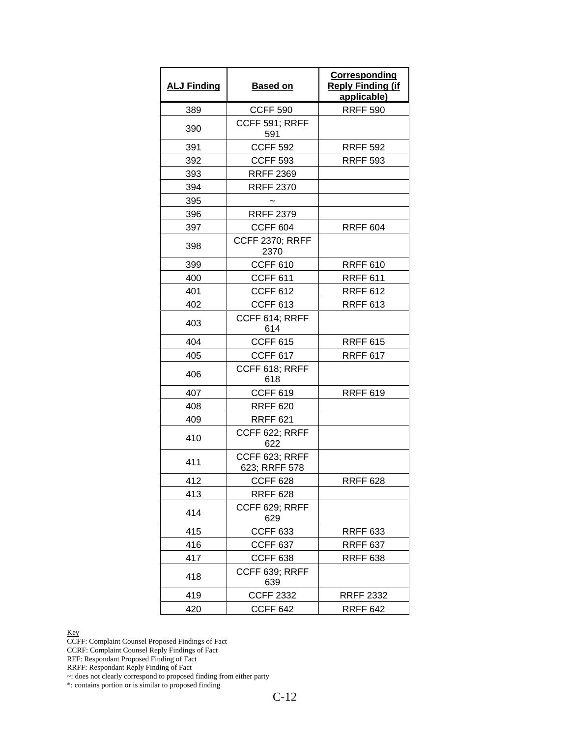| <b>ALJ Finding</b> | <b>Based on</b>                 | Corresponding<br><b>Reply Finding (if</b><br>applicable) |
|--------------------|---------------------------------|----------------------------------------------------------|
| 389                | <b>CCFF 590</b>                 | <b>RRFF 590</b>                                          |
| 390                | CCFF 591; RRFF<br>591           |                                                          |
| 391                | <b>CCFF 592</b>                 | <b>RRFF 592</b>                                          |
| 392                | <b>CCFF 593</b>                 | <b>RRFF 593</b>                                          |
| 393                | <b>RRFF 2369</b>                |                                                          |
| 394                | <b>RRFF 2370</b>                |                                                          |
| 395                |                                 |                                                          |
| 396                | <b>RRFF 2379</b>                |                                                          |
| 397                | <b>CCFF 604</b>                 | <b>RRFF 604</b>                                          |
| 398                | <b>CCFF 2370; RRFF</b><br>2370  |                                                          |
| 399                | <b>CCFF 610</b>                 | <b>RRFF 610</b>                                          |
| 400                | <b>CCFF 611</b>                 | <b>RRFF 611</b>                                          |
| 401                | <b>CCFF 612</b>                 | <b>RRFF 612</b>                                          |
| 402                | <b>CCFF 613</b>                 | <b>RRFF 613</b>                                          |
| 403                | CCFF 614; RRFF<br>614           |                                                          |
| 404                | <b>CCFF 615</b>                 | <b>RRFF 615</b>                                          |
| 405                | <b>CCFF 617</b>                 | <b>RRFF 617</b>                                          |
| 406                | CCFF 618; RRFF<br>618           |                                                          |
| 407                | <b>CCFF 619</b>                 | <b>RRFF 619</b>                                          |
| 408                | <b>RRFF 620</b>                 |                                                          |
| 409                | <b>RRFF 621</b>                 |                                                          |
| 410                | CCFF 622; RRFF<br>622           |                                                          |
| 411                | CCFF 623; RRFF<br>623; RRFF 578 |                                                          |
| 412                | CCFF 628                        | RRFF 628                                                 |
| 413                | <b>RRFF 628</b>                 |                                                          |
| 414                | CCFF 629; RRFF<br>629           |                                                          |
| 415                | <b>CCFF 633</b>                 | <b>RRFF 633</b>                                          |
| 416                | <b>CCFF 637</b>                 | <b>RRFF 637</b>                                          |
| 417                | <b>CCFF 638</b>                 | <b>RRFF 638</b>                                          |
| 418                | CCFF 639; RRFF<br>639           |                                                          |
| 419                | <b>CCFF 2332</b>                | <b>RRFF 2332</b>                                         |
| 420                | <b>CCFF 642</b>                 | <b>RRFF 642</b>                                          |

CCFF: Complaint Counsel Proposed Findings of Fact

CCRF: Complaint Counsel Reply Findings of Fact

RFF: Respondant Proposed Finding of Fact

RRFF: Respondant Reply Finding of Fact

~: does not clearly correspond to proposed finding from either party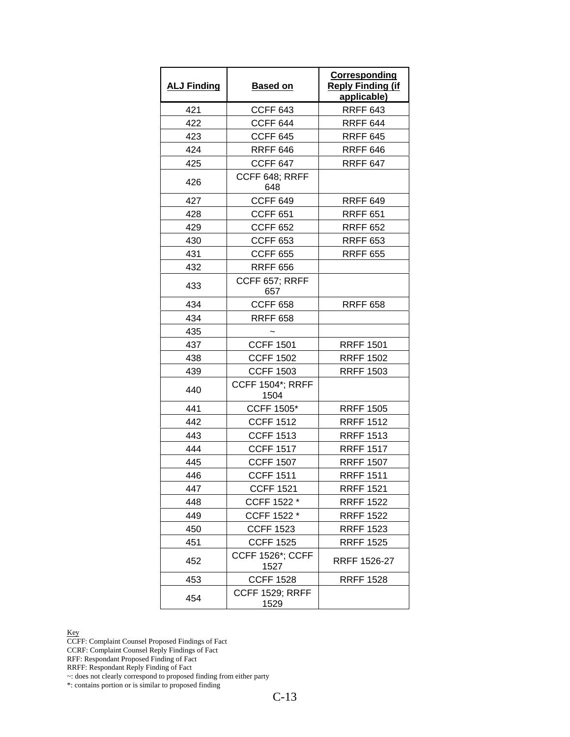| <b>ALJ Finding</b> | <b>Based on</b>                 | <b>Corresponding</b><br><b>Reply Finding (if</b><br>applicable) |
|--------------------|---------------------------------|-----------------------------------------------------------------|
| 421                | CCFF <sub>643</sub>             | <b>RRFF 643</b>                                                 |
| 422                | <b>CCFF 644</b>                 | <b>RRFF 644</b>                                                 |
| 423                | <b>CCFF 645</b>                 | <b>RRFF 645</b>                                                 |
| 424                | <b>RRFF 646</b>                 | <b>RRFF 646</b>                                                 |
| 425                | <b>CCFF 647</b>                 | <b>RRFF 647</b>                                                 |
| 426                | CCFF 648; RRFF<br>648           |                                                                 |
| 427                | <b>CCFF 649</b>                 | <b>RRFF 649</b>                                                 |
| 428                | <b>CCFF 651</b>                 | <b>RRFF 651</b>                                                 |
| 429                | <b>CCFF 652</b>                 | <b>RRFF 652</b>                                                 |
| 430                | <b>CCFF 653</b>                 | <b>RRFF 653</b>                                                 |
| 431                | <b>CCFF 655</b>                 | <b>RRFF 655</b>                                                 |
| 432                | <b>RRFF 656</b>                 |                                                                 |
| 433                | CCFF 657; RRFF<br>657           |                                                                 |
| 434                | <b>CCFF 658</b>                 | <b>RRFF 658</b>                                                 |
| 434                | <b>RRFF 658</b>                 |                                                                 |
| 435                |                                 |                                                                 |
| 437                | <b>CCFF 1501</b>                | <b>RRFF 1501</b>                                                |
| 438                | <b>CCFF 1502</b>                | <b>RRFF 1502</b>                                                |
| 439                | <b>CCFF 1503</b>                | <b>RRFF 1503</b>                                                |
| 440                | <b>CCFF 1504*; RRFF</b><br>1504 |                                                                 |
| 441                | <b>CCFF 1505*</b>               | <b>RRFF 1505</b>                                                |
| 442                | <b>CCFF 1512</b>                | <b>RRFF 1512</b>                                                |
| 443                | <b>CCFF 1513</b>                | <b>RRFF 1513</b>                                                |
| 444                | <b>CCFF 1517</b>                | <b>RRFF 1517</b>                                                |
| 445                | <b>CCFF 1507</b>                | <b>RRFF 1507</b>                                                |
| 446                | <b>CCFF 1511</b>                | <b>RRFF 1511</b>                                                |
| 447                | <b>CCFF 1521</b>                | <b>RRFF 1521</b>                                                |
| 448                | CCFF 1522 *                     | <b>RRFF 1522</b>                                                |
| 449                | CCFF 1522 *                     | <b>RRFF 1522</b>                                                |
| 450                | <b>CCFF 1523</b>                | <b>RRFF 1523</b>                                                |
| 451                | <b>CCFF 1525</b>                | <b>RRFF 1525</b>                                                |
| 452                | <b>CCFF 1526*; CCFF</b><br>1527 | RRFF 1526-27                                                    |
| 453                | <b>CCFF 1528</b>                | <b>RRFF 1528</b>                                                |
| 454                | <b>CCFF 1529; RRFF</b><br>1529  |                                                                 |

CCFF: Complaint Counsel Proposed Findings of Fact

CCRF: Complaint Counsel Reply Findings of Fact

RFF: Respondant Proposed Finding of Fact

RRFF: Respondant Reply Finding of Fact

~: does not clearly correspond to proposed finding from either party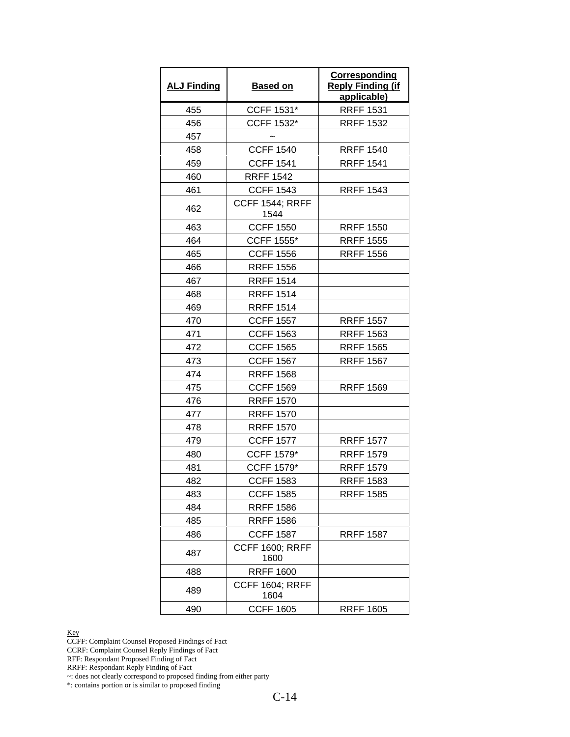| <b>ALJ Finding</b> | <b>Based on</b>                | Corresponding<br><b>Reply Finding (if</b><br>applicable) |
|--------------------|--------------------------------|----------------------------------------------------------|
| 455                | CCFF 1531*                     | <b>RRFF 1531</b>                                         |
| 456                | CCFF 1532*                     | <b>RRFF 1532</b>                                         |
| 457                |                                |                                                          |
| 458                | <b>CCFF 1540</b>               | <b>RRFF 1540</b>                                         |
| 459                | <b>CCFF 1541</b>               | <b>RRFF 1541</b>                                         |
| 460                | <b>RRFF 1542</b>               |                                                          |
| 461                | <b>CCFF 1543</b>               | <b>RRFF 1543</b>                                         |
| 462                | <b>CCFF 1544; RRFF</b><br>1544 |                                                          |
| 463                | <b>CCFF 1550</b>               | <b>RRFF 1550</b>                                         |
| 464                | <b>CCFF 1555*</b>              | <b>RRFF 1555</b>                                         |
| 465                | <b>CCFF 1556</b>               | <b>RRFF 1556</b>                                         |
| 466                | <b>RRFF 1556</b>               |                                                          |
| 467                | <b>RRFF 1514</b>               |                                                          |
| 468                | <b>RRFF 1514</b>               |                                                          |
| 469                | <b>RRFF 1514</b>               |                                                          |
| 470                | <b>CCFF 1557</b>               | <b>RRFF 1557</b>                                         |
| 471                | <b>CCFF 1563</b>               | <b>RRFF 1563</b>                                         |
| 472                | <b>CCFF 1565</b>               | <b>RRFF 1565</b>                                         |
| 473                | <b>CCFF 1567</b>               | <b>RRFF 1567</b>                                         |
| 474                | <b>RRFF 1568</b>               |                                                          |
| 475                | <b>CCFF 1569</b>               | <b>RRFF 1569</b>                                         |
| 476                | <b>RRFF 1570</b>               |                                                          |
| 477                | <b>RRFF 1570</b>               |                                                          |
| 478                | <b>RRFF 1570</b>               |                                                          |
| 479                | <b>CCFF 1577</b>               | <b>RRFF 1577</b>                                         |
| 480                | <b>CCFF 1579*</b>              | <b>RRFF 1579</b>                                         |
| 481                | CCFF 1579*                     | <b>RRFF 1579</b>                                         |
| 482                | <b>CCFF 1583</b>               | <b>RRFF 1583</b>                                         |
| 483                | <b>CCFF 1585</b>               | <b>RRFF 1585</b>                                         |
| 484                | <b>RRFF 1586</b>               |                                                          |
| 485                | <b>RRFF 1586</b>               |                                                          |
| 486                | <b>CCFF 1587</b>               | <b>RRFF 1587</b>                                         |
| 487                | <b>CCFF 1600; RRFF</b><br>1600 |                                                          |
| 488                | <b>RRFF 1600</b>               |                                                          |
| 489                | <b>CCFF 1604; RRFF</b><br>1604 |                                                          |
| 490                | <b>CCFF 1605</b>               | <b>RRFF 1605</b>                                         |

CCFF: Complaint Counsel Proposed Findings of Fact

CCRF: Complaint Counsel Reply Findings of Fact

RFF: Respondant Proposed Finding of Fact

RRFF: Respondant Reply Finding of Fact

~: does not clearly correspond to proposed finding from either party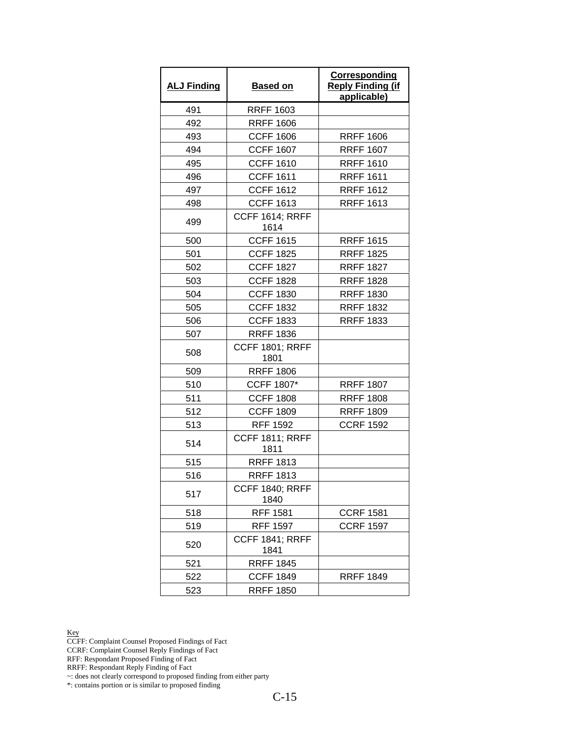| <b>ALJ Finding</b> | <b>Based on</b>                | Corresponding<br><b>Reply Finding (if</b><br>applicable) |
|--------------------|--------------------------------|----------------------------------------------------------|
| 491                | <b>RRFF 1603</b>               |                                                          |
| 492                | <b>RRFF 1606</b>               |                                                          |
| 493                | <b>CCFF 1606</b>               | <b>RRFF 1606</b>                                         |
| 494                | <b>CCFF 1607</b>               | <b>RRFF 1607</b>                                         |
| 495                | <b>CCFF 1610</b>               | <b>RRFF 1610</b>                                         |
| 496                | <b>CCFF 1611</b>               | <b>RRFF 1611</b>                                         |
| 497                | <b>CCFF 1612</b>               | <b>RRFF 1612</b>                                         |
| 498                | <b>CCFF 1613</b>               | <b>RRFF 1613</b>                                         |
| 499                | <b>CCFF 1614; RRFF</b><br>1614 |                                                          |
| 500                | <b>CCFF 1615</b>               | <b>RRFF 1615</b>                                         |
| 501                | <b>CCFF 1825</b>               | <b>RRFF 1825</b>                                         |
| 502                | <b>CCFF 1827</b>               | <b>RRFF 1827</b>                                         |
| 503                | <b>CCFF 1828</b>               | <b>RRFF 1828</b>                                         |
| 504                | <b>CCFF 1830</b>               | <b>RRFF 1830</b>                                         |
| 505                | <b>CCFF 1832</b>               | <b>RRFF 1832</b>                                         |
| 506                | <b>CCFF 1833</b>               | <b>RRFF 1833</b>                                         |
| 507                | <b>RRFF 1836</b>               |                                                          |
| 508                | <b>CCFF 1801; RRFF</b><br>1801 |                                                          |
| 509                | <b>RRFF 1806</b>               |                                                          |
| 510                | <b>CCFF 1807*</b>              | <b>RRFF 1807</b>                                         |
| 511                | <b>CCFF 1808</b>               | <b>RRFF 1808</b>                                         |
| 512                | <b>CCFF 1809</b>               | <b>RRFF 1809</b>                                         |
| 513                | <b>RFF 1592</b>                | <b>CCRF 1592</b>                                         |
| 514                | <b>CCFF 1811; RRFF</b><br>1811 |                                                          |
| 515                | <b>RRFF 1813</b>               |                                                          |
| 516                | <b>RRFF 1813</b>               |                                                          |
| 517                | <b>CCFF 1840; RRFF</b><br>1840 |                                                          |
| 518                | <b>RFF 1581</b>                | <b>CCRF 1581</b>                                         |
| 519                | <b>RFF 1597</b>                | <b>CCRF 1597</b>                                         |
| 520                | <b>CCFF 1841; RRFF</b><br>1841 |                                                          |
| 521                | <b>RRFF 1845</b>               |                                                          |
| 522                | <b>CCFF 1849</b>               | <b>RRFF 1849</b>                                         |
| 523                | <b>RRFF 1850</b>               |                                                          |

CCFF: Complaint Counsel Proposed Findings of Fact

CCRF: Complaint Counsel Reply Findings of Fact

RFF: Respondant Proposed Finding of Fact

RRFF: Respondant Reply Finding of Fact

~: does not clearly correspond to proposed finding from either party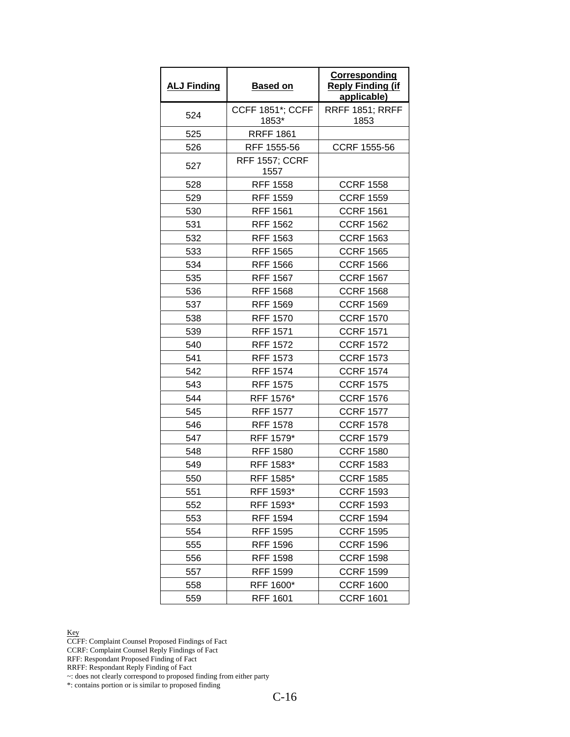| <b>ALJ Finding</b> | <b>Based on</b>                  | Corresponding<br><b>Reply Finding (if</b><br>applicable) |
|--------------------|----------------------------------|----------------------------------------------------------|
| 524                | <b>CCFF 1851*; CCFF</b><br>1853* | <b>RRFF 1851; RRFF</b><br>1853                           |
| 525                | <b>RRFF 1861</b>                 |                                                          |
| 526                | RFF 1555-56                      | CCRF 1555-56                                             |
| 527                | <b>RFF 1557; CCRF</b><br>1557    |                                                          |
| 528                | <b>RFF 1558</b>                  | <b>CCRF 1558</b>                                         |
| 529                | <b>RFF 1559</b>                  | <b>CCRF 1559</b>                                         |
| 530                | <b>RFF 1561</b>                  | <b>CCRF 1561</b>                                         |
| 531                | <b>RFF 1562</b>                  | <b>CCRF 1562</b>                                         |
| 532                | <b>RFF 1563</b>                  | <b>CCRF 1563</b>                                         |
| 533                | <b>RFF 1565</b>                  | <b>CCRF 1565</b>                                         |
| 534                | <b>RFF 1566</b>                  | <b>CCRF 1566</b>                                         |
| 535                | <b>RFF 1567</b>                  | <b>CCRF 1567</b>                                         |
| 536                | <b>RFF 1568</b>                  | <b>CCRF 1568</b>                                         |
| 537                | <b>RFF 1569</b>                  | <b>CCRF 1569</b>                                         |
| 538                | <b>RFF 1570</b>                  | <b>CCRF 1570</b>                                         |
| 539                | <b>RFF 1571</b>                  | <b>CCRF 1571</b>                                         |
| 540                | <b>RFF 1572</b>                  | <b>CCRF 1572</b>                                         |
| 541                | <b>RFF 1573</b>                  | <b>CCRF 1573</b>                                         |
| 542                | <b>RFF 1574</b>                  | <b>CCRF 1574</b>                                         |
| 543                | <b>RFF 1575</b>                  | <b>CCRF 1575</b>                                         |
| 544                | RFF 1576*                        | <b>CCRF 1576</b>                                         |
| 545                | <b>RFF 1577</b>                  | <b>CCRF 1577</b>                                         |
| 546                | <b>RFF 1578</b>                  | <b>CCRF 1578</b>                                         |
| 547                | RFF 1579*                        | <b>CCRF 1579</b>                                         |
| 548                | <b>RFF 1580</b>                  | <b>CCRF 1580</b>                                         |
| 549                | RFF 1583*                        | <b>CCRF 1583</b>                                         |
| 550                | RFF 1585*                        | <b>CCRF 1585</b>                                         |
| 551                | RFF 1593*                        | <b>CCRF 1593</b>                                         |
| 552                | RFF 1593*                        | <b>CCRF 1593</b>                                         |
| 553                | <b>RFF 1594</b>                  | <b>CCRF 1594</b>                                         |
| 554                | <b>RFF 1595</b>                  | <b>CCRF 1595</b>                                         |
| 555                | <b>RFF 1596</b>                  | <b>CCRF 1596</b>                                         |
| 556                | <b>RFF 1598</b>                  | <b>CCRF 1598</b>                                         |
| 557                | <b>RFF 1599</b>                  | <b>CCRF 1599</b>                                         |
| 558                | RFF 1600*                        | <b>CCRF 1600</b>                                         |
| 559                | <b>RFF 1601</b>                  | <b>CCRF 1601</b>                                         |

CCFF: Complaint Counsel Proposed Findings of Fact

CCRF: Complaint Counsel Reply Findings of Fact

RFF: Respondant Proposed Finding of Fact

RRFF: Respondant Reply Finding of Fact

~: does not clearly correspond to proposed finding from either party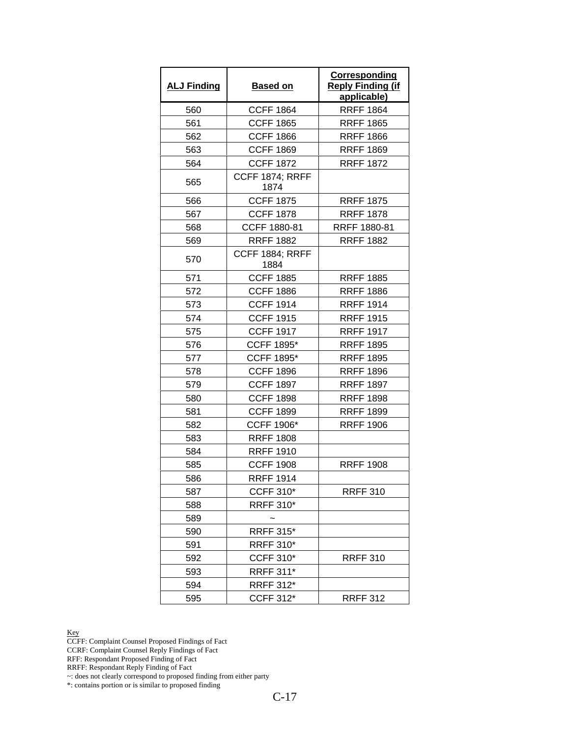| <b>ALJ Finding</b> | <b>Based on</b>                | <b>Corresponding</b><br><b>Reply Finding (if</b><br>applicable) |
|--------------------|--------------------------------|-----------------------------------------------------------------|
| 560                | <b>CCFF 1864</b>               | <b>RRFF 1864</b>                                                |
| 561                | <b>CCFF 1865</b>               | <b>RRFF 1865</b>                                                |
| 562                | <b>CCFF 1866</b>               | <b>RRFF 1866</b>                                                |
| 563                | <b>CCFF 1869</b>               | <b>RRFF 1869</b>                                                |
| 564                | <b>CCFF 1872</b>               | <b>RRFF 1872</b>                                                |
| 565                | <b>CCFF 1874; RRFF</b><br>1874 |                                                                 |
| 566                | <b>CCFF 1875</b>               | <b>RRFF 1875</b>                                                |
| 567                | <b>CCFF 1878</b>               | <b>RRFF 1878</b>                                                |
| 568                | CCFF 1880-81                   | RRFF 1880-81                                                    |
| 569                | <b>RRFF 1882</b>               | <b>RRFF 1882</b>                                                |
| 570                | <b>CCFF 1884; RRFF</b><br>1884 |                                                                 |
| 571                | <b>CCFF 1885</b>               | <b>RRFF 1885</b>                                                |
| 572                | <b>CCFF 1886</b>               | <b>RRFF 1886</b>                                                |
| 573                | <b>CCFF 1914</b>               | <b>RRFF 1914</b>                                                |
| 574                | <b>CCFF 1915</b>               | <b>RRFF 1915</b>                                                |
| 575                | <b>CCFF 1917</b>               | <b>RRFF 1917</b>                                                |
| 576                | <b>CCFF 1895*</b>              | <b>RRFF 1895</b>                                                |
| 577                | <b>CCFF 1895*</b>              | <b>RRFF 1895</b>                                                |
| 578                | <b>CCFF 1896</b>               | <b>RRFF 1896</b>                                                |
| 579                | <b>CCFF 1897</b>               | <b>RRFF 1897</b>                                                |
| 580                | <b>CCFF 1898</b>               | <b>RRFF 1898</b>                                                |
| 581                | <b>CCFF 1899</b>               | <b>RRFF 1899</b>                                                |
| 582                | <b>CCFF 1906*</b>              | <b>RRFF 1906</b>                                                |
| 583                | <b>RRFF 1808</b>               |                                                                 |
| 584                | <b>RRFF 1910</b>               |                                                                 |
| 585                | <b>CCFF 1908</b>               | <b>RRFF 1908</b>                                                |
| 586                | <b>RRFF 1914</b>               |                                                                 |
| 587                | <b>CCFF 310*</b>               | <b>RRFF 310</b>                                                 |
| 588                | <b>RRFF 310*</b>               |                                                                 |
| 589                |                                |                                                                 |
| 590                | <b>RRFF 315*</b>               |                                                                 |
| 591                | <b>RRFF 310*</b>               |                                                                 |
| 592                | <b>CCFF 310*</b>               | <b>RRFF 310</b>                                                 |
| 593                | <b>RRFF 311*</b>               |                                                                 |
| 594                | <b>RRFF 312*</b>               |                                                                 |
| 595                | <b>CCFF 312*</b>               | <b>RRFF 312</b>                                                 |

CCFF: Complaint Counsel Proposed Findings of Fact

CCRF: Complaint Counsel Reply Findings of Fact

RFF: Respondant Proposed Finding of Fact

RRFF: Respondant Reply Finding of Fact

~: does not clearly correspond to proposed finding from either party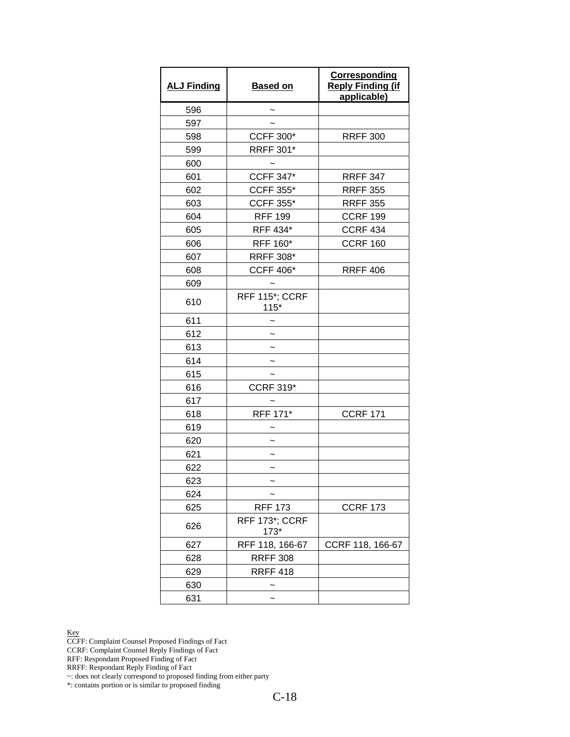| <b>ALJ Finding</b> | <b>Based on</b>          | <b>Corresponding</b><br><b>Reply Finding (if</b><br>applicable) |
|--------------------|--------------------------|-----------------------------------------------------------------|
| 596                |                          |                                                                 |
| 597                |                          |                                                                 |
| 598                | <b>CCFF 300*</b>         | <b>RRFF 300</b>                                                 |
| 599                | <b>RRFF 301*</b>         |                                                                 |
| 600                |                          |                                                                 |
| 601                | <b>CCFF 347*</b>         | <b>RRFF 347</b>                                                 |
| 602                | <b>CCFF 355*</b>         | <b>RRFF 355</b>                                                 |
| 603                | <b>CCFF 355*</b>         | <b>RRFF 355</b>                                                 |
| 604                | <b>RFF 199</b>           | <b>CCRF 199</b>                                                 |
| 605                | RFF 434*                 | <b>CCRF 434</b>                                                 |
| 606                | RFF 160*                 | <b>CCRF 160</b>                                                 |
| 607                | <b>RRFF 308*</b>         |                                                                 |
| 608                | <b>CCFF 406*</b>         | <b>RRFF 406</b>                                                 |
| 609                |                          |                                                                 |
| 610                | RFF 115*; CCRF<br>$115*$ |                                                                 |
| 611                |                          |                                                                 |
| 612                |                          |                                                                 |
| 613                |                          |                                                                 |
| 614                |                          |                                                                 |
| 615                |                          |                                                                 |
| 616                | <b>CCRF 319*</b>         |                                                                 |
| 617                |                          |                                                                 |
| 618                | RFF 171*                 | <b>CCRF 171</b>                                                 |
| 619                |                          |                                                                 |
| 620                |                          |                                                                 |
| 621                |                          |                                                                 |
| 622                | $\tilde{}$               |                                                                 |
| 623                |                          |                                                                 |
| 624                |                          |                                                                 |
| 625                | <b>RFF 173</b>           | <b>CCRF 173</b>                                                 |
| 626                | RFF 173*; CCRF<br>$173*$ |                                                                 |
| 627                | RFF 118, 166-67          | CCRF 118, 166-67                                                |
| 628                | <b>RRFF 308</b>          |                                                                 |
| 629                | <b>RRFF 418</b>          |                                                                 |
| 630                |                          |                                                                 |
| 631                |                          |                                                                 |

CCFF: Complaint Counsel Proposed Findings of Fact

CCRF: Complaint Counsel Reply Findings of Fact

RFF: Respondant Proposed Finding of Fact

RRFF: Respondant Reply Finding of Fact

~: does not clearly correspond to proposed finding from either party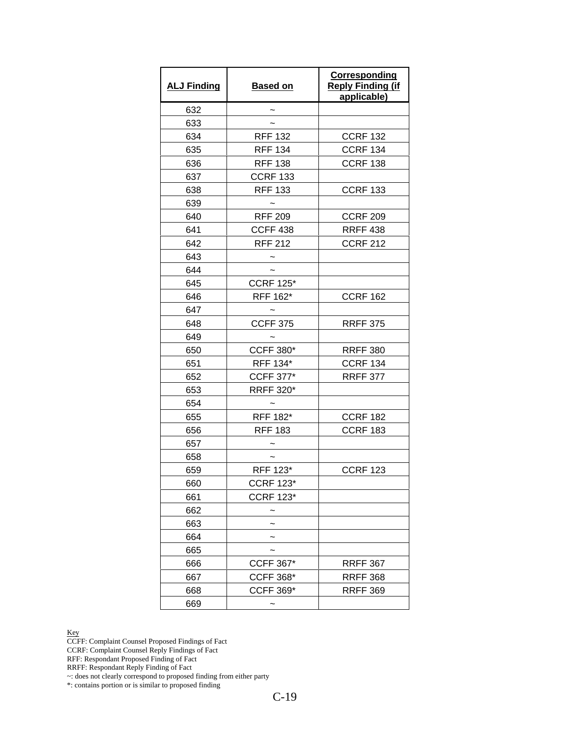| <b>ALJ Finding</b> | <b>Based on</b>  | Corresponding<br><b>Reply Finding (if</b><br>applicable) |
|--------------------|------------------|----------------------------------------------------------|
| 632                |                  |                                                          |
| 633                |                  |                                                          |
| 634                | <b>RFF 132</b>   | <b>CCRF 132</b>                                          |
| 635                | <b>RFF 134</b>   | <b>CCRF 134</b>                                          |
| 636                | <b>RFF 138</b>   | <b>CCRF 138</b>                                          |
| 637                | <b>CCRF 133</b>  |                                                          |
| 638                | <b>RFF 133</b>   | <b>CCRF 133</b>                                          |
| 639                |                  |                                                          |
| 640                | <b>RFF 209</b>   | <b>CCRF 209</b>                                          |
| 641                | <b>CCFF 438</b>  | <b>RRFF 438</b>                                          |
| 642                | <b>RFF 212</b>   | <b>CCRF 212</b>                                          |
| 643                |                  |                                                          |
| 644                |                  |                                                          |
| 645                | <b>CCRF 125*</b> |                                                          |
| 646                | RFF 162*         | <b>CCRF 162</b>                                          |
| 647                |                  |                                                          |
| 648                | <b>CCFF 375</b>  | <b>RRFF 375</b>                                          |
| 649                |                  |                                                          |
| 650                | <b>CCFF 380*</b> | <b>RRFF 380</b>                                          |
| 651                | RFF 134*         | <b>CCRF 134</b>                                          |
| 652                | <b>CCFF 377*</b> | <b>RRFF 377</b>                                          |
| 653                | <b>RRFF 320*</b> |                                                          |
| 654                |                  |                                                          |
| 655                | RFF 182*         | <b>CCRF 182</b>                                          |
| 656                | <b>RFF 183</b>   | <b>CCRF 183</b>                                          |
| 657                |                  |                                                          |
| 658                |                  |                                                          |
| 659                | RFF 123*         | <b>CCRF 123</b>                                          |
| 660                | <b>CCRF 123*</b> |                                                          |
| 661                | <b>CCRF 123*</b> |                                                          |
| 662                |                  |                                                          |
| 663                |                  |                                                          |
| 664                |                  |                                                          |
| 665                |                  |                                                          |
| 666                | <b>CCFF 367*</b> | <b>RRFF 367</b>                                          |
| 667                | <b>CCFF 368*</b> | <b>RRFF 368</b>                                          |
| 668                | <b>CCFF 369*</b> | <b>RRFF 369</b>                                          |
| 669                |                  |                                                          |

CCFF: Complaint Counsel Proposed Findings of Fact

CCRF: Complaint Counsel Reply Findings of Fact

RFF: Respondant Proposed Finding of Fact

RRFF: Respondant Reply Finding of Fact

~: does not clearly correspond to proposed finding from either party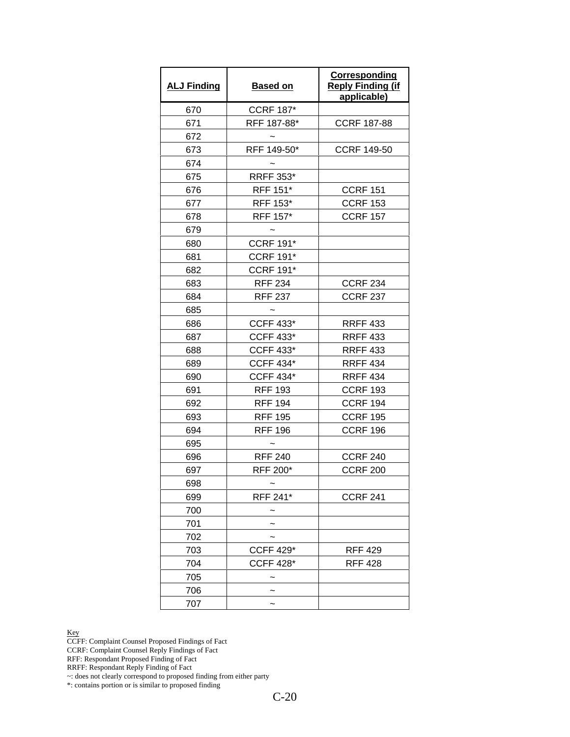| <b>ALJ Finding</b> | <b>Based on</b>  | <b>Corresponding</b><br><b>Reply Finding (if</b><br>applicable) |
|--------------------|------------------|-----------------------------------------------------------------|
| 670                | <b>CCRF 187*</b> |                                                                 |
| 671                | RFF 187-88*      | <b>CCRF 187-88</b>                                              |
| 672                |                  |                                                                 |
| 673                | RFF 149-50*      | <b>CCRF 149-50</b>                                              |
| 674                |                  |                                                                 |
| 675                | <b>RRFF 353*</b> |                                                                 |
| 676                | RFF 151*         | <b>CCRF 151</b>                                                 |
| 677                | RFF 153*         | <b>CCRF 153</b>                                                 |
| 678                | RFF 157*         | <b>CCRF 157</b>                                                 |
| 679                |                  |                                                                 |
| 680                | <b>CCRF 191*</b> |                                                                 |
| 681                | <b>CCRF 191*</b> |                                                                 |
| 682                | <b>CCRF 191*</b> |                                                                 |
| 683                | <b>RFF 234</b>   | <b>CCRF 234</b>                                                 |
| 684                | <b>RFF 237</b>   | <b>CCRF 237</b>                                                 |
| 685                |                  |                                                                 |
| 686                | <b>CCFF 433*</b> | <b>RRFF 433</b>                                                 |
| 687                | <b>CCFF 433*</b> | <b>RRFF 433</b>                                                 |
| 688                | <b>CCFF 433*</b> | <b>RRFF 433</b>                                                 |
| 689                | <b>CCFF 434*</b> | <b>RRFF 434</b>                                                 |
| 690                | <b>CCFF 434*</b> | <b>RRFF 434</b>                                                 |
| 691                | <b>RFF 193</b>   | <b>CCRF 193</b>                                                 |
| 692                | <b>RFF 194</b>   | <b>CCRF 194</b>                                                 |
| 693                | <b>RFF 195</b>   | <b>CCRF 195</b>                                                 |
| 694                | <b>RFF 196</b>   | <b>CCRF 196</b>                                                 |
| 695                |                  |                                                                 |
| 696                | <b>RFF 240</b>   | <b>CCRF 240</b>                                                 |
| 697                | RFF 200*         | <b>CCRF 200</b>                                                 |
| 698                |                  |                                                                 |
| 699                | RFF 241*         | <b>CCRF 241</b>                                                 |
| 700                |                  |                                                                 |
| 701                |                  |                                                                 |
| 702                |                  |                                                                 |
| 703                | <b>CCFF 429*</b> | <b>RFF 429</b>                                                  |
| 704                | <b>CCFF 428*</b> | <b>RFF 428</b>                                                  |
| 705                |                  |                                                                 |
| 706                |                  |                                                                 |
| 707                |                  |                                                                 |

CCFF: Complaint Counsel Proposed Findings of Fact

CCRF: Complaint Counsel Reply Findings of Fact

RFF: Respondant Proposed Finding of Fact

RRFF: Respondant Reply Finding of Fact

~: does not clearly correspond to proposed finding from either party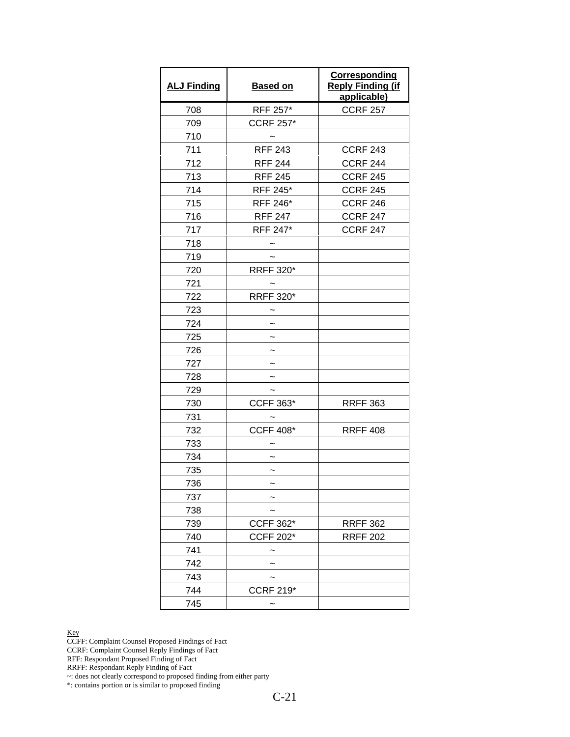| <b>ALJ Finding</b> | <b>Based on</b>  | <b>Corresponding</b><br><b>Reply Finding (if</b><br>applicable) |
|--------------------|------------------|-----------------------------------------------------------------|
| 708                | RFF 257*         | <b>CCRF 257</b>                                                 |
| 709                | <b>CCRF 257*</b> |                                                                 |
| 710                |                  |                                                                 |
| 711                | <b>RFF 243</b>   | <b>CCRF 243</b>                                                 |
| 712                | <b>RFF 244</b>   | <b>CCRF 244</b>                                                 |
| 713                | <b>RFF 245</b>   | <b>CCRF 245</b>                                                 |
| 714                | <b>RFF 245*</b>  | <b>CCRF 245</b>                                                 |
| 715                | RFF 246*         | <b>CCRF 246</b>                                                 |
| 716                | <b>RFF 247</b>   | <b>CCRF 247</b>                                                 |
| 717                | RFF 247*         | <b>CCRF 247</b>                                                 |
| 718                |                  |                                                                 |
| 719                |                  |                                                                 |
| 720                | <b>RRFF 320*</b> |                                                                 |
| 721                |                  |                                                                 |
| 722                | <b>RRFF 320*</b> |                                                                 |
| 723                |                  |                                                                 |
| 724                | $\tilde{}$       |                                                                 |
| 725                |                  |                                                                 |
| 726                |                  |                                                                 |
| 727                |                  |                                                                 |
| 728                |                  |                                                                 |
| 729                |                  |                                                                 |
| 730                | <b>CCFF 363*</b> | <b>RRFF 363</b>                                                 |
| 731                |                  |                                                                 |
| 732                | <b>CCFF 408*</b> | <b>RRFF 408</b>                                                 |
| 733                |                  |                                                                 |
| 734                | $\tilde{}$       |                                                                 |
| 735                |                  |                                                                 |
| 736                |                  |                                                                 |
| 737                |                  |                                                                 |
| 738                |                  |                                                                 |
| 739                | <b>CCFF 362*</b> | <b>RRFF 362</b>                                                 |
| 740                | <b>CCFF 202*</b> | <b>RRFF 202</b>                                                 |
| 741                |                  |                                                                 |
| 742                |                  |                                                                 |
| 743                |                  |                                                                 |
| 744                | <b>CCRF 219*</b> |                                                                 |
| 745                |                  |                                                                 |

CCFF: Complaint Counsel Proposed Findings of Fact

CCRF: Complaint Counsel Reply Findings of Fact

RFF: Respondant Proposed Finding of Fact

RRFF: Respondant Reply Finding of Fact

~: does not clearly correspond to proposed finding from either party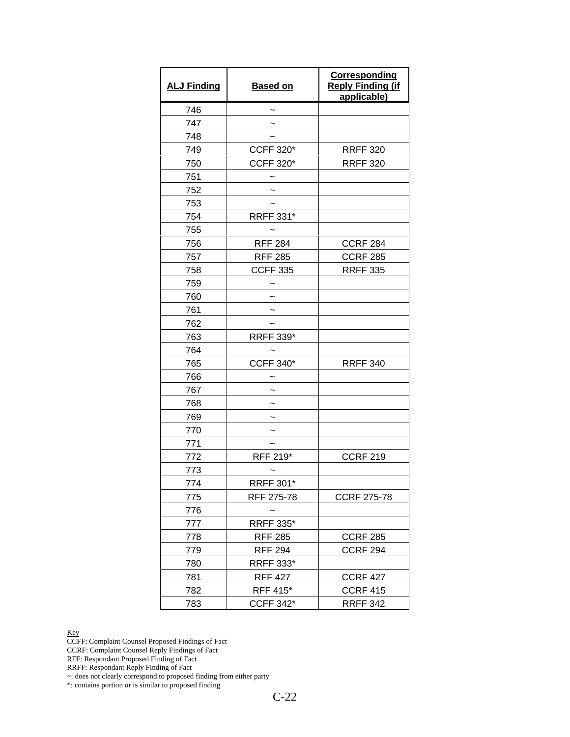| <b>ALJ Finding</b> | <b>Based on</b>  | <b>Corresponding</b><br><b>Reply Finding (if</b><br>applicable) |
|--------------------|------------------|-----------------------------------------------------------------|
| 746                |                  |                                                                 |
| 747                |                  |                                                                 |
| 748                |                  |                                                                 |
| 749                | <b>CCFF 320*</b> | <b>RRFF 320</b>                                                 |
| 750                | <b>CCFF 320*</b> | <b>RRFF 320</b>                                                 |
| 751                |                  |                                                                 |
| 752                |                  |                                                                 |
| 753                |                  |                                                                 |
| 754                | <b>RRFF 331*</b> |                                                                 |
| 755                |                  |                                                                 |
| 756                | <b>RFF 284</b>   | <b>CCRF 284</b>                                                 |
| 757                | <b>RFF 285</b>   | <b>CCRF 285</b>                                                 |
| 758                | <b>CCFF 335</b>  | <b>RRFF 335</b>                                                 |
| 759                |                  |                                                                 |
| 760                |                  |                                                                 |
| 761                |                  |                                                                 |
| 762                |                  |                                                                 |
| 763                | <b>RRFF 339*</b> |                                                                 |
| 764                |                  |                                                                 |
| 765                | <b>CCFF 340*</b> | <b>RRFF 340</b>                                                 |
| 766                |                  |                                                                 |
| 767                |                  |                                                                 |
| 768                |                  |                                                                 |
| 769                |                  |                                                                 |
| 770                |                  |                                                                 |
| 771                |                  |                                                                 |
| 772                | RFF 219*         | <b>CCRF 219</b>                                                 |
| 773                |                  |                                                                 |
| 774                | <b>RRFF 301*</b> |                                                                 |
| 775                | RFF 275-78       | <b>CCRF 275-78</b>                                              |
| 776                |                  |                                                                 |
| 777                | <b>RRFF 335*</b> |                                                                 |
| 778                | <b>RFF 285</b>   | <b>CCRF 285</b>                                                 |
| 779                | <b>RFF 294</b>   | <b>CCRF 294</b>                                                 |
| 780                | <b>RRFF 333*</b> |                                                                 |
| 781                | <b>RFF 427</b>   | <b>CCRF 427</b>                                                 |
| 782                | RFF 415*         | <b>CCRF 415</b>                                                 |
| 783                | <b>CCFF 342*</b> | <b>RRFF 342</b>                                                 |

CCFF: Complaint Counsel Proposed Findings of Fact

CCRF: Complaint Counsel Reply Findings of Fact

RFF: Respondant Proposed Finding of Fact

RRFF: Respondant Reply Finding of Fact

~: does not clearly correspond to proposed finding from either party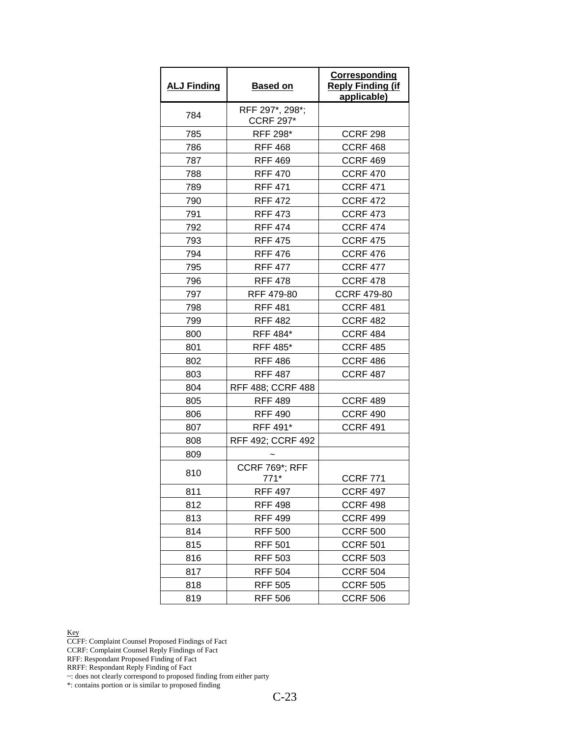| <b>ALJ Finding</b> | <b>Based on</b>                     | Corresponding<br><b>Reply Finding (if</b><br>applicable) |
|--------------------|-------------------------------------|----------------------------------------------------------|
| 784                | RFF 297*, 298*;<br><b>CCRF 297*</b> |                                                          |
| 785                | RFF 298*                            | <b>CCRF 298</b>                                          |
| 786                | <b>RFF 468</b>                      | <b>CCRF 468</b>                                          |
| 787                | <b>RFF 469</b>                      | CCRF 469                                                 |
| 788                | <b>RFF 470</b>                      | <b>CCRF 470</b>                                          |
| 789                | <b>RFF 471</b>                      | <b>CCRF 471</b>                                          |
| 790                | <b>RFF 472</b>                      | <b>CCRF 472</b>                                          |
| 791                | <b>RFF 473</b>                      | <b>CCRF 473</b>                                          |
| 792                | <b>RFF 474</b>                      | <b>CCRF 474</b>                                          |
| 793                | <b>RFF 475</b>                      | <b>CCRF 475</b>                                          |
| 794                | <b>RFF 476</b>                      | <b>CCRF 476</b>                                          |
| 795                | <b>RFF 477</b>                      | <b>CCRF 477</b>                                          |
| 796                | <b>RFF 478</b>                      | <b>CCRF 478</b>                                          |
| 797                | RFF 479-80                          | <b>CCRF 479-80</b>                                       |
| 798                | <b>RFF 481</b>                      | <b>CCRF 481</b>                                          |
| 799                | <b>RFF 482</b>                      | <b>CCRF 482</b>                                          |
| 800                | RFF 484*                            | <b>CCRF 484</b>                                          |
| 801                | <b>RFF 485*</b>                     | <b>CCRF 485</b>                                          |
| 802                | <b>RFF 486</b>                      | <b>CCRF 486</b>                                          |
| 803                | <b>RFF 487</b>                      | <b>CCRF 487</b>                                          |
| 804                | RFF 488; CCRF 488                   |                                                          |
| 805                | <b>RFF 489</b>                      | <b>CCRF 489</b>                                          |
| 806                | <b>RFF 490</b>                      | <b>CCRF 490</b>                                          |
| 807                | RFF 491*                            | <b>CCRF 491</b>                                          |
| 808                | RFF 492; CCRF 492                   |                                                          |
| 809                |                                     |                                                          |
| 810                | <b>CCRF 769*; RFF</b><br>$771*$     | <b>CCRF 771</b>                                          |
| 811                | <b>RFF 497</b>                      | <b>CCRF 497</b>                                          |
| 812                | <b>RFF 498</b>                      | <b>CCRF 498</b>                                          |
| 813                | <b>RFF 499</b>                      | <b>CCRF 499</b>                                          |
| 814                | <b>RFF 500</b>                      | <b>CCRF 500</b>                                          |
| 815                | <b>RFF 501</b>                      | <b>CCRF 501</b>                                          |
| 816                | <b>RFF 503</b>                      | <b>CCRF 503</b>                                          |
| 817                | <b>RFF 504</b>                      | <b>CCRF 504</b>                                          |
| 818                | <b>RFF 505</b>                      | <b>CCRF 505</b>                                          |
| 819                | <b>RFF 506</b>                      | <b>CCRF 506</b>                                          |

CCFF: Complaint Counsel Proposed Findings of Fact

CCRF: Complaint Counsel Reply Findings of Fact

RFF: Respondant Proposed Finding of Fact

RRFF: Respondant Reply Finding of Fact

~: does not clearly correspond to proposed finding from either party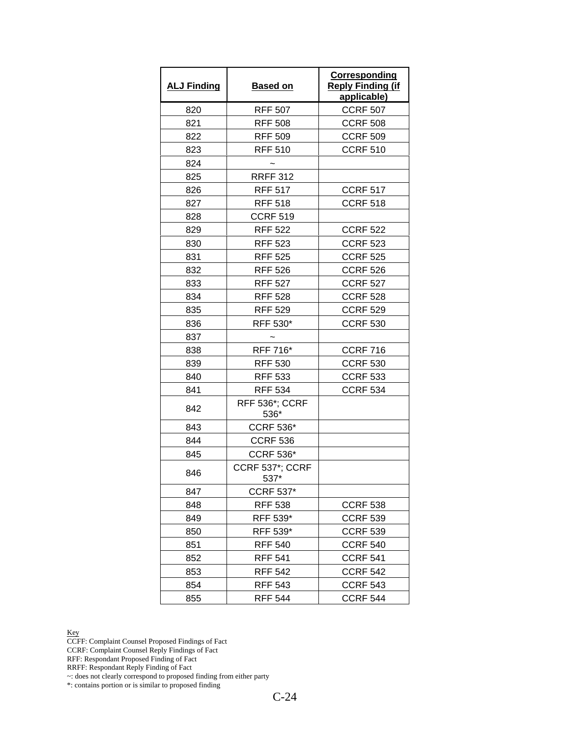| <b>ALJ Finding</b> | <b>Based on</b>               | Corresponding<br><b>Reply Finding (if</b><br>applicable) |
|--------------------|-------------------------------|----------------------------------------------------------|
| 820                | <b>RFF 507</b>                | <b>CCRF 507</b>                                          |
| 821                | <b>RFF 508</b>                | <b>CCRF 508</b>                                          |
| 822                | <b>RFF 509</b>                | <b>CCRF 509</b>                                          |
| 823                | <b>RFF 510</b>                | <b>CCRF 510</b>                                          |
| 824                |                               |                                                          |
| 825                | <b>RRFF 312</b>               |                                                          |
| 826                | <b>RFF 517</b>                | <b>CCRF 517</b>                                          |
| 827                | <b>RFF 518</b>                | <b>CCRF 518</b>                                          |
| 828                | <b>CCRF 519</b>               |                                                          |
| 829                | <b>RFF 522</b>                | <b>CCRF 522</b>                                          |
| 830                | <b>RFF 523</b>                | <b>CCRF 523</b>                                          |
| 831                | <b>RFF 525</b>                | <b>CCRF 525</b>                                          |
| 832                | <b>RFF 526</b>                | <b>CCRF 526</b>                                          |
| 833                | <b>RFF 527</b>                | <b>CCRF 527</b>                                          |
| 834                | <b>RFF 528</b>                | <b>CCRF 528</b>                                          |
| 835                | <b>RFF 529</b>                | <b>CCRF 529</b>                                          |
| 836                | RFF 530*                      | <b>CCRF 530</b>                                          |
| 837                |                               |                                                          |
| 838                | RFF 716*                      | <b>CCRF 716</b>                                          |
| 839                | <b>RFF 530</b>                | <b>CCRF 530</b>                                          |
| 840                | <b>RFF 533</b>                | <b>CCRF 533</b>                                          |
| 841                | <b>RFF 534</b>                | <b>CCRF 534</b>                                          |
| 842                | <b>RFF 536*; CCRF</b><br>536* |                                                          |
| 843                | <b>CCRF 536*</b>              |                                                          |
| 844                | <b>CCRF 536</b>               |                                                          |
| 845                | <b>CCRF 536*</b>              |                                                          |
| 846                | CCRF 537*; CCRF<br>537*       |                                                          |
| 847                | <b>CCRF 537*</b>              |                                                          |
| 848                | <b>RFF 538</b>                | <b>CCRF 538</b>                                          |
| 849                | RFF 539*                      | <b>CCRF 539</b>                                          |
| 850                | RFF 539*                      | <b>CCRF 539</b>                                          |
| 851                | <b>RFF 540</b>                | <b>CCRF 540</b>                                          |
| 852                | <b>RFF 541</b>                | <b>CCRF 541</b>                                          |
| 853                | <b>RFF 542</b>                | <b>CCRF 542</b>                                          |
| 854                | <b>RFF 543</b>                | <b>CCRF 543</b>                                          |
| 855                | <b>RFF 544</b>                | <b>CCRF 544</b>                                          |

CCFF: Complaint Counsel Proposed Findings of Fact

CCRF: Complaint Counsel Reply Findings of Fact

RFF: Respondant Proposed Finding of Fact

RRFF: Respondant Reply Finding of Fact

~: does not clearly correspond to proposed finding from either party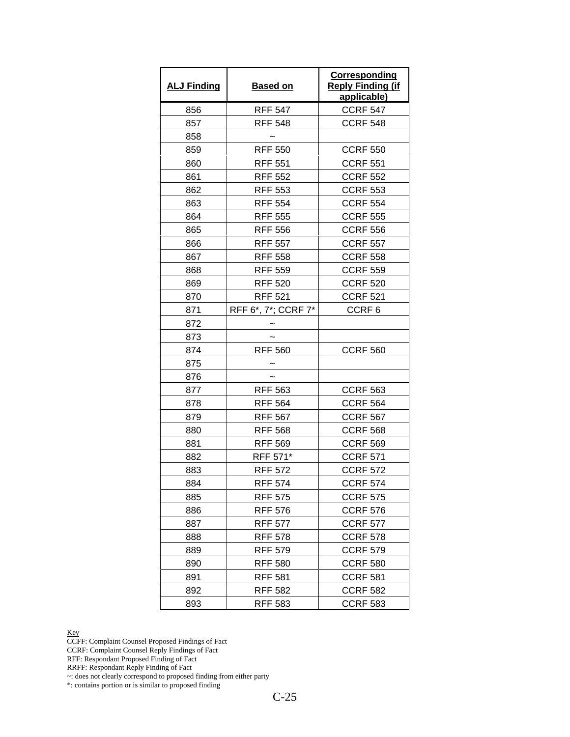| <b>ALJ Finding</b> | <b>Based on</b>     | <b>Corresponding</b><br><b>Reply Finding (if</b><br>applicable) |
|--------------------|---------------------|-----------------------------------------------------------------|
| 856                | <b>RFF 547</b>      | <b>CCRF 547</b>                                                 |
| 857                | <b>RFF 548</b>      | <b>CCRF 548</b>                                                 |
| 858                |                     |                                                                 |
| 859                | <b>RFF 550</b>      | <b>CCRF 550</b>                                                 |
| 860                | <b>RFF 551</b>      | <b>CCRF 551</b>                                                 |
| 861                | <b>RFF 552</b>      | <b>CCRF 552</b>                                                 |
| 862                | <b>RFF 553</b>      | <b>CCRF 553</b>                                                 |
| 863                | <b>RFF 554</b>      | <b>CCRF 554</b>                                                 |
| 864                | <b>RFF 555</b>      | <b>CCRF 555</b>                                                 |
| 865                | <b>RFF 556</b>      | <b>CCRF 556</b>                                                 |
| 866                | <b>RFF 557</b>      | <b>CCRF 557</b>                                                 |
| 867                | <b>RFF 558</b>      | <b>CCRF 558</b>                                                 |
| 868                | <b>RFF 559</b>      | <b>CCRF 559</b>                                                 |
| 869                | <b>RFF 520</b>      | <b>CCRF 520</b>                                                 |
| 870                | <b>RFF 521</b>      | <b>CCRF 521</b>                                                 |
| 871                | RFF 6*, 7*; CCRF 7* | CCRF <sub>6</sub>                                               |
| 872                |                     |                                                                 |
| 873                |                     |                                                                 |
| 874                | <b>RFF 560</b>      | <b>CCRF 560</b>                                                 |
| 875                |                     |                                                                 |
| 876                |                     |                                                                 |
| 877                | <b>RFF 563</b>      | <b>CCRF 563</b>                                                 |
| 878                | <b>RFF 564</b>      | <b>CCRF 564</b>                                                 |
| 879                | <b>RFF 567</b>      | <b>CCRF 567</b>                                                 |
| 880                | <b>RFF 568</b>      | <b>CCRF 568</b>                                                 |
| 881                | <b>RFF 569</b>      | <b>CCRF 569</b>                                                 |
| 882                | RFF 571*            | <b>CCRF 571</b>                                                 |
| 883                | <b>RFF 572</b>      | <b>CCRF 572</b>                                                 |
| 884                | <b>RFF 574</b>      | <b>CCRF 574</b>                                                 |
| 885                | <b>RFF 575</b>      | <b>CCRF 575</b>                                                 |
| 886                | <b>RFF 576</b>      | <b>CCRF 576</b>                                                 |
| 887                | <b>RFF 577</b>      | <b>CCRF 577</b>                                                 |
| 888                | <b>RFF 578</b>      | <b>CCRF 578</b>                                                 |
| 889                | <b>RFF 579</b>      | <b>CCRF 579</b>                                                 |
| 890                | <b>RFF 580</b>      | <b>CCRF 580</b>                                                 |
| 891                | <b>RFF 581</b>      | <b>CCRF 581</b>                                                 |
| 892                | <b>RFF 582</b>      | <b>CCRF 582</b>                                                 |
| 893                | <b>RFF 583</b>      | <b>CCRF 583</b>                                                 |

CCFF: Complaint Counsel Proposed Findings of Fact

CCRF: Complaint Counsel Reply Findings of Fact

RFF: Respondant Proposed Finding of Fact

RRFF: Respondant Reply Finding of Fact

~: does not clearly correspond to proposed finding from either party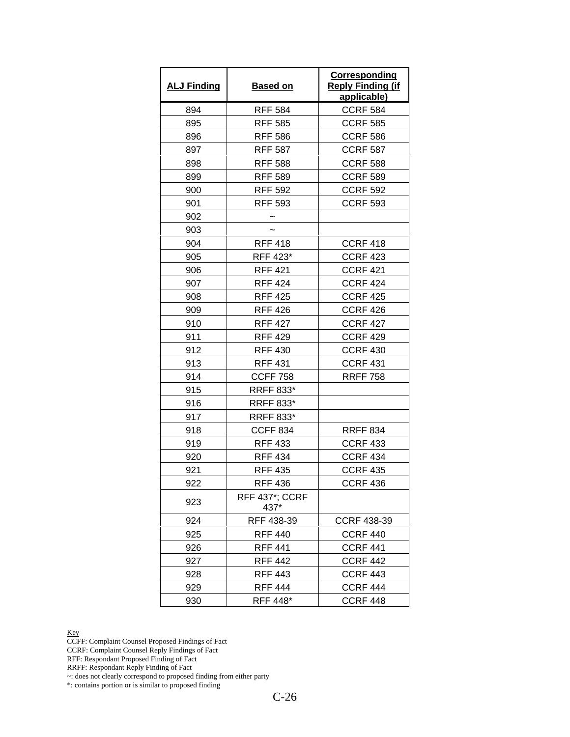| <b>ALJ Finding</b> | Based on                      | Corresponding<br><b>Reply Finding (if</b><br>applicable) |
|--------------------|-------------------------------|----------------------------------------------------------|
| 894                | <b>RFF 584</b>                | <b>CCRF 584</b>                                          |
| 895                | <b>RFF 585</b>                | <b>CCRF 585</b>                                          |
| 896                | <b>RFF 586</b>                | <b>CCRF 586</b>                                          |
| 897                | <b>RFF 587</b>                | <b>CCRF 587</b>                                          |
| 898                | <b>RFF 588</b>                | <b>CCRF 588</b>                                          |
| 899                | <b>RFF 589</b>                | <b>CCRF 589</b>                                          |
| 900                | <b>RFF 592</b>                | <b>CCRF 592</b>                                          |
| 901                | <b>RFF 593</b>                | <b>CCRF 593</b>                                          |
| 902                |                               |                                                          |
| 903                |                               |                                                          |
| 904                | <b>RFF 418</b>                | <b>CCRF 418</b>                                          |
| 905                | RFF 423*                      | <b>CCRF 423</b>                                          |
| 906                | <b>RFF 421</b>                | <b>CCRF 421</b>                                          |
| 907                | <b>RFF 424</b>                | <b>CCRF 424</b>                                          |
| 908                | <b>RFF 425</b>                | <b>CCRF 425</b>                                          |
| 909                | <b>RFF 426</b>                | <b>CCRF 426</b>                                          |
| 910                | <b>RFF 427</b>                | <b>CCRF 427</b>                                          |
| 911                | <b>RFF 429</b>                | <b>CCRF 429</b>                                          |
| 912                | <b>RFF 430</b>                | <b>CCRF 430</b>                                          |
| 913                | <b>RFF 431</b>                | <b>CCRF 431</b>                                          |
| 914                | <b>CCFF 758</b>               | <b>RRFF 758</b>                                          |
| 915                | <b>RRFF 833*</b>              |                                                          |
| 916                | <b>RRFF 833*</b>              |                                                          |
| 917                | <b>RRFF 833*</b>              |                                                          |
| 918                | <b>CCFF 834</b>               | <b>RRFF 834</b>                                          |
| 919                | <b>RFF 433</b>                | <b>CCRF 433</b>                                          |
| 920                | <b>RFF 434</b>                | <b>CCRF 434</b>                                          |
| 921                | <b>RFF 435</b>                | <b>CCRF 435</b>                                          |
| 922                | <b>RFF 436</b>                | <b>CCRF 436</b>                                          |
| 923                | <b>RFF 437*: CCRF</b><br>437* |                                                          |
| 924                | RFF 438-39                    | <b>CCRF 438-39</b>                                       |
| 925                | <b>RFF 440</b>                | <b>CCRF 440</b>                                          |
| 926                | <b>RFF 441</b>                | <b>CCRF 441</b>                                          |
| 927                | <b>RFF 442</b>                | <b>CCRF 442</b>                                          |
| 928                | <b>RFF 443</b>                | <b>CCRF 443</b>                                          |
| 929                | <b>RFF 444</b>                | CCRF 444                                                 |
| 930                | RFF 448*                      | <b>CCRF 448</b>                                          |

CCFF: Complaint Counsel Proposed Findings of Fact

CCRF: Complaint Counsel Reply Findings of Fact

RFF: Respondant Proposed Finding of Fact

RRFF: Respondant Reply Finding of Fact

~: does not clearly correspond to proposed finding from either party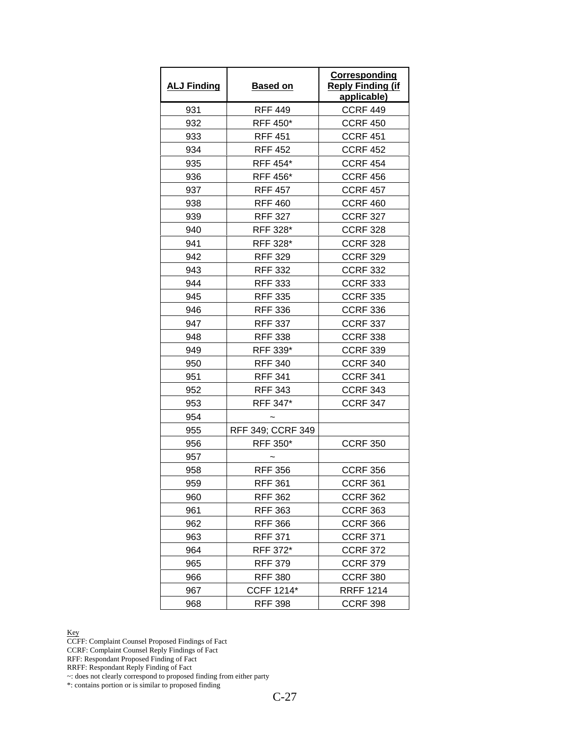| <b>ALJ Finding</b> | <b>Based on</b>   | Corresponding<br><b>Reply Finding (if</b><br>applicable) |
|--------------------|-------------------|----------------------------------------------------------|
| 931                | <b>RFF 449</b>    | <b>CCRF 449</b>                                          |
| 932                | RFF 450*          | <b>CCRF 450</b>                                          |
| 933                | <b>RFF 451</b>    | <b>CCRF 451</b>                                          |
| 934                | <b>RFF 452</b>    | <b>CCRF 452</b>                                          |
| 935                | RFF 454*          | <b>CCRF 454</b>                                          |
| 936                | RFF 456*          | <b>CCRF 456</b>                                          |
| 937                | <b>RFF 457</b>    | <b>CCRF 457</b>                                          |
| 938                | <b>RFF 460</b>    | <b>CCRF 460</b>                                          |
| 939                | <b>RFF 327</b>    | <b>CCRF 327</b>                                          |
| 940                | RFF 328*          | <b>CCRF 328</b>                                          |
| 941                | RFF 328*          | <b>CCRF 328</b>                                          |
| 942                | <b>RFF 329</b>    | <b>CCRF 329</b>                                          |
| 943                | <b>RFF 332</b>    | <b>CCRF 332</b>                                          |
| 944                | <b>RFF 333</b>    | <b>CCRF 333</b>                                          |
| 945                | <b>RFF 335</b>    | <b>CCRF 335</b>                                          |
| 946                | <b>RFF 336</b>    | <b>CCRF 336</b>                                          |
| 947                | <b>RFF 337</b>    | <b>CCRF 337</b>                                          |
| 948                | <b>RFF 338</b>    | <b>CCRF 338</b>                                          |
| 949                | RFF 339*          | <b>CCRF 339</b>                                          |
| 950                | <b>RFF 340</b>    | <b>CCRF 340</b>                                          |
| 951                | <b>RFF 341</b>    | <b>CCRF 341</b>                                          |
| 952                | <b>RFF 343</b>    | <b>CCRF 343</b>                                          |
| 953                | RFF 347*          | <b>CCRF 347</b>                                          |
| 954                |                   |                                                          |
| 955                | RFF 349; CCRF 349 |                                                          |
| 956                | RFF 350*          | <b>CCRF 350</b>                                          |
| 957                |                   |                                                          |
| 958                | <b>RFF 356</b>    | <b>CCRF 356</b>                                          |
| 959                | <b>RFF 361</b>    | <b>CCRF 361</b>                                          |
| 960                | <b>RFF 362</b>    | <b>CCRF 362</b>                                          |
| 961                | <b>RFF 363</b>    | <b>CCRF 363</b>                                          |
| 962                | <b>RFF 366</b>    | <b>CCRF 366</b>                                          |
| 963                | <b>RFF 371</b>    | <b>CCRF 371</b>                                          |
| 964                | RFF 372*          | <b>CCRF 372</b>                                          |
| 965                | <b>RFF 379</b>    | <b>CCRF 379</b>                                          |
| 966                | <b>RFF 380</b>    | <b>CCRF 380</b>                                          |
| 967                | <b>CCFF 1214*</b> | <b>RRFF 1214</b>                                         |
| 968                | <b>RFF 398</b>    | <b>CCRF 398</b>                                          |

CCFF: Complaint Counsel Proposed Findings of Fact

CCRF: Complaint Counsel Reply Findings of Fact

RFF: Respondant Proposed Finding of Fact

RRFF: Respondant Reply Finding of Fact

~: does not clearly correspond to proposed finding from either party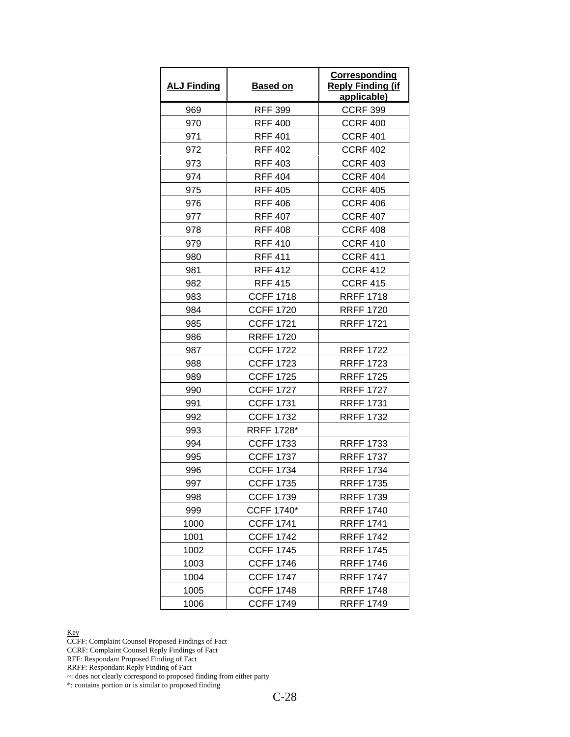| <b>ALJ Finding</b> | <b>Based on</b>   | <b>Corresponding</b><br><b>Reply Finding (if</b><br>applicable) |
|--------------------|-------------------|-----------------------------------------------------------------|
| 969                | <b>RFF 399</b>    | <b>CCRF 399</b>                                                 |
| 970                | <b>RFF 400</b>    | <b>CCRF 400</b>                                                 |
| 971                | <b>RFF 401</b>    | <b>CCRF 401</b>                                                 |
| 972                | <b>RFF 402</b>    | <b>CCRF 402</b>                                                 |
| 973                | <b>RFF 403</b>    | <b>CCRF 403</b>                                                 |
| 974                | <b>RFF 404</b>    | <b>CCRF 404</b>                                                 |
| 975                | <b>RFF 405</b>    | <b>CCRF 405</b>                                                 |
| 976                | <b>RFF 406</b>    | <b>CCRF 406</b>                                                 |
| 977                | <b>RFF 407</b>    | <b>CCRF 407</b>                                                 |
| 978                | <b>RFF 408</b>    | <b>CCRF 408</b>                                                 |
| 979                | <b>RFF 410</b>    | <b>CCRF 410</b>                                                 |
| 980                | <b>RFF 411</b>    | <b>CCRF 411</b>                                                 |
| 981                | <b>RFF 412</b>    | <b>CCRF 412</b>                                                 |
| 982                | <b>RFF 415</b>    | <b>CCRF 415</b>                                                 |
| 983                | <b>CCFF 1718</b>  | <b>RRFF 1718</b>                                                |
| 984                | <b>CCFF 1720</b>  | <b>RRFF 1720</b>                                                |
| 985                | <b>CCFF 1721</b>  | <b>RRFF 1721</b>                                                |
| 986                | <b>RRFF 1720</b>  |                                                                 |
| 987                | <b>CCFF 1722</b>  | <b>RRFF 1722</b>                                                |
| 988                | <b>CCFF 1723</b>  | <b>RRFF 1723</b>                                                |
| 989                | <b>CCFF 1725</b>  | <b>RRFF 1725</b>                                                |
| 990                | <b>CCFF 1727</b>  | <b>RRFF 1727</b>                                                |
| 991                | <b>CCFF 1731</b>  | <b>RRFF 1731</b>                                                |
| 992                | <b>CCFF 1732</b>  | <b>RRFF 1732</b>                                                |
| 993                | <b>RRFF 1728*</b> |                                                                 |
| 994                | <b>CCFF 1733</b>  | <b>RRFF 1733</b>                                                |
| 995                | <b>CCFF 1737</b>  | <b>RRFF 1737</b>                                                |
| 996                | <b>CCFF 1734</b>  | <b>RRFF 1734</b>                                                |
| 997                | <b>CCFF 1735</b>  | <b>RRFF 1735</b>                                                |
| 998                | <b>CCFF 1739</b>  | <b>RRFF 1739</b>                                                |
| 999                | <b>CCFF 1740*</b> | <b>RRFF 1740</b>                                                |
| 1000               | <b>CCFF 1741</b>  | <b>RRFF 1741</b>                                                |
| 1001               | <b>CCFF 1742</b>  | <b>RRFF 1742</b>                                                |
| 1002               | <b>CCFF 1745</b>  | <b>RRFF 1745</b>                                                |
| 1003               | <b>CCFF 1746</b>  | <b>RRFF 1746</b>                                                |
| 1004               | <b>CCFF 1747</b>  | <b>RRFF 1747</b>                                                |
| 1005               | <b>CCFF 1748</b>  | <b>RRFF 1748</b>                                                |
| 1006               | <b>CCFF 1749</b>  | <b>RRFF 1749</b>                                                |

CCFF: Complaint Counsel Proposed Findings of Fact

CCRF: Complaint Counsel Reply Findings of Fact

RFF: Respondant Proposed Finding of Fact

RRFF: Respondant Reply Finding of Fact

~: does not clearly correspond to proposed finding from either party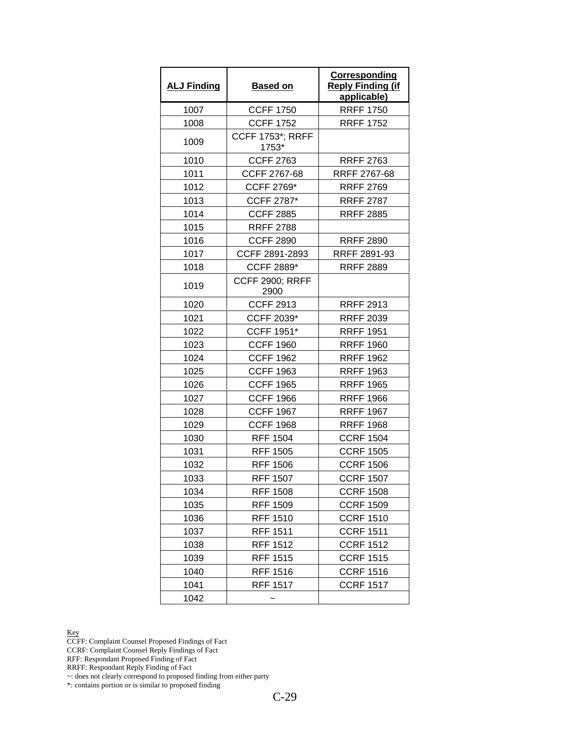| <b>ALJ Finding</b> | <b>Based on</b>                  | <b>Corresponding</b><br><b>Reply Finding (if</b><br>applicable) |
|--------------------|----------------------------------|-----------------------------------------------------------------|
| 1007               | <b>CCFF 1750</b>                 | <b>RRFF 1750</b>                                                |
| 1008               | <b>CCFF 1752</b>                 | <b>RRFF 1752</b>                                                |
| 1009               | <b>CCFF 1753*; RRFF</b><br>1753* |                                                                 |
| 1010               | <b>CCFF 2763</b>                 | <b>RRFF 2763</b>                                                |
| 1011               | CCFF 2767-68                     | RRFF 2767-68                                                    |
| 1012               | CCFF 2769*                       | <b>RRFF 2769</b>                                                |
| 1013               | CCFF 2787*                       | <b>RRFF 2787</b>                                                |
| 1014               | <b>CCFF 2885</b>                 | <b>RRFF 2885</b>                                                |
| 1015               | <b>RRFF 2788</b>                 |                                                                 |
| 1016               | <b>CCFF 2890</b>                 | <b>RRFF 2890</b>                                                |
| 1017               | CCFF 2891-2893                   | RRFF 2891-93                                                    |
| 1018               | <b>CCFF 2889*</b>                | <b>RRFF 2889</b>                                                |
| 1019               | <b>CCFF 2900; RRFF</b><br>2900   |                                                                 |
| 1020               | <b>CCFF 2913</b>                 | <b>RRFF 2913</b>                                                |
| 1021               | CCFF 2039*                       | <b>RRFF 2039</b>                                                |
| 1022               | CCFF 1951*                       | <b>RRFF 1951</b>                                                |
| 1023               | <b>CCFF 1960</b>                 | <b>RRFF 1960</b>                                                |
| 1024               | <b>CCFF 1962</b>                 | <b>RRFF 1962</b>                                                |
| 1025               | <b>CCFF 1963</b>                 | <b>RRFF 1963</b>                                                |
| 1026               | <b>CCFF 1965</b>                 | <b>RRFF 1965</b>                                                |
| 1027               | <b>CCFF 1966</b>                 | <b>RRFF 1966</b>                                                |
| 1028               | <b>CCFF 1967</b>                 | <b>RRFF 1967</b>                                                |
| 1029               | <b>CCFF 1968</b>                 | <b>RRFF 1968</b>                                                |
| 1030               | <b>RFF 1504</b>                  | <b>CCRF 1504</b>                                                |
| 1031               | <b>RFF 1505</b>                  | <b>CCRF 1505</b>                                                |
| 1032               | <b>RFF 1506</b>                  | <b>CCRF 1506</b>                                                |
| 1033               | <b>RFF 1507</b>                  | <b>CCRF 1507</b>                                                |
| 1034               | <b>RFF 1508</b>                  | <b>CCRF 1508</b>                                                |
| 1035               | <b>RFF 1509</b>                  | <b>CCRF 1509</b>                                                |
| 1036               | <b>RFF 1510</b>                  | <b>CCRF 1510</b>                                                |
| 1037               | <b>RFF 1511</b>                  | <b>CCRF 1511</b>                                                |
| 1038               | <b>RFF 1512</b>                  | <b>CCRF 1512</b>                                                |
| 1039               | <b>RFF 1515</b>                  | <b>CCRF 1515</b>                                                |
| 1040               | RFF 1516                         | <b>CCRF 1516</b>                                                |
| 1041               | <b>RFF 1517</b>                  | <b>CCRF 1517</b>                                                |
| 1042               |                                  |                                                                 |

CCFF: Complaint Counsel Proposed Findings of Fact

CCRF: Complaint Counsel Reply Findings of Fact

RFF: Respondant Proposed Finding of Fact

RRFF: Respondant Reply Finding of Fact

~: does not clearly correspond to proposed finding from either party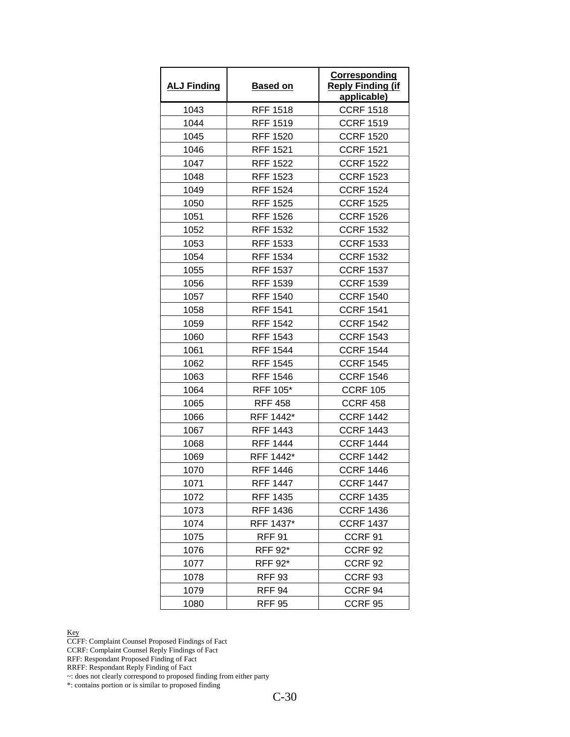| <b>ALJ Finding</b> | <b>Based on</b> | Corresponding<br><b>Reply Finding (if</b><br>applicable) |
|--------------------|-----------------|----------------------------------------------------------|
| 1043               | <b>RFF 1518</b> | <b>CCRF 1518</b>                                         |
| 1044               | <b>RFF 1519</b> | <b>CCRF 1519</b>                                         |
| 1045               | <b>RFF 1520</b> | <b>CCRF 1520</b>                                         |
| 1046               | <b>RFF 1521</b> | <b>CCRF 1521</b>                                         |
| 1047               | <b>RFF 1522</b> | <b>CCRF 1522</b>                                         |
| 1048               | <b>RFF 1523</b> | <b>CCRF 1523</b>                                         |
| 1049               | <b>RFF 1524</b> | <b>CCRF 1524</b>                                         |
| 1050               | <b>RFF 1525</b> | <b>CCRF 1525</b>                                         |
| 1051               | <b>RFF 1526</b> | <b>CCRF 1526</b>                                         |
| 1052               | <b>RFF 1532</b> | <b>CCRF 1532</b>                                         |
| 1053               | <b>RFF 1533</b> | <b>CCRF 1533</b>                                         |
| 1054               | RFF 1534        | <b>CCRF 1532</b>                                         |
| 1055               | <b>RFF 1537</b> | <b>CCRF 1537</b>                                         |
| 1056               | <b>RFF 1539</b> | <b>CCRF 1539</b>                                         |
| 1057               | <b>RFF 1540</b> | <b>CCRF 1540</b>                                         |
| 1058               | <b>RFF 1541</b> | <b>CCRF 1541</b>                                         |
| 1059               | <b>RFF 1542</b> | <b>CCRF 1542</b>                                         |
| 1060               | <b>RFF 1543</b> | <b>CCRF 1543</b>                                         |
| 1061               | <b>RFF 1544</b> | <b>CCRF 1544</b>                                         |
| 1062               | <b>RFF 1545</b> | <b>CCRF 1545</b>                                         |
| 1063               | <b>RFF 1546</b> | <b>CCRF 1546</b>                                         |
| 1064               | RFF 105*        | <b>CCRF 105</b>                                          |
| 1065               | <b>RFF 458</b>  | <b>CCRF 458</b>                                          |
| 1066               | RFF 1442*       | <b>CCRF 1442</b>                                         |
| 1067               | <b>RFF 1443</b> | <b>CCRF 1443</b>                                         |
| 1068               | <b>RFF 1444</b> | <b>CCRF 1444</b>                                         |
| 1069               | RFF 1442*       | <b>CCRF 1442</b>                                         |
| 1070               | <b>RFF 1446</b> | <b>CCRF 1446</b>                                         |
| 1071               | <b>RFF 1447</b> | <b>CCRF 1447</b>                                         |
| 1072               | RFF 1435        | <b>CCRF 1435</b>                                         |
| 1073               | <b>RFF 1436</b> | <b>CCRF 1436</b>                                         |
| 1074               | RFF 1437*       | <b>CCRF 1437</b>                                         |
| 1075               | <b>RFF 91</b>   | CCRF 91                                                  |
| 1076               | <b>RFF 92*</b>  | CCRF 92                                                  |
| 1077               | <b>RFF 92*</b>  | CCRF <sub>92</sub>                                       |
| 1078               | <b>RFF 93</b>   | CCRF <sub>93</sub>                                       |
| 1079               | <b>RFF 94</b>   | CCRF <sub>94</sub>                                       |
| 1080               | <b>RFF 95</b>   | CCRF 95                                                  |

CCFF: Complaint Counsel Proposed Findings of Fact

CCRF: Complaint Counsel Reply Findings of Fact

RFF: Respondant Proposed Finding of Fact

RRFF: Respondant Reply Finding of Fact

~: does not clearly correspond to proposed finding from either party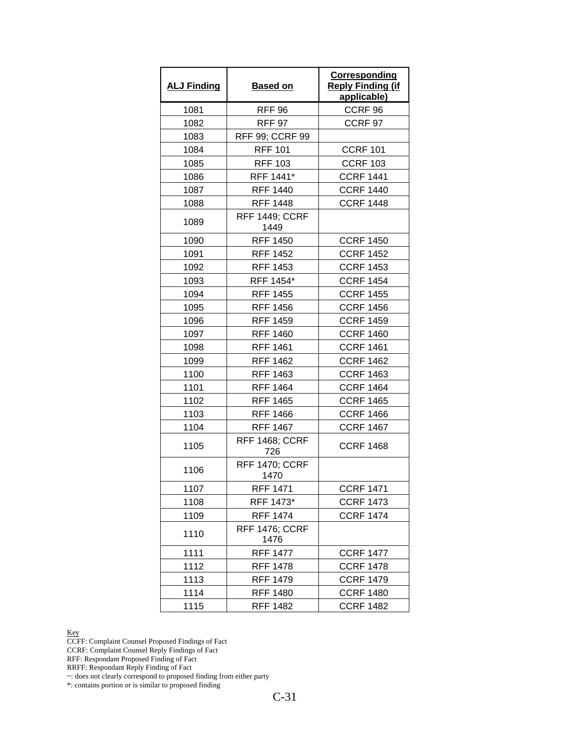| <b>ALJ Finding</b> | <b>Based on</b>               | Corresponding<br><b>Reply Finding (if</b><br>applicable) |
|--------------------|-------------------------------|----------------------------------------------------------|
| 1081               | <b>RFF 96</b>                 | CCRF <sub>96</sub>                                       |
| 1082               | <b>RFF 97</b>                 | CCRF <sub>97</sub>                                       |
| 1083               | <b>RFF 99; CCRF 99</b>        |                                                          |
| 1084               | <b>RFF 101</b>                | <b>CCRF 101</b>                                          |
| 1085               | <b>RFF 103</b>                | <b>CCRF 103</b>                                          |
| 1086               | RFF 1441*                     | <b>CCRF 1441</b>                                         |
| 1087               | <b>RFF 1440</b>               | <b>CCRF 1440</b>                                         |
| 1088               | <b>RFF 1448</b>               | <b>CCRF 1448</b>                                         |
| 1089               | <b>RFF 1449; CCRF</b><br>1449 |                                                          |
| 1090               | <b>RFF 1450</b>               | <b>CCRF 1450</b>                                         |
| 1091               | <b>RFF 1452</b>               | <b>CCRF 1452</b>                                         |
| 1092               | <b>RFF 1453</b>               | <b>CCRF 1453</b>                                         |
| 1093               | RFF 1454*                     | <b>CCRF 1454</b>                                         |
| 1094               | <b>RFF 1455</b>               | <b>CCRF 1455</b>                                         |
| 1095               | <b>RFF 1456</b>               | <b>CCRF 1456</b>                                         |
| 1096               | <b>RFF 1459</b>               | <b>CCRF 1459</b>                                         |
| 1097               | <b>RFF 1460</b>               | <b>CCRF 1460</b>                                         |
| 1098               | <b>RFF 1461</b>               | <b>CCRF 1461</b>                                         |
| 1099               | <b>RFF 1462</b>               | <b>CCRF 1462</b>                                         |
| 1100               | RFF 1463                      | <b>CCRF 1463</b>                                         |
| 1101               | <b>RFF 1464</b>               | <b>CCRF 1464</b>                                         |
| 1102               | <b>RFF 1465</b>               | <b>CCRF 1465</b>                                         |
| 1103               | <b>RFF 1466</b>               | <b>CCRF 1466</b>                                         |
| 1104               | <b>RFF 1467</b>               | <b>CCRF 1467</b>                                         |
| 1105               | <b>RFF 1468; CCRF</b><br>726  | <b>CCRF 1468</b>                                         |
| 1106               | <b>RFF 1470; CCRF</b><br>1470 |                                                          |
| 1107               | <b>RFF 1471</b>               | <b>CCRF 1471</b>                                         |
| 1108               | RFF 1473*                     | <b>CCRF 1473</b>                                         |
| 1109               | <b>RFF 1474</b>               | <b>CCRF 1474</b>                                         |
| 1110               | <b>RFF 1476; CCRF</b><br>1476 |                                                          |
| 1111               | <b>RFF 1477</b>               | <b>CCRF 1477</b>                                         |
| 1112               | RFF 1478                      | <b>CCRF 1478</b>                                         |
| 1113               | <b>RFF 1479</b>               | <b>CCRF 1479</b>                                         |
| 1114               | <b>RFF 1480</b>               | <b>CCRF 1480</b>                                         |
| 1115               | <b>RFF 1482</b>               | <b>CCRF 1482</b>                                         |

CCFF: Complaint Counsel Proposed Findings of Fact

CCRF: Complaint Counsel Reply Findings of Fact

RFF: Respondant Proposed Finding of Fact

RRFF: Respondant Reply Finding of Fact

~: does not clearly correspond to proposed finding from either party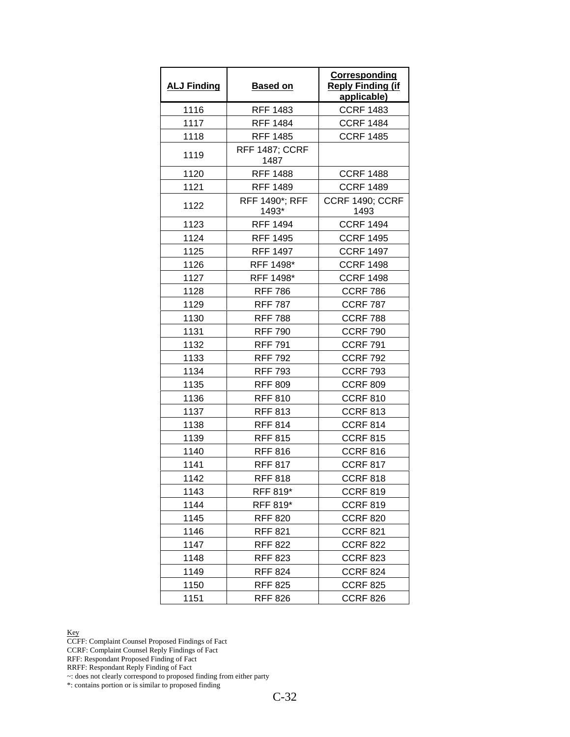| <b>ALJ Finding</b> | <b>Based on</b>               | Corresponding<br><b>Reply Finding (if</b><br>applicable) |
|--------------------|-------------------------------|----------------------------------------------------------|
| 1116               | <b>RFF 1483</b>               | <b>CCRF 1483</b>                                         |
| 1117               | <b>RFF 1484</b>               | <b>CCRF 1484</b>                                         |
| 1118               | <b>RFF 1485</b>               | <b>CCRF 1485</b>                                         |
| 1119               | <b>RFF 1487; CCRF</b><br>1487 |                                                          |
| 1120               | <b>RFF 1488</b>               | <b>CCRF 1488</b>                                         |
| 1121               | <b>RFF 1489</b>               | <b>CCRF 1489</b>                                         |
| 1122               | RFF 1490*; RFF<br>1493*       | CCRF 1490; CCRF<br>1493                                  |
| 1123               | <b>RFF 1494</b>               | <b>CCRF 1494</b>                                         |
| 1124               | <b>RFF 1495</b>               | <b>CCRF 1495</b>                                         |
| 1125               | <b>RFF 1497</b>               | <b>CCRF 1497</b>                                         |
| 1126               | RFF 1498*                     | <b>CCRF 1498</b>                                         |
| 1127               | RFF 1498*                     | <b>CCRF 1498</b>                                         |
| 1128               | <b>RFF 786</b>                | <b>CCRF 786</b>                                          |
| 1129               | <b>RFF 787</b>                | <b>CCRF 787</b>                                          |
| 1130               | <b>RFF 788</b>                | CCRF 788                                                 |
| 1131               | <b>RFF 790</b>                | <b>CCRF 790</b>                                          |
| 1132               | <b>RFF 791</b>                | <b>CCRF 791</b>                                          |
| 1133               | <b>RFF 792</b>                | <b>CCRF 792</b>                                          |
| 1134               | <b>RFF 793</b>                | <b>CCRF 793</b>                                          |
| 1135               | <b>RFF 809</b>                | <b>CCRF 809</b>                                          |
| 1136               | <b>RFF 810</b>                | <b>CCRF 810</b>                                          |
| 1137               | <b>RFF 813</b>                | <b>CCRF 813</b>                                          |
| 1138               | <b>RFF 814</b>                | <b>CCRF 814</b>                                          |
| 1139               | <b>RFF 815</b>                | <b>CCRF 815</b>                                          |
| 1140               | <b>RFF 816</b>                | <b>CCRF 816</b>                                          |
| 1141               | <b>RFF 817</b>                | <b>CCRF 817</b>                                          |
| 1142               | <b>RFF 818</b>                | <b>CCRF 818</b>                                          |
| 1143               | RFF 819*                      | <b>CCRF 819</b>                                          |
| 1144               | RFF 819*                      | <b>CCRF 819</b>                                          |
| 1145               | <b>RFF 820</b>                | <b>CCRF 820</b>                                          |
| 1146               | <b>RFF 821</b>                | <b>CCRF 821</b>                                          |
| 1147               | <b>RFF 822</b>                | <b>CCRF 822</b>                                          |
| 1148               | <b>RFF 823</b>                | <b>CCRF 823</b>                                          |
| 1149               | <b>RFF 824</b>                | <b>CCRF 824</b>                                          |
| 1150               | <b>RFF 825</b>                | <b>CCRF 825</b>                                          |
| 1151               | <b>RFF 826</b>                | <b>CCRF 826</b>                                          |

CCFF: Complaint Counsel Proposed Findings of Fact

CCRF: Complaint Counsel Reply Findings of Fact

RFF: Respondant Proposed Finding of Fact

RRFF: Respondant Reply Finding of Fact

~: does not clearly correspond to proposed finding from either party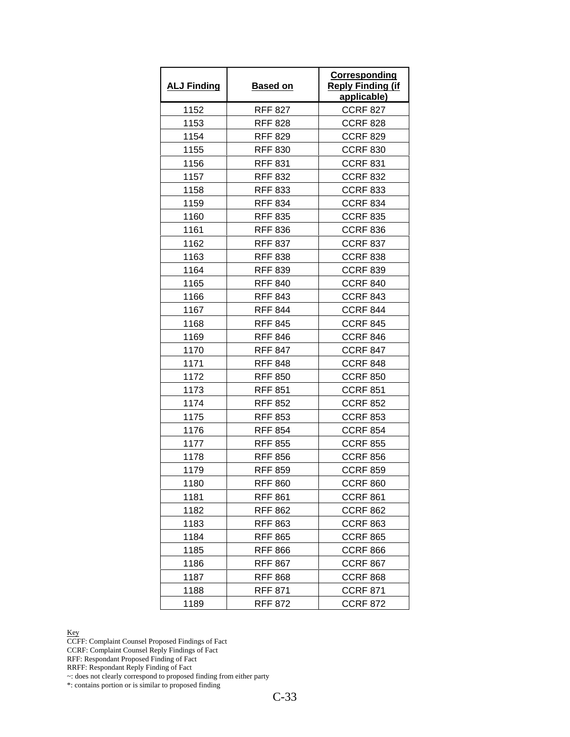| <b>ALJ Finding</b> | <b>Based on</b> | Corresponding<br><b>Reply Finding (if</b><br>applicable) |
|--------------------|-----------------|----------------------------------------------------------|
| 1152               | <b>RFF 827</b>  | <b>CCRF 827</b>                                          |
| 1153               | <b>RFF 828</b>  | <b>CCRF 828</b>                                          |
| 1154               | <b>RFF 829</b>  | <b>CCRF 829</b>                                          |
| 1155               | <b>RFF 830</b>  | <b>CCRF 830</b>                                          |
| 1156               | <b>RFF 831</b>  | <b>CCRF 831</b>                                          |
| 1157               | <b>RFF 832</b>  | <b>CCRF 832</b>                                          |
| 1158               | <b>RFF 833</b>  | <b>CCRF 833</b>                                          |
| 1159               | <b>RFF 834</b>  | <b>CCRF 834</b>                                          |
| 1160               | <b>RFF 835</b>  | <b>CCRF 835</b>                                          |
| 1161               | <b>RFF 836</b>  | <b>CCRF 836</b>                                          |
| 1162               | <b>RFF 837</b>  | <b>CCRF 837</b>                                          |
| 1163               | <b>RFF 838</b>  | <b>CCRF 838</b>                                          |
| 1164               | <b>RFF 839</b>  | <b>CCRF 839</b>                                          |
| 1165               | <b>RFF 840</b>  | <b>CCRF 840</b>                                          |
| 1166               | <b>RFF 843</b>  | <b>CCRF 843</b>                                          |
| 1167               | <b>RFF 844</b>  | <b>CCRF 844</b>                                          |
| 1168               | <b>RFF 845</b>  | <b>CCRF 845</b>                                          |
| 1169               | <b>RFF 846</b>  | <b>CCRF 846</b>                                          |
| 1170               | <b>RFF 847</b>  | <b>CCRF 847</b>                                          |
| 1171               | <b>RFF 848</b>  | <b>CCRF 848</b>                                          |
| 1172               | <b>RFF 850</b>  | <b>CCRF 850</b>                                          |
| 1173               | <b>RFF 851</b>  | <b>CCRF 851</b>                                          |
| 1174               | <b>RFF 852</b>  | <b>CCRF 852</b>                                          |
| 1175               | <b>RFF 853</b>  | <b>CCRF 853</b>                                          |
| 1176               | <b>RFF 854</b>  | <b>CCRF 854</b>                                          |
| 1177               | <b>RFF 855</b>  | <b>CCRF 855</b>                                          |
| 1178               | <b>RFF 856</b>  | <b>CCRF 856</b>                                          |
| 1179               | <b>RFF 859</b>  | <b>CCRF 859</b>                                          |
| 1180               | <b>RFF 860</b>  | <b>CCRF 860</b>                                          |
| 1181               | <b>RFF 861</b>  | <b>CCRF 861</b>                                          |
| 1182               | <b>RFF 862</b>  | <b>CCRF 862</b>                                          |
| 1183               | <b>RFF 863</b>  | <b>CCRF 863</b>                                          |
| 1184               | <b>RFF 865</b>  | <b>CCRF 865</b>                                          |
| 1185               | <b>RFF 866</b>  | <b>CCRF 866</b>                                          |
| 1186               | <b>RFF 867</b>  | <b>CCRF 867</b>                                          |
| 1187               | <b>RFF 868</b>  | <b>CCRF 868</b>                                          |
| 1188               | <b>RFF 871</b>  | <b>CCRF 871</b>                                          |
| 1189               | <b>RFF 872</b>  | <b>CCRF 872</b>                                          |

CCFF: Complaint Counsel Proposed Findings of Fact

CCRF: Complaint Counsel Reply Findings of Fact

RFF: Respondant Proposed Finding of Fact

RRFF: Respondant Reply Finding of Fact

~: does not clearly correspond to proposed finding from either party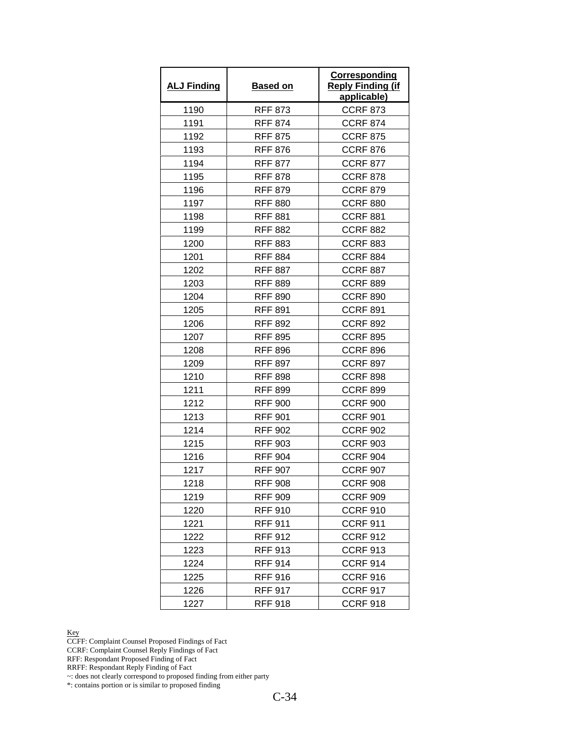| <b>ALJ Finding</b> | <b>Based on</b> | Corresponding<br><b>Reply Finding (if</b><br>applicable) |
|--------------------|-----------------|----------------------------------------------------------|
| 1190               | <b>RFF 873</b>  | <b>CCRF 873</b>                                          |
| 1191               | <b>RFF 874</b>  | <b>CCRF 874</b>                                          |
| 1192               | <b>RFF 875</b>  | <b>CCRF 875</b>                                          |
| 1193               | <b>RFF 876</b>  | <b>CCRF 876</b>                                          |
| 1194               | <b>RFF 877</b>  | <b>CCRF 877</b>                                          |
| 1195               | <b>RFF 878</b>  | <b>CCRF 878</b>                                          |
| 1196               | <b>RFF 879</b>  | <b>CCRF 879</b>                                          |
| 1197               | <b>RFF 880</b>  | <b>CCRF 880</b>                                          |
| 1198               | <b>RFF 881</b>  | <b>CCRF 881</b>                                          |
| 1199               | <b>RFF 882</b>  | <b>CCRF 882</b>                                          |
| 1200               | <b>RFF 883</b>  | <b>CCRF 883</b>                                          |
| 1201               | <b>RFF 884</b>  | <b>CCRF 884</b>                                          |
| 1202               | <b>RFF 887</b>  | <b>CCRF 887</b>                                          |
| 1203               | <b>RFF 889</b>  | <b>CCRF 889</b>                                          |
| 1204               | <b>RFF 890</b>  | <b>CCRF 890</b>                                          |
| 1205               | <b>RFF 891</b>  | <b>CCRF 891</b>                                          |
| 1206               | <b>RFF 892</b>  | <b>CCRF 892</b>                                          |
| 1207               | <b>RFF 895</b>  | <b>CCRF 895</b>                                          |
| 1208               | <b>RFF 896</b>  | <b>CCRF 896</b>                                          |
| 1209               | <b>RFF 897</b>  | <b>CCRF 897</b>                                          |
| 1210               | <b>RFF 898</b>  | <b>CCRF 898</b>                                          |
| 1211               | <b>RFF 899</b>  | <b>CCRF 899</b>                                          |
| 1212               | <b>RFF 900</b>  | <b>CCRF 900</b>                                          |
| 1213               | <b>RFF 901</b>  | <b>CCRF 901</b>                                          |
| 1214               | <b>RFF 902</b>  | <b>CCRF 902</b>                                          |
| 1215               | <b>RFF 903</b>  | <b>CCRF 903</b>                                          |
| 1216               | <b>RFF 904</b>  | <b>CCRF 904</b>                                          |
| 1217               | <b>RFF 907</b>  | <b>CCRF 907</b>                                          |
| 1218               | <b>RFF 908</b>  | <b>CCRF 908</b>                                          |
| 1219               | <b>RFF 909</b>  | <b>CCRF 909</b>                                          |
| 1220               | <b>RFF 910</b>  | <b>CCRF 910</b>                                          |
| 1221               | <b>RFF 911</b>  | <b>CCRF 911</b>                                          |
| 1222               | <b>RFF 912</b>  | <b>CCRF 912</b>                                          |
| 1223               | <b>RFF 913</b>  | <b>CCRF 913</b>                                          |
| 1224               | <b>RFF 914</b>  | <b>CCRF 914</b>                                          |
| 1225               | <b>RFF 916</b>  | <b>CCRF 916</b>                                          |
| 1226               | <b>RFF 917</b>  | <b>CCRF 917</b>                                          |
| 1227               | <b>RFF 918</b>  | <b>CCRF 918</b>                                          |

CCFF: Complaint Counsel Proposed Findings of Fact

CCRF: Complaint Counsel Reply Findings of Fact

RFF: Respondant Proposed Finding of Fact

RRFF: Respondant Reply Finding of Fact

~: does not clearly correspond to proposed finding from either party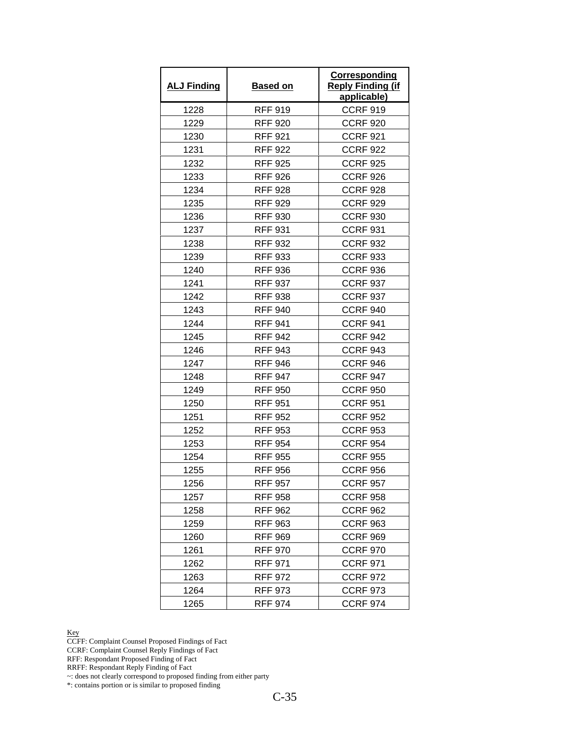| <b>ALJ Finding</b> | <b>Based on</b> | Corresponding<br><b>Reply Finding (if</b><br>applicable) |
|--------------------|-----------------|----------------------------------------------------------|
| 1228               | <b>RFF 919</b>  | <b>CCRF 919</b>                                          |
| 1229               | <b>RFF 920</b>  | <b>CCRF 920</b>                                          |
| 1230               | <b>RFF 921</b>  | <b>CCRF 921</b>                                          |
| 1231               | <b>RFF 922</b>  | <b>CCRF 922</b>                                          |
| 1232               | <b>RFF 925</b>  | <b>CCRF 925</b>                                          |
| 1233               | <b>RFF 926</b>  | <b>CCRF 926</b>                                          |
| 1234               | <b>RFF 928</b>  | <b>CCRF 928</b>                                          |
| 1235               | <b>RFF 929</b>  | <b>CCRF 929</b>                                          |
| 1236               | <b>RFF 930</b>  | <b>CCRF 930</b>                                          |
| 1237               | <b>RFF 931</b>  | <b>CCRF 931</b>                                          |
| 1238               | <b>RFF 932</b>  | <b>CCRF 932</b>                                          |
| 1239               | <b>RFF 933</b>  | <b>CCRF 933</b>                                          |
| 1240               | <b>RFF 936</b>  | <b>CCRF 936</b>                                          |
| 1241               | <b>RFF 937</b>  | <b>CCRF 937</b>                                          |
| 1242               | <b>RFF 938</b>  | <b>CCRF 937</b>                                          |
| 1243               | <b>RFF 940</b>  | <b>CCRF 940</b>                                          |
| 1244               | <b>RFF 941</b>  | <b>CCRF 941</b>                                          |
| 1245               | <b>RFF 942</b>  | <b>CCRF 942</b>                                          |
| 1246               | <b>RFF 943</b>  | <b>CCRF 943</b>                                          |
| 1247               | <b>RFF 946</b>  | <b>CCRF 946</b>                                          |
| 1248               | <b>RFF 947</b>  | <b>CCRF 947</b>                                          |
| 1249               | <b>RFF 950</b>  | <b>CCRF 950</b>                                          |
| 1250               | <b>RFF 951</b>  | <b>CCRF 951</b>                                          |
| 1251               | <b>RFF 952</b>  | <b>CCRF 952</b>                                          |
| 1252               | <b>RFF 953</b>  | <b>CCRF 953</b>                                          |
| 1253               | <b>RFF 954</b>  | <b>CCRF 954</b>                                          |
| 1254               | <b>RFF 955</b>  | <b>CCRF 955</b>                                          |
| 1255               | <b>RFF 956</b>  | <b>CCRF 956</b>                                          |
| 1256               | <b>RFF 957</b>  | <b>CCRF 957</b>                                          |
| 1257               | <b>RFF 958</b>  | <b>CCRF 958</b>                                          |
| 1258               | <b>RFF 962</b>  | <b>CCRF 962</b>                                          |
| 1259               | <b>RFF 963</b>  | <b>CCRF 963</b>                                          |
| 1260               | <b>RFF 969</b>  | <b>CCRF 969</b>                                          |
| 1261               | <b>RFF 970</b>  | <b>CCRF 970</b>                                          |
| 1262               | <b>RFF 971</b>  | <b>CCRF 971</b>                                          |
| 1263               | <b>RFF 972</b>  | <b>CCRF 972</b>                                          |
| 1264               | <b>RFF 973</b>  | <b>CCRF 973</b>                                          |
| 1265               | <b>RFF 974</b>  | <b>CCRF 974</b>                                          |

CCFF: Complaint Counsel Proposed Findings of Fact

CCRF: Complaint Counsel Reply Findings of Fact

RFF: Respondant Proposed Finding of Fact

RRFF: Respondant Reply Finding of Fact

~: does not clearly correspond to proposed finding from either party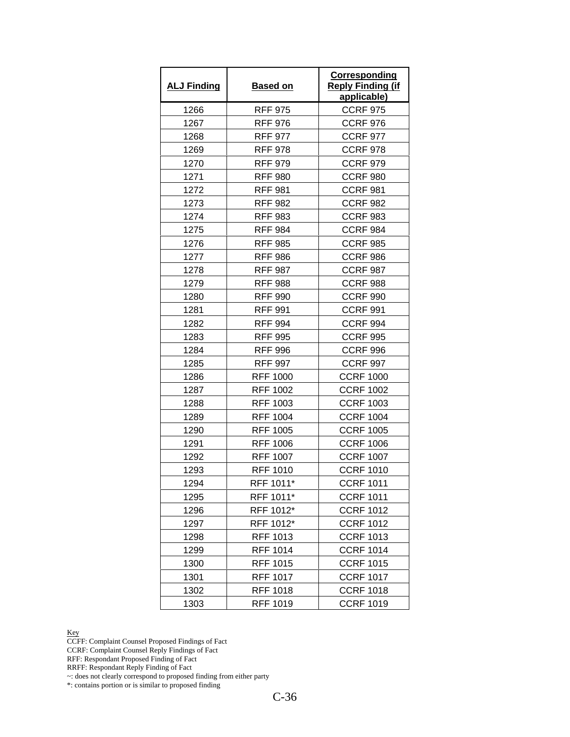| <b>ALJ Finding</b> | <b>Based on</b> | Corresponding<br><b>Reply Finding (if</b><br>applicable) |
|--------------------|-----------------|----------------------------------------------------------|
| 1266               | <b>RFF 975</b>  | <b>CCRF 975</b>                                          |
| 1267               | <b>RFF 976</b>  | <b>CCRF 976</b>                                          |
| 1268               | <b>RFF 977</b>  | <b>CCRF 977</b>                                          |
| 1269               | <b>RFF 978</b>  | <b>CCRF 978</b>                                          |
| 1270               | <b>RFF 979</b>  | <b>CCRF 979</b>                                          |
| 1271               | <b>RFF 980</b>  | <b>CCRF 980</b>                                          |
| 1272               | <b>RFF 981</b>  | <b>CCRF 981</b>                                          |
| 1273               | <b>RFF 982</b>  | <b>CCRF 982</b>                                          |
| 1274               | <b>RFF 983</b>  | <b>CCRF 983</b>                                          |
| 1275               | <b>RFF 984</b>  | <b>CCRF 984</b>                                          |
| 1276               | <b>RFF 985</b>  | <b>CCRF 985</b>                                          |
| 1277               | <b>RFF 986</b>  | <b>CCRF 986</b>                                          |
| 1278               | <b>RFF 987</b>  | <b>CCRF 987</b>                                          |
| 1279               | <b>RFF 988</b>  | <b>CCRF 988</b>                                          |
| 1280               | <b>RFF 990</b>  | <b>CCRF 990</b>                                          |
| 1281               | <b>RFF 991</b>  | <b>CCRF 991</b>                                          |
| 1282               | <b>RFF 994</b>  | <b>CCRF 994</b>                                          |
| 1283               | <b>RFF 995</b>  | <b>CCRF 995</b>                                          |
| 1284               | <b>RFF 996</b>  | <b>CCRF 996</b>                                          |
| 1285               | <b>RFF 997</b>  | <b>CCRF 997</b>                                          |
| 1286               | <b>RFF 1000</b> | <b>CCRF 1000</b>                                         |
| 1287               | <b>RFF 1002</b> | <b>CCRF 1002</b>                                         |
| 1288               | <b>RFF 1003</b> | <b>CCRF 1003</b>                                         |
| 1289               | <b>RFF 1004</b> | <b>CCRF 1004</b>                                         |
| 1290               | <b>RFF 1005</b> | <b>CCRF 1005</b>                                         |
| 1291               | <b>RFF 1006</b> | <b>CCRF 1006</b>                                         |
| 1292               | <b>RFF 1007</b> | <b>CCRF 1007</b>                                         |
| 1293               | <b>RFF 1010</b> | <b>CCRF 1010</b>                                         |
| 1294               | RFF 1011*       | <b>CCRF 1011</b>                                         |
| 1295               | RFF 1011*       | <b>CCRF 1011</b>                                         |
| 1296               | RFF 1012*       | <b>CCRF 1012</b>                                         |
| 1297               | RFF 1012*       | <b>CCRF 1012</b>                                         |
| 1298               | RFF 1013        | <b>CCRF 1013</b>                                         |
| 1299               | <b>RFF 1014</b> | <b>CCRF 1014</b>                                         |
| 1300               | RFF 1015        | <b>CCRF 1015</b>                                         |
| 1301               | <b>RFF 1017</b> | <b>CCRF 1017</b>                                         |
| 1302               | RFF 1018        | <b>CCRF 1018</b>                                         |
| 1303               | <b>RFF 1019</b> | <b>CCRF 1019</b>                                         |

CCFF: Complaint Counsel Proposed Findings of Fact

CCRF: Complaint Counsel Reply Findings of Fact

RFF: Respondant Proposed Finding of Fact

RRFF: Respondant Reply Finding of Fact

~: does not clearly correspond to proposed finding from either party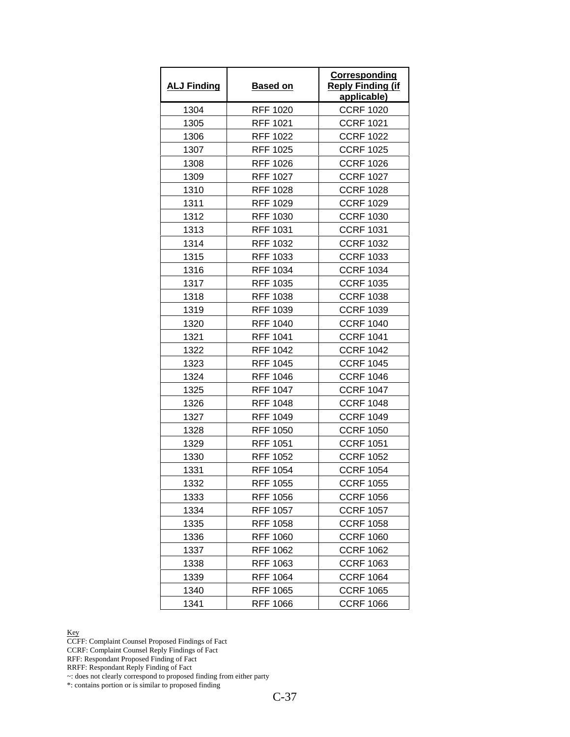| <b>ALJ Finding</b> | <b>Based on</b> | Corresponding<br><b>Reply Finding (if</b><br>applicable) |
|--------------------|-----------------|----------------------------------------------------------|
| 1304               | <b>RFF 1020</b> | <b>CCRF 1020</b>                                         |
| 1305               | <b>RFF 1021</b> | <b>CCRF 1021</b>                                         |
| 1306               | <b>RFF 1022</b> | <b>CCRF 1022</b>                                         |
| 1307               | <b>RFF 1025</b> | <b>CCRF 1025</b>                                         |
| 1308               | <b>RFF 1026</b> | <b>CCRF 1026</b>                                         |
| 1309               | <b>RFF 1027</b> | <b>CCRF 1027</b>                                         |
| 1310               | <b>RFF 1028</b> | <b>CCRF 1028</b>                                         |
| 1311               | <b>RFF 1029</b> | <b>CCRF 1029</b>                                         |
| 1312               | <b>RFF 1030</b> | <b>CCRF 1030</b>                                         |
| 1313               | <b>RFF 1031</b> | <b>CCRF 1031</b>                                         |
| 1314               | <b>RFF 1032</b> | <b>CCRF 1032</b>                                         |
| 1315               | RFF 1033        | <b>CCRF 1033</b>                                         |
| 1316               | <b>RFF 1034</b> | <b>CCRF 1034</b>                                         |
| 1317               | <b>RFF 1035</b> | <b>CCRF 1035</b>                                         |
| 1318               | <b>RFF 1038</b> | <b>CCRF 1038</b>                                         |
| 1319               | <b>RFF 1039</b> | <b>CCRF 1039</b>                                         |
| 1320               | RFF 1040        | <b>CCRF 1040</b>                                         |
| 1321               | <b>RFF 1041</b> | <b>CCRF 1041</b>                                         |
| 1322               | <b>RFF 1042</b> | <b>CCRF 1042</b>                                         |
| 1323               | <b>RFF 1045</b> | <b>CCRF 1045</b>                                         |
| 1324               | <b>RFF 1046</b> | <b>CCRF 1046</b>                                         |
| 1325               | <b>RFF 1047</b> | <b>CCRF 1047</b>                                         |
| 1326               | <b>RFF 1048</b> | <b>CCRF 1048</b>                                         |
| 1327               | <b>RFF 1049</b> | <b>CCRF 1049</b>                                         |
| 1328               | <b>RFF 1050</b> | <b>CCRF 1050</b>                                         |
| 1329               | <b>RFF 1051</b> | <b>CCRF 1051</b>                                         |
| 1330               | <b>RFF 1052</b> | <b>CCRF 1052</b>                                         |
| 1331               | <b>RFF 1054</b> | <b>CCRF 1054</b>                                         |
| 1332               | <b>RFF 1055</b> | <b>CCRF 1055</b>                                         |
| 1333               | RFF 1056        | <b>CCRF 1056</b>                                         |
| 1334               | <b>RFF 1057</b> | <b>CCRF 1057</b>                                         |
| 1335               | <b>RFF 1058</b> | <b>CCRF 1058</b>                                         |
| 1336               | <b>RFF 1060</b> | <b>CCRF 1060</b>                                         |
| 1337               | RFF 1062        | <b>CCRF 1062</b>                                         |
| 1338               | RFF 1063        | <b>CCRF 1063</b>                                         |
| 1339               | <b>RFF 1064</b> | <b>CCRF 1064</b>                                         |
| 1340               | <b>RFF 1065</b> | <b>CCRF 1065</b>                                         |
| 1341               | <b>RFF 1066</b> | <b>CCRF 1066</b>                                         |

CCFF: Complaint Counsel Proposed Findings of Fact

CCRF: Complaint Counsel Reply Findings of Fact

RFF: Respondant Proposed Finding of Fact

RRFF: Respondant Reply Finding of Fact

~: does not clearly correspond to proposed finding from either party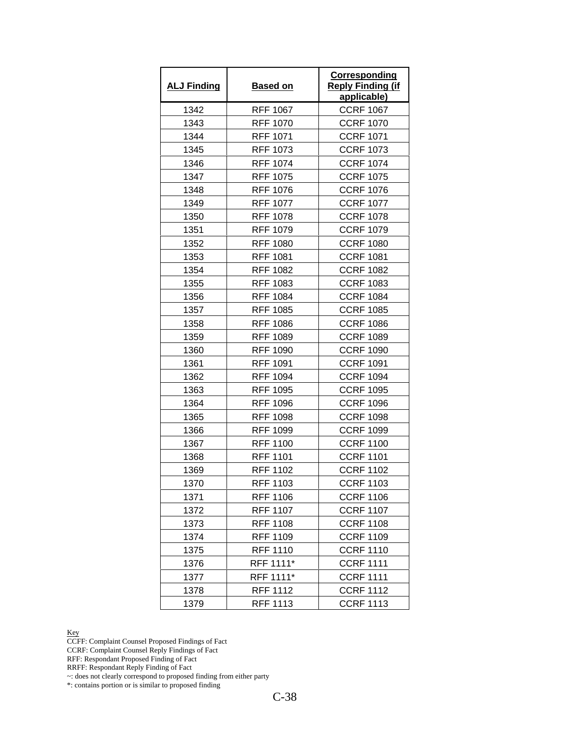| <b>ALJ Finding</b> | <b>Based on</b> | <b>Corresponding</b><br><b>Reply Finding (if</b><br>applicable) |
|--------------------|-----------------|-----------------------------------------------------------------|
| 1342               | <b>RFF 1067</b> | <b>CCRF 1067</b>                                                |
| 1343               | <b>RFF 1070</b> | <b>CCRF 1070</b>                                                |
| 1344               | <b>RFF 1071</b> | <b>CCRF 1071</b>                                                |
| 1345               | <b>RFF 1073</b> | <b>CCRF 1073</b>                                                |
| 1346               | <b>RFF 1074</b> | <b>CCRF 1074</b>                                                |
| 1347               | <b>RFF 1075</b> | <b>CCRF 1075</b>                                                |
| 1348               | <b>RFF 1076</b> | <b>CCRF 1076</b>                                                |
| 1349               | <b>RFF 1077</b> | <b>CCRF 1077</b>                                                |
| 1350               | <b>RFF 1078</b> | <b>CCRF 1078</b>                                                |
| 1351               | <b>RFF 1079</b> | <b>CCRF 1079</b>                                                |
| 1352               | <b>RFF 1080</b> | <b>CCRF 1080</b>                                                |
| 1353               | <b>RFF 1081</b> | <b>CCRF 1081</b>                                                |
| 1354               | <b>RFF 1082</b> | <b>CCRF 1082</b>                                                |
| 1355               | <b>RFF 1083</b> | <b>CCRF 1083</b>                                                |
| 1356               | <b>RFF 1084</b> | <b>CCRF 1084</b>                                                |
| 1357               | <b>RFF 1085</b> | <b>CCRF 1085</b>                                                |
| 1358               | <b>RFF 1086</b> | <b>CCRF 1086</b>                                                |
| 1359               | <b>RFF 1089</b> | <b>CCRF 1089</b>                                                |
| 1360               | <b>RFF 1090</b> | <b>CCRF 1090</b>                                                |
| 1361               | <b>RFF 1091</b> | <b>CCRF 1091</b>                                                |
| 1362               | <b>RFF 1094</b> | <b>CCRF 1094</b>                                                |
| 1363               | <b>RFF 1095</b> | <b>CCRF 1095</b>                                                |
| 1364               | <b>RFF 1096</b> | <b>CCRF 1096</b>                                                |
| 1365               | <b>RFF 1098</b> | <b>CCRF 1098</b>                                                |
| 1366               | <b>RFF 1099</b> | <b>CCRF 1099</b>                                                |
| 1367               | <b>RFF 1100</b> | <b>CCRF 1100</b>                                                |
| 1368               | <b>RFF 1101</b> | <b>CCRF 1101</b>                                                |
| 1369               | <b>RFF 1102</b> | <b>CCRF 1102</b>                                                |
| 1370               | <b>RFF 1103</b> | <b>CCRF 1103</b>                                                |
| 1371               | RFF 1106        | <b>CCRF 1106</b>                                                |
| 1372               | <b>RFF 1107</b> | <b>CCRF 1107</b>                                                |
| 1373               | <b>RFF 1108</b> | <b>CCRF 1108</b>                                                |
| 1374               | RFF 1109        | <b>CCRF 1109</b>                                                |
| 1375               | <b>RFF 1110</b> | <b>CCRF 1110</b>                                                |
| 1376               | RFF 1111*       | <b>CCRF 1111</b>                                                |
| 1377               | RFF 1111*       | <b>CCRF 1111</b>                                                |
| 1378               | RFF 1112        | <b>CCRF 1112</b>                                                |
| 1379               | <b>RFF 1113</b> | <b>CCRF 1113</b>                                                |

CCFF: Complaint Counsel Proposed Findings of Fact

CCRF: Complaint Counsel Reply Findings of Fact

RFF: Respondant Proposed Finding of Fact

RRFF: Respondant Reply Finding of Fact

~: does not clearly correspond to proposed finding from either party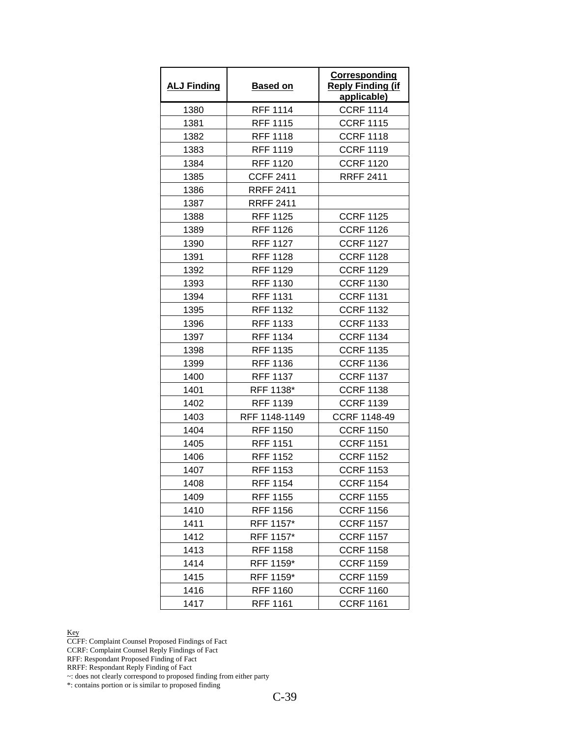| <b>ALJ Finding</b> | <b>Based on</b>  | Corresponding<br><b>Reply Finding (if</b><br>applicable) |
|--------------------|------------------|----------------------------------------------------------|
| 1380               | <b>RFF 1114</b>  | <b>CCRF 1114</b>                                         |
| 1381               | <b>RFF 1115</b>  | <b>CCRF 1115</b>                                         |
| 1382               | <b>RFF 1118</b>  | <b>CCRF 1118</b>                                         |
| 1383               | <b>RFF 1119</b>  | <b>CCRF 1119</b>                                         |
| 1384               | <b>RFF 1120</b>  | <b>CCRF 1120</b>                                         |
| 1385               | <b>CCFF 2411</b> | <b>RRFF 2411</b>                                         |
| 1386               | <b>RRFF 2411</b> |                                                          |
| 1387               | <b>RRFF 2411</b> |                                                          |
| 1388               | <b>RFF 1125</b>  | <b>CCRF 1125</b>                                         |
| 1389               | <b>RFF 1126</b>  | <b>CCRF 1126</b>                                         |
| 1390               | <b>RFF 1127</b>  | <b>CCRF 1127</b>                                         |
| 1391               | <b>RFF 1128</b>  | <b>CCRF 1128</b>                                         |
| 1392               | <b>RFF 1129</b>  | <b>CCRF 1129</b>                                         |
| 1393               | <b>RFF 1130</b>  | <b>CCRF 1130</b>                                         |
| 1394               | <b>RFF 1131</b>  | <b>CCRF 1131</b>                                         |
| 1395               | <b>RFF 1132</b>  | <b>CCRF 1132</b>                                         |
| 1396               | <b>RFF 1133</b>  | <b>CCRF 1133</b>                                         |
| 1397               | <b>RFF 1134</b>  | <b>CCRF 1134</b>                                         |
| 1398               | <b>RFF 1135</b>  | <b>CCRF 1135</b>                                         |
| 1399               | RFF 1136         | <b>CCRF 1136</b>                                         |
| 1400               | <b>RFF 1137</b>  | <b>CCRF 1137</b>                                         |
| 1401               | RFF 1138*        | <b>CCRF 1138</b>                                         |
| 1402               | <b>RFF 1139</b>  | <b>CCRF 1139</b>                                         |
| 1403               | RFF 1148-1149    | <b>CCRF 1148-49</b>                                      |
| 1404               | <b>RFF 1150</b>  | <b>CCRF 1150</b>                                         |
| 1405               | <b>RFF 1151</b>  | <b>CCRF 1151</b>                                         |
| 1406               | <b>RFF 1152</b>  | <b>CCRF 1152</b>                                         |
| 1407               | <b>RFF 1153</b>  | <b>CCRF 1153</b>                                         |
| 1408               | <b>RFF 1154</b>  | <b>CCRF 1154</b>                                         |
| 1409               | <b>RFF 1155</b>  | <b>CCRF 1155</b>                                         |
| 1410               | <b>RFF 1156</b>  | <b>CCRF 1156</b>                                         |
| 1411               | RFF 1157*        | <b>CCRF 1157</b>                                         |
| 1412               | RFF 1157*        | <b>CCRF 1157</b>                                         |
| 1413               | <b>RFF 1158</b>  | <b>CCRF 1158</b>                                         |
| 1414               | RFF 1159*        | <b>CCRF 1159</b>                                         |
| 1415               | RFF 1159*        | <b>CCRF 1159</b>                                         |
| 1416               | <b>RFF 1160</b>  | <b>CCRF 1160</b>                                         |
| 1417               | <b>RFF 1161</b>  | <b>CCRF 1161</b>                                         |

CCFF: Complaint Counsel Proposed Findings of Fact

CCRF: Complaint Counsel Reply Findings of Fact

RFF: Respondant Proposed Finding of Fact

RRFF: Respondant Reply Finding of Fact

~: does not clearly correspond to proposed finding from either party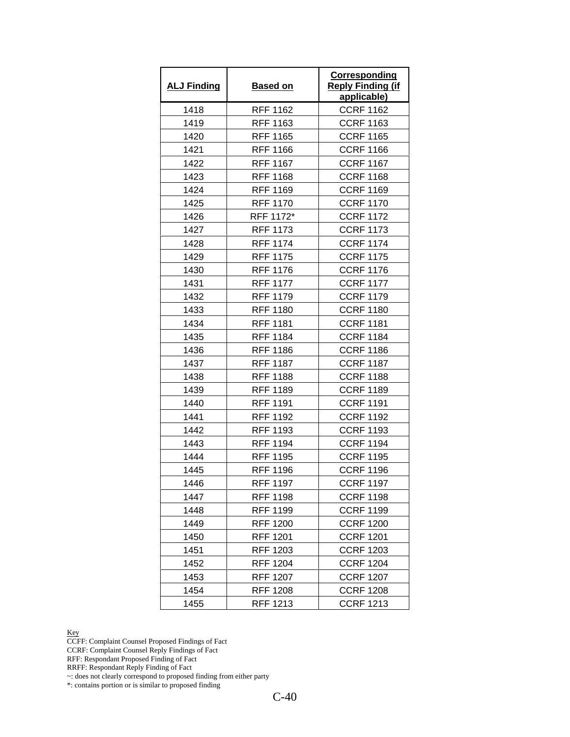| <b>ALJ Finding</b> | <b>Based on</b> | Corresponding<br><b>Reply Finding (if</b><br>applicable) |
|--------------------|-----------------|----------------------------------------------------------|
| 1418               | <b>RFF 1162</b> | <b>CCRF 1162</b>                                         |
| 1419               | <b>RFF 1163</b> | <b>CCRF 1163</b>                                         |
| 1420               | <b>RFF 1165</b> | <b>CCRF 1165</b>                                         |
| 1421               | <b>RFF 1166</b> | <b>CCRF 1166</b>                                         |
| 1422               | <b>RFF 1167</b> | <b>CCRF 1167</b>                                         |
| 1423               | <b>RFF 1168</b> | <b>CCRF 1168</b>                                         |
| 1424               | <b>RFF 1169</b> | <b>CCRF 1169</b>                                         |
| 1425               | <b>RFF 1170</b> | <b>CCRF 1170</b>                                         |
| 1426               | RFF 1172*       | <b>CCRF 1172</b>                                         |
| 1427               | <b>RFF 1173</b> | <b>CCRF 1173</b>                                         |
| 1428               | <b>RFF 1174</b> | <b>CCRF 1174</b>                                         |
| 1429               | <b>RFF 1175</b> | <b>CCRF 1175</b>                                         |
| 1430               | <b>RFF 1176</b> | <b>CCRF 1176</b>                                         |
| 1431               | <b>RFF 1177</b> | <b>CCRF 1177</b>                                         |
| 1432               | <b>RFF 1179</b> | <b>CCRF 1179</b>                                         |
| 1433               | <b>RFF 1180</b> | <b>CCRF 1180</b>                                         |
| 1434               | <b>RFF 1181</b> | <b>CCRF 1181</b>                                         |
| 1435               | <b>RFF 1184</b> | <b>CCRF 1184</b>                                         |
| 1436               | RFF 1186        | <b>CCRF 1186</b>                                         |
| 1437               | <b>RFF 1187</b> | <b>CCRF 1187</b>                                         |
| 1438               | <b>RFF 1188</b> | <b>CCRF 1188</b>                                         |
| 1439               | <b>RFF 1189</b> | <b>CCRF 1189</b>                                         |
| 1440               | <b>RFF 1191</b> | <b>CCRF 1191</b>                                         |
| 1441               | RFF 1192        | <b>CCRF 1192</b>                                         |
| 1442               | <b>RFF 1193</b> | <b>CCRF 1193</b>                                         |
| 1443               | <b>RFF 1194</b> | <b>CCRF 1194</b>                                         |
| 1444               | <b>RFF 1195</b> | <b>CCRF 1195</b>                                         |
| 1445               | <b>RFF 1196</b> | <b>CCRF 1196</b>                                         |
| 1446               | <b>RFF 1197</b> | <b>CCRF 1197</b>                                         |
| 1447               | <b>RFF 1198</b> | <b>CCRF 1198</b>                                         |
| 1448               | <b>RFF 1199</b> | <b>CCRF 1199</b>                                         |
| 1449               | RFF 1200        | <b>CCRF 1200</b>                                         |
| 1450               | <b>RFF 1201</b> | <b>CCRF 1201</b>                                         |
| 1451               | RFF 1203        | <b>CCRF 1203</b>                                         |
| 1452               | RFF 1204        | <b>CCRF 1204</b>                                         |
| 1453               | <b>RFF 1207</b> | <b>CCRF 1207</b>                                         |
| 1454               | <b>RFF 1208</b> | <b>CCRF 1208</b>                                         |
| 1455               | RFF 1213        | <b>CCRF 1213</b>                                         |

CCFF: Complaint Counsel Proposed Findings of Fact

CCRF: Complaint Counsel Reply Findings of Fact

RFF: Respondant Proposed Finding of Fact

RRFF: Respondant Reply Finding of Fact

~: does not clearly correspond to proposed finding from either party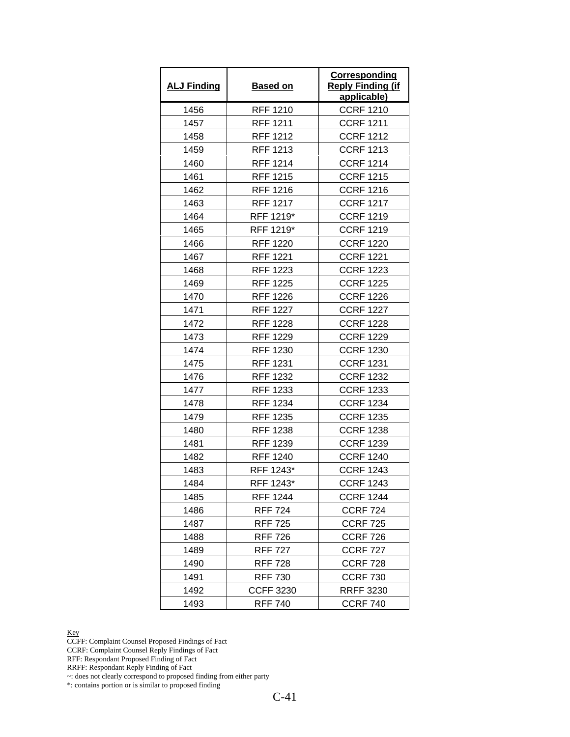| <b>ALJ Finding</b> | <b>Based on</b>  | Corresponding<br><b>Reply Finding (if</b><br>applicable) |
|--------------------|------------------|----------------------------------------------------------|
| 1456               | <b>RFF 1210</b>  | <b>CCRF 1210</b>                                         |
| 1457               | <b>RFF 1211</b>  | <b>CCRF 1211</b>                                         |
| 1458               | <b>RFF 1212</b>  | <b>CCRF 1212</b>                                         |
| 1459               | RFF 1213         | <b>CCRF 1213</b>                                         |
| 1460               | <b>RFF 1214</b>  | <b>CCRF 1214</b>                                         |
| 1461               | <b>RFF 1215</b>  | <b>CCRF 1215</b>                                         |
| 1462               | <b>RFF 1216</b>  | <b>CCRF 1216</b>                                         |
| 1463               | <b>RFF 1217</b>  | <b>CCRF 1217</b>                                         |
| 1464               | RFF 1219*        | <b>CCRF 1219</b>                                         |
| 1465               | RFF 1219*        | <b>CCRF 1219</b>                                         |
| 1466               | <b>RFF 1220</b>  | <b>CCRF 1220</b>                                         |
| 1467               | RFF 1221         | <b>CCRF 1221</b>                                         |
| 1468               | <b>RFF 1223</b>  | <b>CCRF 1223</b>                                         |
| 1469               | <b>RFF 1225</b>  | <b>CCRF 1225</b>                                         |
| 1470               | <b>RFF 1226</b>  | <b>CCRF 1226</b>                                         |
| 1471               | <b>RFF 1227</b>  | <b>CCRF 1227</b>                                         |
| 1472               | <b>RFF 1228</b>  | <b>CCRF 1228</b>                                         |
| 1473               | <b>RFF 1229</b>  | <b>CCRF 1229</b>                                         |
| 1474               | <b>RFF 1230</b>  | <b>CCRF 1230</b>                                         |
| 1475               | <b>RFF 1231</b>  | <b>CCRF 1231</b>                                         |
| 1476               | <b>RFF 1232</b>  | <b>CCRF 1232</b>                                         |
| 1477               | RFF 1233         | <b>CCRF 1233</b>                                         |
| 1478               | <b>RFF 1234</b>  | <b>CCRF 1234</b>                                         |
| 1479               | <b>RFF 1235</b>  | <b>CCRF 1235</b>                                         |
| 1480               | <b>RFF 1238</b>  | <b>CCRF 1238</b>                                         |
| 1481               | <b>RFF 1239</b>  | <b>CCRF 1239</b>                                         |
| 1482               | <b>RFF 1240</b>  | <b>CCRF 1240</b>                                         |
| 1483               | RFF 1243*        | <b>CCRF 1243</b>                                         |
| 1484               | RFF 1243*        | <b>CCRF 1243</b>                                         |
| 1485               | RFF 1244         | <b>CCRF 1244</b>                                         |
| 1486               | <b>RFF 724</b>   | <b>CCRF 724</b>                                          |
| 1487               | <b>RFF 725</b>   | <b>CCRF 725</b>                                          |
| 1488               | <b>RFF 726</b>   | <b>CCRF 726</b>                                          |
| 1489               | <b>RFF 727</b>   | <b>CCRF 727</b>                                          |
| 1490               | <b>RFF 728</b>   | <b>CCRF 728</b>                                          |
| 1491               | <b>RFF 730</b>   | <b>CCRF 730</b>                                          |
| 1492               | <b>CCFF 3230</b> | <b>RRFF 3230</b>                                         |
| 1493               | <b>RFF 740</b>   | <b>CCRF 740</b>                                          |

CCFF: Complaint Counsel Proposed Findings of Fact

CCRF: Complaint Counsel Reply Findings of Fact

RFF: Respondant Proposed Finding of Fact

RRFF: Respondant Reply Finding of Fact

~: does not clearly correspond to proposed finding from either party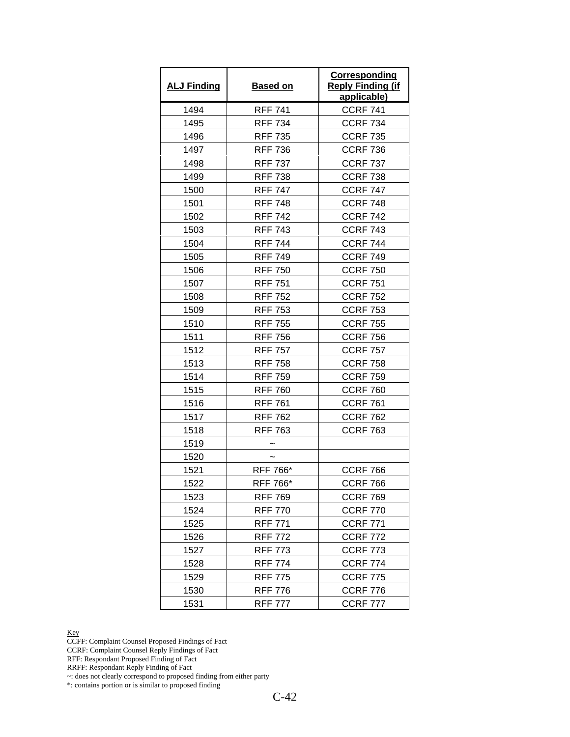| <b>ALJ Finding</b> | <b>Based on</b> | <b>Corresponding</b><br><b>Reply Finding (if</b><br>applicable) |
|--------------------|-----------------|-----------------------------------------------------------------|
| 1494               | <b>RFF 741</b>  | <b>CCRF 741</b>                                                 |
| 1495               | <b>RFF 734</b>  | <b>CCRF 734</b>                                                 |
| 1496               | <b>RFF 735</b>  | <b>CCRF 735</b>                                                 |
| 1497               | <b>RFF 736</b>  | <b>CCRF 736</b>                                                 |
| 1498               | <b>RFF 737</b>  | <b>CCRF 737</b>                                                 |
| 1499               | <b>RFF 738</b>  | <b>CCRF 738</b>                                                 |
| 1500               | <b>RFF 747</b>  | <b>CCRF 747</b>                                                 |
| 1501               | <b>RFF 748</b>  | <b>CCRF 748</b>                                                 |
| 1502               | <b>RFF 742</b>  | <b>CCRF 742</b>                                                 |
| 1503               | <b>RFF 743</b>  | <b>CCRF 743</b>                                                 |
| 1504               | <b>RFF 744</b>  | <b>CCRF 744</b>                                                 |
| 1505               | <b>RFF 749</b>  | <b>CCRF 749</b>                                                 |
| 1506               | <b>RFF 750</b>  | <b>CCRF 750</b>                                                 |
| 1507               | <b>RFF 751</b>  | <b>CCRF 751</b>                                                 |
| 1508               | <b>RFF 752</b>  | <b>CCRF 752</b>                                                 |
| 1509               | <b>RFF 753</b>  | <b>CCRF 753</b>                                                 |
| 1510               | <b>RFF 755</b>  | <b>CCRF 755</b>                                                 |
| 1511               | <b>RFF 756</b>  | <b>CCRF 756</b>                                                 |
| 1512               | <b>RFF 757</b>  | <b>CCRF 757</b>                                                 |
| 1513               | <b>RFF 758</b>  | <b>CCRF 758</b>                                                 |
| 1514               | <b>RFF 759</b>  | <b>CCRF 759</b>                                                 |
| 1515               | <b>RFF 760</b>  | <b>CCRF 760</b>                                                 |
| 1516               | <b>RFF 761</b>  | <b>CCRF 761</b>                                                 |
| 1517               | <b>RFF 762</b>  | <b>CCRF 762</b>                                                 |
| 1518               | <b>RFF 763</b>  | <b>CCRF 763</b>                                                 |
| 1519               |                 |                                                                 |
| 1520               |                 |                                                                 |
| 1521               | RFF 766*        | <b>CCRF 766</b>                                                 |
| 1522               | RFF 766*        | <b>CCRF 766</b>                                                 |
| 1523               | <b>RFF 769</b>  | <b>CCRF 769</b>                                                 |
| 1524               | <b>RFF 770</b>  | <b>CCRF 770</b>                                                 |
| 1525               | <b>RFF 771</b>  | <b>CCRF 771</b>                                                 |
| 1526               | <b>RFF 772</b>  | <b>CCRF 772</b>                                                 |
| 1527               | <b>RFF 773</b>  | <b>CCRF 773</b>                                                 |
| 1528               | <b>RFF 774</b>  | <b>CCRF 774</b>                                                 |
| 1529               | RFF 775         | <b>CCRF 775</b>                                                 |
| 1530               | <b>RFF 776</b>  | <b>CCRF 776</b>                                                 |
| 1531               | <b>RFF 777</b>  | <b>CCRF 777</b>                                                 |

CCFF: Complaint Counsel Proposed Findings of Fact

CCRF: Complaint Counsel Reply Findings of Fact

RFF: Respondant Proposed Finding of Fact

RRFF: Respondant Reply Finding of Fact

~: does not clearly correspond to proposed finding from either party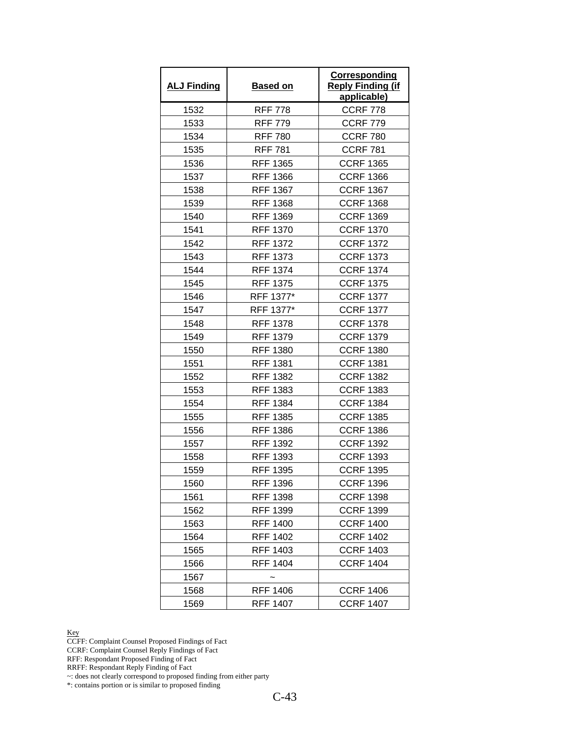| <b>ALJ Finding</b> | <b>Based on</b> | Corresponding<br><b>Reply Finding (if</b><br>applicable) |
|--------------------|-----------------|----------------------------------------------------------|
| 1532               | <b>RFF 778</b>  | <b>CCRF 778</b>                                          |
| 1533               | <b>RFF 779</b>  | <b>CCRF 779</b>                                          |
| 1534               | <b>RFF 780</b>  | <b>CCRF 780</b>                                          |
| 1535               | <b>RFF 781</b>  | <b>CCRF 781</b>                                          |
| 1536               | <b>RFF 1365</b> | <b>CCRF 1365</b>                                         |
| 1537               | <b>RFF 1366</b> | <b>CCRF 1366</b>                                         |
| 1538               | <b>RFF 1367</b> | <b>CCRF 1367</b>                                         |
| 1539               | <b>RFF 1368</b> | <b>CCRF 1368</b>                                         |
| 1540               | <b>RFF 1369</b> | <b>CCRF 1369</b>                                         |
| 1541               | <b>RFF 1370</b> | <b>CCRF 1370</b>                                         |
| 1542               | <b>RFF 1372</b> | <b>CCRF 1372</b>                                         |
| 1543               | <b>RFF 1373</b> | <b>CCRF 1373</b>                                         |
| 1544               | <b>RFF 1374</b> | <b>CCRF 1374</b>                                         |
| 1545               | <b>RFF 1375</b> | <b>CCRF 1375</b>                                         |
| 1546               | RFF 1377*       | <b>CCRF 1377</b>                                         |
| 1547               | RFF 1377*       | <b>CCRF 1377</b>                                         |
| 1548               | <b>RFF 1378</b> | <b>CCRF 1378</b>                                         |
| 1549               | <b>RFF 1379</b> | <b>CCRF 1379</b>                                         |
| 1550               | <b>RFF 1380</b> | <b>CCRF 1380</b>                                         |
| 1551               | <b>RFF 1381</b> | <b>CCRF 1381</b>                                         |
| 1552               | <b>RFF 1382</b> | <b>CCRF 1382</b>                                         |
| 1553               | <b>RFF 1383</b> | <b>CCRF 1383</b>                                         |
| 1554               | <b>RFF 1384</b> | <b>CCRF 1384</b>                                         |
| 1555               | <b>RFF 1385</b> | <b>CCRF 1385</b>                                         |
| 1556               | <b>RFF 1386</b> | <b>CCRF 1386</b>                                         |
| 1557               | <b>RFF 1392</b> | <b>CCRF 1392</b>                                         |
| 1558               | <b>RFF 1393</b> | <b>CCRF 1393</b>                                         |
| 1559               | <b>RFF 1395</b> | <b>CCRF 1395</b>                                         |
| 1560               | <b>RFF 1396</b> | <b>CCRF 1396</b>                                         |
| 1561               | RFF 1398        | <b>CCRF 1398</b>                                         |
| 1562               | RFF 1399        | <b>CCRF 1399</b>                                         |
| 1563               | <b>RFF 1400</b> | <b>CCRF 1400</b>                                         |
| 1564               | <b>RFF 1402</b> | <b>CCRF 1402</b>                                         |
| 1565               | <b>RFF 1403</b> | <b>CCRF 1403</b>                                         |
| 1566               | <b>RFF 1404</b> | <b>CCRF 1404</b>                                         |
| 1567               |                 |                                                          |
| 1568               | <b>RFF 1406</b> | <b>CCRF 1406</b>                                         |
| 1569               | <b>RFF 1407</b> | <b>CCRF 1407</b>                                         |

CCFF: Complaint Counsel Proposed Findings of Fact

CCRF: Complaint Counsel Reply Findings of Fact

RFF: Respondant Proposed Finding of Fact

RRFF: Respondant Reply Finding of Fact

~: does not clearly correspond to proposed finding from either party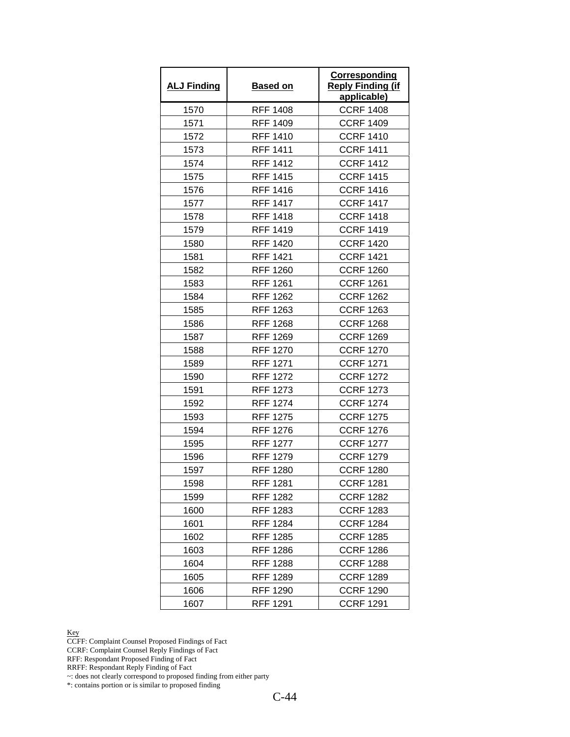| <b>ALJ Finding</b> | <b>Based on</b> | Corresponding<br><b>Reply Finding (if</b><br>applicable) |
|--------------------|-----------------|----------------------------------------------------------|
| 1570               | <b>RFF 1408</b> | <b>CCRF 1408</b>                                         |
| 1571               | <b>RFF 1409</b> | <b>CCRF 1409</b>                                         |
| 1572               | <b>RFF 1410</b> | <b>CCRF 1410</b>                                         |
| 1573               | <b>RFF 1411</b> | <b>CCRF 1411</b>                                         |
| 1574               | <b>RFF 1412</b> | <b>CCRF 1412</b>                                         |
| 1575               | <b>RFF 1415</b> | <b>CCRF 1415</b>                                         |
| 1576               | <b>RFF 1416</b> | <b>CCRF 1416</b>                                         |
| 1577               | <b>RFF 1417</b> | <b>CCRF 1417</b>                                         |
| 1578               | <b>RFF 1418</b> | <b>CCRF 1418</b>                                         |
| 1579               | <b>RFF 1419</b> | <b>CCRF 1419</b>                                         |
| 1580               | <b>RFF 1420</b> | <b>CCRF 1420</b>                                         |
| 1581               | <b>RFF 1421</b> | <b>CCRF 1421</b>                                         |
| 1582               | <b>RFF 1260</b> | <b>CCRF 1260</b>                                         |
| 1583               | <b>RFF 1261</b> | <b>CCRF 1261</b>                                         |
| 1584               | <b>RFF 1262</b> | <b>CCRF 1262</b>                                         |
| 1585               | <b>RFF 1263</b> | <b>CCRF 1263</b>                                         |
| 1586               | <b>RFF 1268</b> | <b>CCRF 1268</b>                                         |
| 1587               | <b>RFF 1269</b> | <b>CCRF 1269</b>                                         |
| 1588               | <b>RFF 1270</b> | <b>CCRF 1270</b>                                         |
| 1589               | <b>RFF 1271</b> | <b>CCRF 1271</b>                                         |
| 1590               | <b>RFF 1272</b> | <b>CCRF 1272</b>                                         |
| 1591               | <b>RFF 1273</b> | <b>CCRF 1273</b>                                         |
| 1592               | <b>RFF 1274</b> | <b>CCRF 1274</b>                                         |
| 1593               | <b>RFF 1275</b> | <b>CCRF 1275</b>                                         |
| 1594               | <b>RFF 1276</b> | <b>CCRF 1276</b>                                         |
| 1595               | <b>RFF 1277</b> | <b>CCRF 1277</b>                                         |
| 1596               | <b>RFF 1279</b> | <b>CCRF 1279</b>                                         |
| 1597               | <b>RFF 1280</b> | <b>CCRF 1280</b>                                         |
| 1598               | <b>RFF 1281</b> | <b>CCRF 1281</b>                                         |
| 1599               | <b>RFF 1282</b> | <b>CCRF 1282</b>                                         |
| 1600               | <b>RFF 1283</b> | <b>CCRF 1283</b>                                         |
| 1601               | <b>RFF 1284</b> | <b>CCRF 1284</b>                                         |
| 1602               | <b>RFF 1285</b> | <b>CCRF 1285</b>                                         |
| 1603               | <b>RFF 1286</b> | <b>CCRF 1286</b>                                         |
| 1604               | RFF 1288        | <b>CCRF 1288</b>                                         |
| 1605               | <b>RFF 1289</b> | <b>CCRF 1289</b>                                         |
| 1606               | RFF 1290        | <b>CCRF 1290</b>                                         |
| 1607               | <b>RFF 1291</b> | <b>CCRF 1291</b>                                         |

CCFF: Complaint Counsel Proposed Findings of Fact

CCRF: Complaint Counsel Reply Findings of Fact

RFF: Respondant Proposed Finding of Fact

RRFF: Respondant Reply Finding of Fact

~: does not clearly correspond to proposed finding from either party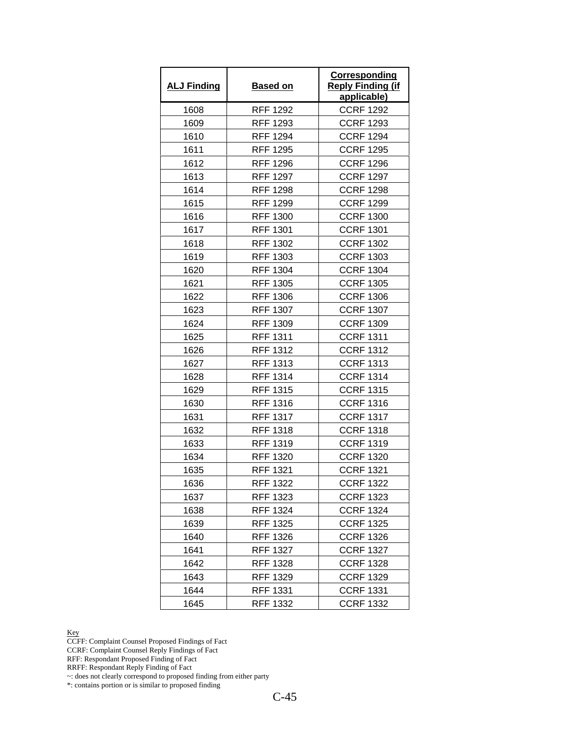| <b>ALJ Finding</b> | <b>Based on</b> | <b>Corresponding</b><br><b>Reply Finding (if</b><br>applicable) |
|--------------------|-----------------|-----------------------------------------------------------------|
| 1608               | <b>RFF 1292</b> | <b>CCRF 1292</b>                                                |
| 1609               | RFF 1293        | <b>CCRF 1293</b>                                                |
| 1610               | <b>RFF 1294</b> | <b>CCRF 1294</b>                                                |
| 1611               | <b>RFF 1295</b> | <b>CCRF 1295</b>                                                |
| 1612               | <b>RFF 1296</b> | <b>CCRF 1296</b>                                                |
| 1613               | <b>RFF 1297</b> | <b>CCRF 1297</b>                                                |
| 1614               | <b>RFF 1298</b> | <b>CCRF 1298</b>                                                |
| 1615               | <b>RFF 1299</b> | <b>CCRF 1299</b>                                                |
| 1616               | <b>RFF 1300</b> | <b>CCRF 1300</b>                                                |
| 1617               | <b>RFF 1301</b> | <b>CCRF 1301</b>                                                |
| 1618               | <b>RFF 1302</b> | <b>CCRF 1302</b>                                                |
| 1619               | <b>RFF 1303</b> | <b>CCRF 1303</b>                                                |
| 1620               | <b>RFF 1304</b> | <b>CCRF 1304</b>                                                |
| 1621               | <b>RFF 1305</b> | <b>CCRF 1305</b>                                                |
| 1622               | <b>RFF 1306</b> | <b>CCRF 1306</b>                                                |
| 1623               | <b>RFF 1307</b> | <b>CCRF 1307</b>                                                |
| 1624               | <b>RFF 1309</b> | <b>CCRF 1309</b>                                                |
| 1625               | <b>RFF 1311</b> | <b>CCRF 1311</b>                                                |
| 1626               | <b>RFF 1312</b> | <b>CCRF 1312</b>                                                |
| 1627               | <b>RFF 1313</b> | <b>CCRF 1313</b>                                                |
| 1628               | <b>RFF 1314</b> | <b>CCRF 1314</b>                                                |
| 1629               | <b>RFF 1315</b> | <b>CCRF 1315</b>                                                |
| 1630               | <b>RFF 1316</b> | <b>CCRF 1316</b>                                                |
| 1631               | <b>RFF 1317</b> | <b>CCRF 1317</b>                                                |
| 1632               | <b>RFF 1318</b> | <b>CCRF 1318</b>                                                |
| 1633               | <b>RFF 1319</b> | <b>CCRF 1319</b>                                                |
| 1634               | <b>RFF 1320</b> | <b>CCRF 1320</b>                                                |
| 1635               | <b>RFF 1321</b> | <b>CCRF 1321</b>                                                |
| 1636               | <b>RFF 1322</b> | <b>CCRF 1322</b>                                                |
| 1637               | RFF 1323        | <b>CCRF 1323</b>                                                |
| 1638               | <b>RFF 1324</b> | <b>CCRF 1324</b>                                                |
| 1639               | <b>RFF 1325</b> | <b>CCRF 1325</b>                                                |
| 1640               | <b>RFF 1326</b> | <b>CCRF 1326</b>                                                |
| 1641               | <b>RFF 1327</b> | <b>CCRF 1327</b>                                                |
| 1642               | RFF 1328        | <b>CCRF 1328</b>                                                |
| 1643               | <b>RFF 1329</b> | <b>CCRF 1329</b>                                                |
| 1644               | RFF 1331        | <b>CCRF 1331</b>                                                |
| 1645               | RFF 1332        | <b>CCRF 1332</b>                                                |

CCFF: Complaint Counsel Proposed Findings of Fact

CCRF: Complaint Counsel Reply Findings of Fact

RFF: Respondant Proposed Finding of Fact

RRFF: Respondant Reply Finding of Fact

~: does not clearly correspond to proposed finding from either party